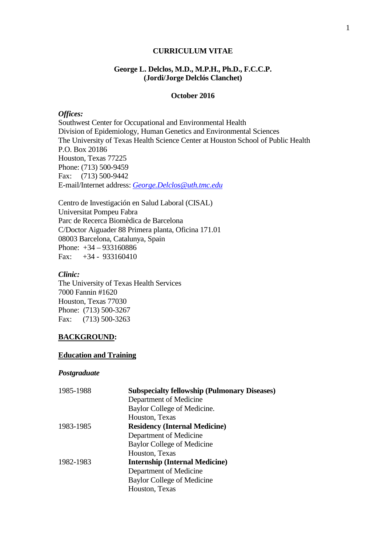#### **CURRICULUM VITAE**

#### **George L. Delclos, M.D., M.P.H., Ph.D., F.C.C.P. (Jordi/Jorge Delclós Clanchet)**

#### **October 2016**

#### *Offices:*

Southwest Center for Occupational and Environmental Health Division of Epidemiology, Human Genetics and Environmental Sciences The University of Texas Health Science Center at Houston School of Public Health P.O. Box 20186 Houston, Texas 77225 Phone: (713) 500-9459 Fax: (713) 500-9442 E-mail/Internet address: *[George.Delclos@uth.tmc.edu](mailto:George.Delclos@uth.tmc.edu)*

Centro de Investigación en Salud Laboral (CISAL) Universitat Pompeu Fabra Parc de Recerca Biomèdica de Barcelona C/Doctor Aiguader 88 Primera planta, Oficina 171.01 08003 Barcelona, Catalunya, Spain Phone: +34 – 933160886 Fax: +34 - 933160410

#### *Clinic:*

The University of Texas Health Services 7000 Fannin #1620 Houston, Texas 77030 Phone: (713) 500-3267 Fax: (713) 500-3263

#### **BACKGROUND:**

#### **Education and Training**

#### *Postgraduate*

| 1985-1988 | <b>Subspecialty fellowship (Pulmonary Diseases)</b> |
|-----------|-----------------------------------------------------|
|           | Department of Medicine                              |
|           | Baylor College of Medicine.                         |
|           | Houston, Texas                                      |
| 1983-1985 | <b>Residency (Internal Medicine)</b>                |
|           | Department of Medicine                              |
|           | <b>Baylor College of Medicine</b>                   |
|           | Houston, Texas                                      |
| 1982-1983 | <b>Internship (Internal Medicine)</b>               |
|           | Department of Medicine                              |
|           | Baylor College of Medicine                          |
|           | Houston, Texas                                      |
|           |                                                     |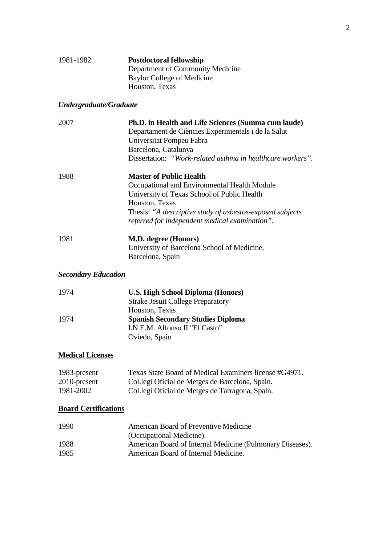| 1981-1982 | <b>Postdoctoral fellowship</b>   |
|-----------|----------------------------------|
|           | Department of Community Medicine |
|           | Baylor College of Medicine       |
|           | Houston, Texas                   |

# *Undergraduate/Graduate*

| 2007                       | Ph.D. in Health and Life Sciences (Summa cum laude)        |
|----------------------------|------------------------------------------------------------|
|                            | Departament de Ciències Experimentals i de la Salut        |
|                            | Universitat Pompeu Fabra                                   |
|                            | Barcelona, Catalunya                                       |
|                            | Dissertation: "Work-related asthma in healthcare workers". |
| 1988                       | <b>Master of Public Health</b>                             |
|                            | Occupational and Environmental Health Module               |
|                            | University of Texas School of Public Health                |
|                            | Houston, Texas                                             |
|                            | Thesis: "A descriptive study of asbestos-exposed subjects" |
|                            | referred for independent medical examination".             |
| 1981                       | <b>M.D. degree (Honors)</b>                                |
|                            | University of Barcelona School of Medicine.                |
|                            | Barcelona, Spain                                           |
| <b>Secondary Education</b> |                                                            |
|                            |                                                            |

| 1974 | <b>U.S. High School Diploma (Honors)</b> |
|------|------------------------------------------|
|      | <b>Strake Jesuit College Preparatory</b> |
|      | Houston, Texas                           |
| 1974 | <b>Spanish Secondary Studies Diploma</b> |
|      | I.N.E.M. Alfonso II "El Casto"           |
|      | Oviedo, Spain                            |

## **Medical Licenses**

| 1983-present | Texas State Board of Medical Examiners license #G4971. |
|--------------|--------------------------------------------------------|
| 2010-present | Collegi Oficial de Metges de Barcelona, Spain.         |
| 1981-2002    | Collegi Oficial de Metges de Tarragona, Spain.         |

# **Board Certifications**

| 1990 | American Board of Preventive Medicine                     |
|------|-----------------------------------------------------------|
|      | (Occupational Medicine).                                  |
| 1988 | American Board of Internal Medicine (Pulmonary Diseases). |
| 1985 | American Board of Internal Medicine.                      |
|      |                                                           |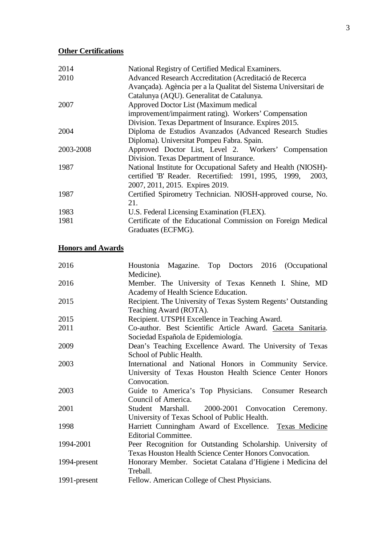# **Other Certifications**

| 2014      | National Registry of Certified Medical Examiners.                |
|-----------|------------------------------------------------------------------|
| 2010      | Advanced Research Accreditation (Acreditació de Recerca          |
|           | Avançada). Agència per a la Qualitat del Sistema Universitari de |
|           | Catalunya (AQU). Generalitat de Catalunya.                       |
| 2007      | Approved Doctor List (Maximum medical                            |
|           | improvement/impairment rating). Workers' Compensation            |
|           | Division. Texas Department of Insurance. Expires 2015.           |
| 2004      | Diploma de Estudios Avanzados (Advanced Research Studies         |
|           | Diploma). Universitat Pompeu Fabra. Spain.                       |
| 2003-2008 | Approved Doctor List, Level 2. Workers' Compensation             |
|           | Division. Texas Department of Insurance.                         |
| 1987      | National Institute for Occupational Safety and Health (NIOSH)-   |
|           | certified 'B' Reader. Recertified: 1991, 1995, 1999, 2003,       |
|           | 2007, 2011, 2015. Expires 2019.                                  |
| 1987      | Certified Spirometry Technician. NIOSH-approved course, No.      |
|           | 21.                                                              |
| 1983      | U.S. Federal Licensing Examination (FLEX).                       |
| 1981      | Certificate of the Educational Commission on Foreign Medical     |
|           | Graduates (ECFMG).                                               |
|           |                                                                  |

# **Honors and Awards**

| 2016         | Houstonia Magazine. Top Doctors 2016 (Occupational             |
|--------------|----------------------------------------------------------------|
|              | Medicine).                                                     |
| 2016         | Member. The University of Texas Kenneth I. Shine, MD           |
|              | Academy of Health Science Education.                           |
| 2015         | Recipient. The University of Texas System Regents' Outstanding |
|              | Teaching Award (ROTA).                                         |
| 2015         | Recipient. UTSPH Excellence in Teaching Award.                 |
| 2011         | Co-author. Best Scientific Article Award. Gaceta Sanitaria.    |
|              | Sociedad Española de Epidemiología.                            |
| 2009         | Dean's Teaching Excellence Award. The University of Texas      |
|              | School of Public Health.                                       |
| 2003         | International and National Honors in Community Service.        |
|              | University of Texas Houston Health Science Center Honors       |
|              | Convocation.                                                   |
| 2003         | Guide to America's Top Physicians. Consumer Research           |
|              | Council of America.                                            |
| 2001         | 2000-2001 Convocation Ceremony.<br>Student Marshall.           |
|              | University of Texas School of Public Health.                   |
| 1998         | Harriett Cunningham Award of Excellence. Texas Medicine        |
|              | <b>Editorial Committee.</b>                                    |
| 1994-2001    | Peer Recognition for Outstanding Scholarship. University of    |
|              | Texas Houston Health Science Center Honors Convocation.        |
| 1994-present | Honorary Member. Societat Catalana d'Higiene i Medicina del    |
|              | Treball.                                                       |
| 1991-present | Fellow. American College of Chest Physicians.                  |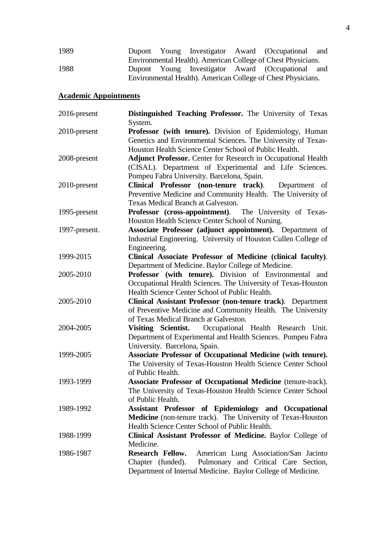| 1989 |  |  | Dupont Young Investigator Award (Occupational and            |  |
|------|--|--|--------------------------------------------------------------|--|
|      |  |  | Environmental Health). American College of Chest Physicians. |  |
| 1988 |  |  | Dupont Young Investigator Award (Occupational and            |  |
|      |  |  | Environmental Health). American College of Chest Physicians. |  |

# **Academic Appointments**

| $2016$ -present | Distinguished Teaching Professor. The University of Texas<br>System.                                                                                                                                                  |
|-----------------|-----------------------------------------------------------------------------------------------------------------------------------------------------------------------------------------------------------------------|
| 2010-present    | Professor (with tenure). Division of Epidemiology, Human<br>Genetics and Environmental Sciences. The University of Texas-<br>Houston Health Science Center School of Public Health.                                   |
| 2008-present    | <b>Adjunct Professor.</b> Center for Research in Occupational Health<br>(CISAL). Department of Experimental and Life Sciences.                                                                                        |
| 2010-present    | Pompeu Fabra University. Barcelona, Spain.<br>Clinical Professor (non-tenure track).<br>Department of<br>Preventive Medicine and Community Health. The University of<br><b>Texas Medical Branch at Galveston.</b>     |
| 1995-present    | Professor (cross-appointment). The University of Texas-<br>Houston Health Science Center School of Nursing.                                                                                                           |
| 1997-present.   | Associate Professor (adjunct appointment). Department of<br>Industrial Engineering. University of Houston Cullen College of<br>Engineering.                                                                           |
| 1999-2015       | Clinical Associate Professor of Medicine (clinical faculty).<br>Department of Medicine. Baylor College of Medicine.                                                                                                   |
| 2005-2010       | Professor (with tenure). Division of Environmental and<br>Occupational Health Sciences. The University of Texas-Houston                                                                                               |
| 2005-2010       | Health Science Center School of Public Health.<br>Clinical Assistant Professor (non-tenure track). Department<br>of Preventive Medicine and Community Health. The University<br>of Texas Medical Branch at Galveston. |
| 2004-2005       | Visiting Scientist. Occupational Health Research Unit.<br>Department of Experimental and Health Sciences. Pompeu Fabra<br>University. Barcelona, Spain.                                                               |
| 1999-2005       | Associate Professor of Occupational Medicine (with tenure).<br>The University of Texas-Houston Health Science Center School<br>of Public Health.                                                                      |
| 1993-1999       | Associate Professor of Occupational Medicine (tenure-track).<br>The University of Texas-Houston Health Science Center School<br>of Public Health.                                                                     |
| 1989-1992       | Assistant Professor of Epidemiology and Occupational<br>Medicine (non-tenure track). The University of Texas-Houston<br>Health Science Center School of Public Health.                                                |
| 1988-1999       | Clinical Assistant Professor of Medicine. Baylor College of<br>Medicine.                                                                                                                                              |
| 1986-1987       | <b>Research Fellow.</b><br>American Lung Association/San Jacinto<br>Pulmonary and Critical Care Section,<br>Chapter (funded).<br>Department of Internal Medicine. Baylor College of Medicine.                         |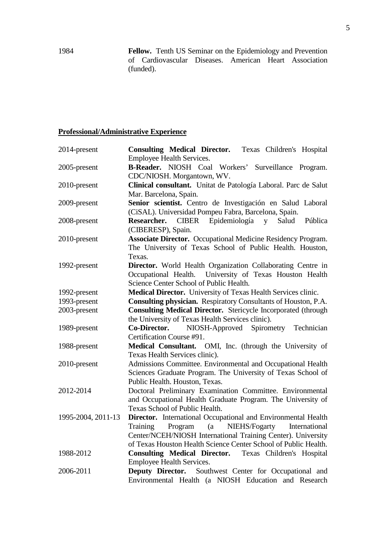1984 **Fellow.** Tenth US Seminar on the Epidemiology and Prevention of Cardiovascular Diseases. American Heart Association (funded).

## **Professional/Administrative Experience**

| 2014-present       | <b>Consulting Medical Director.</b><br>Texas Children's Hospital                 |
|--------------------|----------------------------------------------------------------------------------|
|                    | Employee Health Services.                                                        |
| 2005-present       | <b>B-Reader.</b> NIOSH Coal Workers'<br>Surveillance<br>Program.                 |
|                    | CDC/NIOSH. Morgantown, WV.                                                       |
| 2010-present       | Clinical consultant. Unitat de Patología Laboral. Parc de Salut                  |
|                    | Mar. Barcelona, Spain.                                                           |
| 2009-present       | Senior scientist. Centro de Investigación en Salud Laboral                       |
|                    | (CiSAL). Universidad Pompeu Fabra, Barcelona, Spain.                             |
| 2008-present       | Epidemiología<br><b>CIBER</b><br>Salud<br>Pública<br>Researcher.<br>$\mathbf{V}$ |
|                    | (CIBERESP), Spain.                                                               |
| 2010-present       | <b>Associate Director.</b> Occupational Medicine Residency Program.              |
|                    | The University of Texas School of Public Health. Houston,                        |
|                    | Texas.                                                                           |
| 1992-present       | Director. World Health Organization Collaborating Centre in                      |
|                    | Occupational Health. University of Texas Houston Health                          |
|                    | Science Center School of Public Health.                                          |
| 1992-present       | Medical Director. University of Texas Health Services clinic.                    |
| 1993-present       | Consulting physician. Respiratory Consultants of Houston, P.A.                   |
| 2003-present       | <b>Consulting Medical Director.</b> Stericycle Incorporated (through             |
|                    | the University of Texas Health Services clinic).                                 |
| 1989-present       | NIOSH-Approved Spirometry Technician<br>Co-Director.                             |
|                    | Certification Course #91.                                                        |
| 1988-present       | Medical Consultant. OMI, Inc. (through the University of                         |
|                    | Texas Health Services clinic).                                                   |
| 2010-present       | Admissions Committee. Environmental and Occupational Health                      |
|                    | Sciences Graduate Program. The University of Texas School of                     |
|                    | Public Health. Houston, Texas.                                                   |
| 2012-2014          | Doctoral Preliminary Examination Committee. Environmental                        |
|                    | and Occupational Health Graduate Program. The University of                      |
|                    | Texas School of Public Health.                                                   |
| 1995-2004, 2011-13 | Director. International Occupational and Environmental Health                    |
|                    | NIEHS/Fogarty<br>Training<br>Program<br>(a)<br>International                     |
|                    | Center/NCEH/NIOSH International Training Center). University                     |
|                    | of Texas Houston Health Science Center School of Public Health.                  |
| 1988-2012          | Consulting Medical Director. Texas Children's Hospital                           |
|                    | Employee Health Services.                                                        |
| 2006-2011          | Deputy Director. Southwest Center for Occupational and                           |
|                    | Environmental Health (a NIOSH Education and Research                             |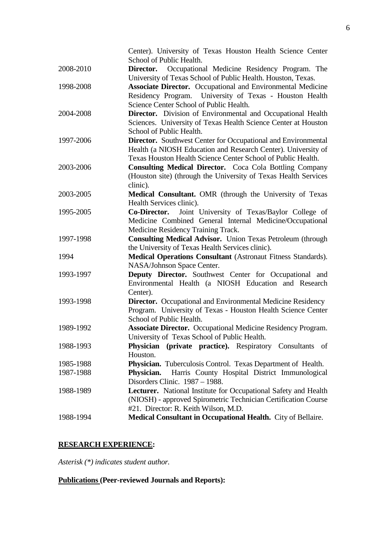|           | Center). University of Texas Houston Health Science Center<br>School of Public Health.                                    |
|-----------|---------------------------------------------------------------------------------------------------------------------------|
| 2008-2010 |                                                                                                                           |
|           | Occupational Medicine Residency Program. The<br>Director.<br>University of Texas School of Public Health. Houston, Texas. |
| 1998-2008 | <b>Associate Director.</b> Occupational and Environmental Medicine                                                        |
|           | Residency Program. University of Texas - Houston Health                                                                   |
|           |                                                                                                                           |
|           | Science Center School of Public Health.                                                                                   |
| 2004-2008 | <b>Director.</b> Division of Environmental and Occupational Health                                                        |
|           | Sciences. University of Texas Health Science Center at Houston                                                            |
|           | School of Public Health.                                                                                                  |
| 1997-2006 | <b>Director.</b> Southwest Center for Occupational and Environmental                                                      |
|           | Health (a NIOSH Education and Research Center). University of                                                             |
|           | Texas Houston Health Science Center School of Public Health.                                                              |
| 2003-2006 | <b>Consulting Medical Director.</b> Coca Cola Bottling Company                                                            |
|           | (Houston site) (through the University of Texas Health Services                                                           |
|           | clinic).                                                                                                                  |
| 2003-2005 | Medical Consultant. OMR (through the University of Texas                                                                  |
|           | Health Services clinic).                                                                                                  |
| 1995-2005 | Joint University of Texas/Baylor College of<br>Co-Director.                                                               |
|           | Medicine Combined General Internal Medicine/Occupational                                                                  |
|           | Medicine Residency Training Track.                                                                                        |
| 1997-1998 | <b>Consulting Medical Advisor.</b> Union Texas Petroleum (through                                                         |
|           | the University of Texas Health Services clinic).                                                                          |
| 1994      | <b>Medical Operations Consultant</b> (Astronaut Fitness Standards).                                                       |
|           | NASA/Johnson Space Center.                                                                                                |
| 1993-1997 | Deputy Director. Southwest Center for Occupational and                                                                    |
|           | Environmental Health (a NIOSH Education and Research                                                                      |
|           | Center).                                                                                                                  |
| 1993-1998 | <b>Director.</b> Occupational and Environmental Medicine Residency                                                        |
|           | Program. University of Texas - Houston Health Science Center                                                              |
|           | School of Public Health.                                                                                                  |
| 1989-1992 | <b>Associate Director.</b> Occupational Medicine Residency Program.                                                       |
|           | University of Texas School of Public Health.                                                                              |
| 1988-1993 | Physician (private practice). Respiratory Consultants of                                                                  |
|           | Houston.                                                                                                                  |
| 1985-1988 | Physician. Tuberculosis Control. Texas Department of Health.                                                              |
| 1987-1988 | Harris County Hospital District Immunological<br>Physician.                                                               |
|           | Disorders Clinic. 1987 - 1988.                                                                                            |
| 1988-1989 | Lecturer. National Institute for Occupational Safety and Health                                                           |
|           | (NIOSH) - approved Spirometric Technician Certification Course                                                            |
|           | #21. Director: R. Keith Wilson, M.D.                                                                                      |
| 1988-1994 | Medical Consultant in Occupational Health. City of Bellaire.                                                              |

# **RESEARCH EXPERIENCE:**

*Asterisk (\*) indicates student author.*

# **Publications (Peer-reviewed Journals and Reports):**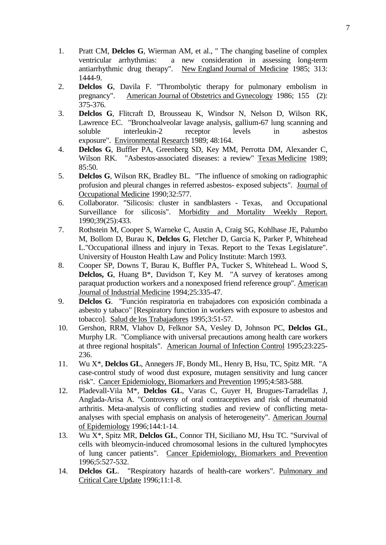- 1. Pratt CM, **Delclos G**, Wierman AM, et al., " The changing baseline of complex ventricular arrhythmias: a new consideration in assessing long-term antiarrhythmic drug therapy". New England Journal of Medicine 1985; 313: 1444-9.
- 2. **Delclos G**, Davila F. "Thrombolytic therapy for pulmonary embolism in pregnancy". American Journal of Obstetrics and Gynecology 1986; 155 (2): 375-376.
- 3. **Delclos G**, Flitcraft D, Brousseau K, Windsor N, Nelson D, Wilson RK, Lawrence EC. "Bronchoalveolar lavage analysis, gallium-67 lung scanning and soluble interleukin-2 receptor levels in asbestos exposure". Environmental Research 1989; 48:164.
- 4. **Delclos G**, Buffler PA, Greenberg SD, Key MM, Perrotta DM, Alexander C, Wilson RK. "Asbestos-associated diseases: a review" Texas Medicine 1989; 85:50.
- 5. **Delclos G**, Wilson RK, Bradley BL. "The influence of smoking on radiographic profusion and pleural changes in referred asbestos- exposed subjects". Journal of Occupational Medicine 1990;32:577.
- 6. Collaborator. "Silicosis: cluster in sandblasters Texas, and Occupational Surveillance for silicosis". Morbidity and Mortality Weekly Report. 1990;39(25):433.
- 7. Rothstein M, Cooper S, Warneke C, Austin A, Craig SG, Kohlhase JE, Palumbo M, Bollom D, Burau K, **Delclos G**, Fletcher D, Garcia K, Parker P, Whitehead L."Occupational illness and injury in Texas. Report to the Texas Legislature". University of Houston Health Law and Policy Institute: March 1993.
- 8. Cooper SP, Downs T, Burau K, Buffler PA, Tucker S, Whitehead L. Wood S, **Delclos, G**, Huang B<sup>\*</sup>, Davidson T, Key M. "A survey of keratoses among paraquat production workers and a nonexposed friend reference group". American Journal of Industrial Medicine 1994;25:335-47.
- 9. **Delclos G**. "Función respiratoria en trabajadores con exposición combinada a asbesto y tabaco" [Respiratory function in workers with exposure to asbestos and tobacco]. Salud de los Trabajadores 1995;3:51-57.
- 10. Gershon, RRM, Vlahov D, Felknor SA, Vesley D, Johnson PC, **Delclos GL**, Murphy LR. "Compliance with universal precautions among health care workers at three regional hospitals". American Journal of Infection Control 1995;23:225- 236.
- 11. Wu X\*, **Delclos GL**, Annegers JF, Bondy ML, Henry B, Hsu, TC, Spitz MR. "A case-control study of wood dust exposure, mutagen sensitivity and lung cancer risk". Cancer Epidemiology, Biomarkers and Prevention 1995;4:583-588.
- 12. Pladevall-Vila M\*, **Delclos GL**, Varas C, Guyer H, Brugues-Tarradellas J, Anglada-Arisa A. "Controversy of oral contraceptives and risk of rheumatoid arthritis. Meta-analysis of conflicting studies and review of conflicting metaanalyses with special emphasis on analysis of heterogeneity". American Journal of Epidemiology 1996;144:1-14.
- 13. Wu X\*, Spitz MR, **Delclos GL**, Connor TH, Siciliano MJ, Hsu TC. "Survival of cells with bleomycin-induced chromosomal lesions in the cultured lymphocytes of lung cancer patients". Cancer Epidemiology, Biomarkers and Prevention 1996;5:527-532.
- 14. **Delclos GL**. "Respiratory hazards of health-care workers". Pulmonary and Critical Care Update 1996;11:1-8.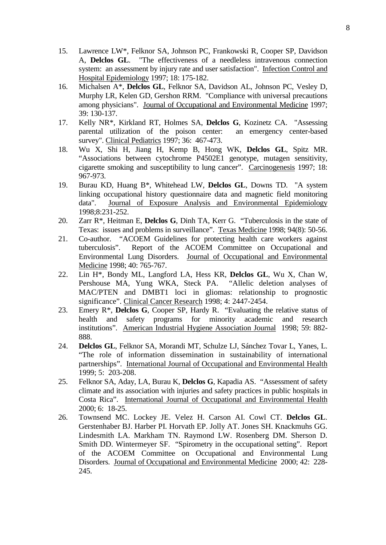- 15. Lawrence LW\*, Felknor SA, Johnson PC, Frankowski R, Cooper SP, Davidson A, **Delclos GL**. "The effectiveness of a needleless intravenous connection system: an assessment by injury rate and user satisfaction". Infection Control and Hospital Epidemiology 1997; 18: 175-182.
- 16. Michalsen A\*, **Delclos GL**, Felknor SA, Davidson AL, Johnson PC, Vesley D, Murphy LR, Kelen GD, Gershon RRM. "Compliance with universal precautions among physicians". Journal of Occupational and Environmental Medicine 1997; 39: 130-137.
- 17. Kelly NR\*, Kirkland RT, Holmes SA, **Delclos G**, Kozinetz CA. "Assessing parental utilization of the poison center: an emergency center-based survey". Clinical Pediatrics 1997; 36: 467-473.
- 18. Wu X, Shi H, Jiang H, Kemp B, Hong WK, **Delclos GL**, Spitz MR. "Associations between cytochrome P4502E1 genotype, mutagen sensitivity, cigarette smoking and susceptibility to lung cancer". Carcinogenesis 1997; 18: 967-973.
- 19. Burau KD, Huang B\*, Whitehead LW, **Delclos GL**, Downs TD. "A system linking occupational history questionnaire data and magnetic field monitoring data". Journal of Exposure Analysis and Environmental Epidemiology Journal of Exposure Analysis and Environmental Epidemiology 1998;8:231-252.
- 20. Zarr R\*, Heitman E, **Delclos G**, Dinh TA, Kerr G. "Tuberculosis in the state of Texas: issues and problems in surveillance". Texas Medicine 1998; 94(8): 50-56.
- 21. Co-author. "ACOEM Guidelines for protecting health care workers against tuberculosis". Report of the ACOEM Committee on Occupational and Environmental Lung Disorders. Journal of Occupational and Environmental Medicine 1998; 40: 765-767.
- 22. Lin H\*, Bondy ML, Langford LA, Hess KR, **Delclos GL**, Wu X, Chan W, Pershouse MA, Yung WKA, Steck PA. "Allelic deletion analyses of MAC/PTEN and DMBT1 loci in gliomas: relationship to prognostic significance". Clinical Cancer Research 1998; 4: 2447-2454.
- 23. Emery R\*, **Delclos G**, Cooper SP, Hardy R. "Evaluating the relative status of health and safety programs for minority academic and research institutions". American Industrial Hygiene Association Journal 1998; 59: 882- 888.
- 24. **Delclos GL**, Felknor SA, Morandi MT, Schulze LJ, Sánchez Tovar L, Yanes, L. "The role of information dissemination in sustainability of international partnerships". International Journal of Occupational and Environmental Health 1999; 5: 203-208.
- 25. Felknor SA, Aday, LA, Burau K, **Delclos G**, Kapadia AS. "Assessment of safety climate and its association with injuries and safety practices in public hospitals in Costa Rica". International Journal of Occupational and Environmental Health 2000; 6: 18-25.
- 26. Townsend MC. Lockey JE. Velez H. Carson AI. Cowl CT. **Delclos GL**. Gerstenhaber BJ. Harber PI. Horvath EP. Jolly AT. Jones SH. Knackmuhs GG. Lindesmith LA. Markham TN. Raymond LW. Rosenberg DM. Sherson D. Smith DD. Wintermeyer SF. "Spirometry in the occupational setting". Report of the ACOEM Committee on Occupational and Environmental Lung Disorders. Journal of Occupational and Environmental Medicine 2000; 42: 228- 245.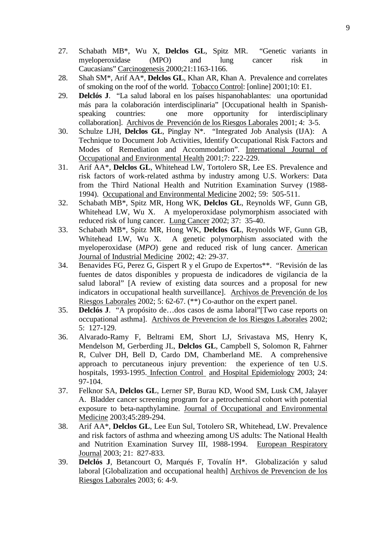- 27. Schabath MB\*, Wu X, **Delclos GL**, Spitz MR. "Genetic variants in myeloperoxidase (MPO) and lung cancer risk in Caucasians" Carcinogenesis 2000;21:1163-1166.
- 28. Shah SM\*, Arif AA\*, **Delclos GL**, Khan AR, Khan A. Prevalence and correlates of smoking on the roof of the world. Tobacco Control: [online] 2001;10: E1.
- 29. **Delclós J**. "La salud laboral en los países hispanohablantes: una oportunidad más para la colaboración interdisciplinaria" [Occupational health in Spanishspeaking countries: one more opportunity for interdisciplinary collaboration]. Archivos de Prevención de los Riesgos Laborales 2001; 4: 3-5.
- 30. Schulze LJH, **Delclos GL**, Pinglay N\*. "Integrated Job Analysis (IJA): A Technique to Document Job Activities, Identify Occupational Risk Factors and Modes of Remediation and Accommodation". International Journal of Occupational and Environmental Health 2001;7: 222-229.
- 31. Arif AA\*, **Delclos GL**, Whitehead LW, Tortolero SR, Lee ES. Prevalence and risk factors of work-related asthma by industry among U.S. Workers: Data from the Third National Health and Nutrition Examination Survey (1988- 1994). Occupational and Environmental Medicine 2002; 59: 505-511.
- 32. Schabath MB\*, Spitz MR, Hong WK, **Delclos GL**, Reynolds WF, Gunn GB, Whitehead LW, Wu X. A myeloperoxidase polymorphism associated with reduced risk of lung cancer. Lung Cancer 2002; 37: 35-40.
- 33. Schabath MB\*, Spitz MR, Hong WK, **Delclos GL**, Reynolds WF, Gunn GB, Whitehead LW, Wu X. A genetic polymorphism associated with the myeloperoxidase (*MPO*) gene and reduced risk of lung cancer. American Journal of Industrial Medicine 2002; 42: 29-37.
- 34. Benavides FG, Perez G, Gispert R y el Grupo de Expertos\*\*. "Revisión de las fuentes de datos disponibles y propuesta de indicadores de vigilancia de la salud laboral" [A review of existing data sources and a proposal for new indicators in occupational health surveillance]. Archivos de Prevención de los Riesgos Laborales 2002; 5: 62-67. (\*\*) Co-author on the expert panel.
- 35. **Delclós J**. "A propósito de…dos casos de asma laboral"[Two case reports on occupational asthma]. Archivos de Prevencion de los Riesgos Laborales 2002; 5: 127-129.
- 36. Alvarado-Ramy F, Beltrami EM, Short LJ, Srivastava MS, Henry K, Mendelson M, Gerberding JL, **Delclos GL**, Campbell S, Solomon R, Fahrner R, Culver DH, Bell D, Cardo DM, Chamberland ME. A comprehensive approach to percutaneous injury prevention: the experience of ten U.S. hospitals, 1993-1995. Infection Control and Hospital Epidemiology 2003; 24: 97-104.
- 37. Felknor SA, **Delclos GL**, Lerner SP, Burau KD, Wood SM, Lusk CM, Jalayer A. Bladder cancer screening program for a petrochemical cohort with potential exposure to beta-napthylamine*.* Journal of Occupational and Environmental Medicine 2003;45:289-294.
- 38. Arif AA\*, **Delclos GL**, Lee Eun Sul, Totolero SR, Whitehead, LW. Prevalence and risk factors of asthma and wheezing among US adults: The National Health and Nutrition Examination Survey III, 1988-1994. European Respiratory Journal 2003; 21: 827-833.
- 39. **Delclós J**, Betancourt O, Marqués F, Tovalín H\*. Globalización y salud laboral [Globalization and occupational health] Archivos de Prevencion de los Riesgos Laborales 2003; 6: 4-9.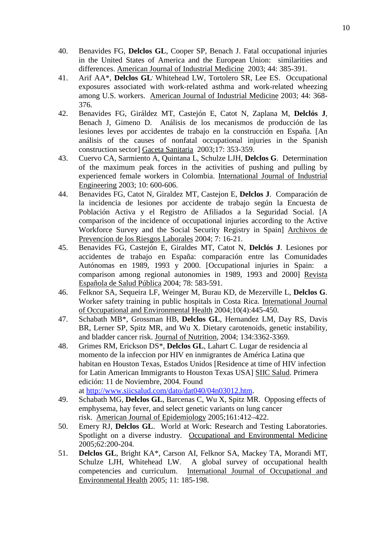- 40. Benavides FG, **Delclos GL**, Cooper SP, Benach J. Fatal occupational injuries in the United States of America and the European Union: similarities and differences. American Journal of Industrial Medicine 2003; 44: 385-391.
- 41. Arif AA\*, **Delclos GL**, Whitehead LW, Tortolero SR, Lee ES. Occupational exposures associated with work-related asthma and work-related wheezing among U.S. workers. American Journal of Industrial Medicine 2003; 44: 368- 376.
- 42. Benavides FG, Giráldez MT, Castejón E, Catot N, Zaplana M, **Delclós J**, Benach J, Gimeno D. Análisis de los mecanismos de producción de las lesiones leves por accidentes de trabajo en la construcción en España. [An análisis of the causes of nonfatal occupational injuries in the Spanish construction sector] Gaceta Sanitaria 2003;17: 353-359.
- 43. Cuervo CA, Sarmiento A, Quintana L, Schulze LJH, **Delclos G**. Determination of the maximum peak forces in the activities of pushing and pulling by experienced female workers in Colombia. International Journal of Industrial Engineering 2003; 10: 600-606.
- 44. Benavides FG, Catot N, Giraldez MT, Castejon E, **Delclos J**. Comparación de la incidencia de lesiones por accidente de trabajo según la Encuesta de Población Activa y el Registro de Afiliados a la Seguridad Social. [A comparison of the incidence of occupational injuries according to the Active Workforce Survey and the Social Security Registry in Spain] Archivos de Prevencion de los Riesgos Laborales 2004; 7: 16-21.
- 45. Benavides FG, Castejón E, Giraldes MT, Catot N, **Delclós J**. Lesiones por accidentes de trabajo en España: comparación entre las Comunidades Autónomas en 1989, 1993 y 2000. [Occupational injuries in Spain: a comparison among regional autonomies in 1989, 1993 and 2000] Revista Española de Salud Pública 2004; 78: 583-591.
- 46. Felknor SA, Sequeira LF, Weinger M, Burau KD, de Mezerville L, **Delclos G**. Worker safety training in public hospitals in Costa Rica. International Journal of Occupational and Environmental Health 2004;10(4):445-450.
- 47. Schabath MB\*, Grossman HB, **Delclos GL**, Hernandez LM, Day RS, Davis BR, Lerner SP, Spitz MR, and Wu X. Dietary carotenoids, genetic instability, and bladder cancer risk. Journal of Nutrition, 2004; 134:3362-3369.
- 48. Grimes RM, Erickson DS\*, **Delclos GL**, Lahart C. Lugar de residencia al momento de la infeccion por HIV en inmigrantes de América Latina que habitan en Houston Texas, Estados Unidos [Residence at time of HIV infection for Latin American Immigrants to Houston Texas USA] SIIC Salud. Primera edición: 11 de Noviembre, 2004. Found at [http://www.siicsalud.com/dato/dat040/04n03012.htm.](https://uthmail2.uth.tmc.edu/exchweb/bin/redir.asp?URL=http://www.siicsalud.com/dato/dat040/04n03012.htm)
- 49. Schabath MG, **Delclos GL**, Barcenas C, Wu X, Spitz MR. Opposing effects of emphysema, hay fever, and select genetic variants on lung cancer risk. American Journal of Epidemiology 2005;161:412–422.
- 50. Emery RJ, **Delclos GL**. World at Work: Research and Testing Laboratories. Spotlight on a diverse industry. Occupational and Environmental Medicine 2005;62:200-204.
- 51. **Delclos GL**, Bright KA\*, Carson AI, Felknor SA, Mackey TA, Morandi MT, Schulze LJH, Whitehead LW. A global survey of occupational health competencies and curriculum. International Journal of Occupational and Environmental Health 2005; 11: 185-198.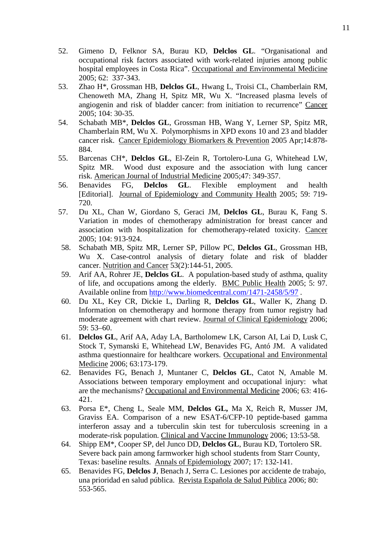- 52. Gimeno D, Felknor SA, Burau KD, **Delclos GL**. "Organisational and occupational risk factors associated with work-related injuries among public hospital employees in Costa Rica". Occupational and Environmental Medicine 2005; 62: 337-343.
- 53. Zhao H\*, Grossman HB, **Delclos GL**, Hwang L, Troisi CL, Chamberlain RM, Chenoweth MA, Zhang H, Spitz MR, Wu X. "Increased plasma levels of angiogenin and risk of bladder cancer: from initiation to recurrence" Cancer 2005; 104: 30-35.
- 54. Schabath MB\*, **Delclos GL**, Grossman HB, Wang Y, Lerner SP, Spitz MR, Chamberlain RM, Wu X. Polymorphisms in XPD exons 10 and 23 and bladder cancer risk. Cancer Epidemiology Biomarkers & Prevention 2005 Apr;14:878- 884.
- 55. Barcenas CH\*, **Delclos GL**, El-Zein R, Tortolero-Luna G, Whitehead LW, Spitz MR. Wood dust exposure and the association with lung cancer risk. American Journal of Industrial Medicine 2005;47: 349-357.<br>Benavides FG, **Delclos GL**. Flexible employment
- 56. Benavides FG, **Delclos GL**. Flexible employment and health [Editorial]. Journal of Epidemiology and Community Health 2005; 59: 719- 720.
- 57. Du XL, Chan W, Giordano S, Geraci JM, **Delclos GL**, Burau K, Fang S. Variation in modes of chemotherapy administration for breast cancer and association with hospitalization for chemotherapy-related toxicity. Cancer 2005; 104: 913-924.
- 58. Schabath MB, Spitz MR, Lerner SP, Pillow PC, **Delclos GL**, Grossman HB, Wu X. Case-control analysis of dietary folate and risk of bladder cancer. Nutrition and Cancer 53(2):144-51, 2005.
- 59. Arif AA, Rohrer JE, **Delclos GL**. A population-based study of asthma, quality of life, and occupations among the elderly. BMC Public Health 2005; 5: 97. Available online from<http://www.biomedcentral.com/1471-2458/5/97> .
- 60. Du XL, Key CR, Dickie L, Darling R, **Delclos GL**, Waller K, Zhang D. Information on chemotherapy and hormone therapy from tumor registry had moderate agreement with chart review. Journal of Clinical Epidemiology 2006; 59: 53–60.
- 61. **Delclos GL**, Arif AA, Aday LA, Bartholomew LK, Carson AI, Lai D, Lusk C, Stock T, Symanski E, Whitehead LW, Benavides FG, Antó JM. A validated asthma questionnaire for healthcare workers. Occupational and Environmental Medicine 2006; 63:173-179.
- 62. Benavides FG, Benach J, Muntaner C, **Delclos GL**, Catot N, Amable M. Associations between temporary employment and occupational injury: what are the mechanisms? Occupational and Environmental Medicine 2006; 63: 416- 421.
- 63. Porsa E\*, Cheng L, Seale MM, **Delclos GL,** Ma X, Reich R, Musser JM, Graviss EA. Comparison of a new ESAT-6/CFP-10 peptide-based gamma interferon assay and a tuberculin skin test for tuberculosis screening in a moderate-risk population. Clinical and Vaccine Immunology 2006; 13:53-58.
- 64. Shipp EM\*, Cooper SP, del Junco DD, **Delclos GL**, Burau KD, Tortolero SR. Severe back pain among farmworker high school students from Starr County, Texas: baseline results. Annals of Epidemiology 2007; 17: 132-141.
- 65. Benavides FG, **Delclos J**, Benach J, Serra C. Lesiones por accidente de trabajo, una prioridad en salud pública. Revista Española de Salud Pública 2006; 80: 553-565.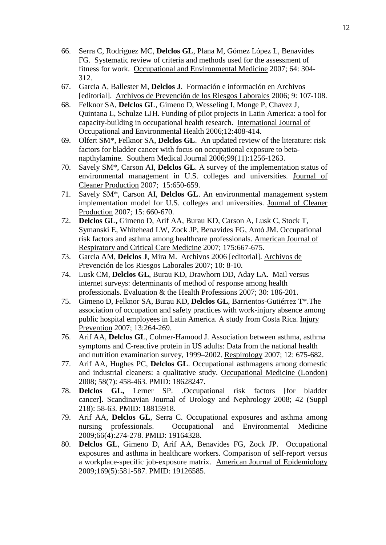- 66. Serra C, Rodriguez MC, **Delclos GL**, Plana M, Gómez López L, Benavides FG. Systematic review of criteria and methods used for the assessment of fitness for work. Occupational and Environmental Medicine 2007; 64: 304- 312.
- 67. Garcia A, Ballester M, **Delclos J**. Formación e información en Archivos [editorial]. Archivos de Prevención de los Riesgos Laborales 2006; 9: 107-108.
- 68. Felknor SA, **Delclos GL**, Gimeno D, Wesseling I, Monge P, Chavez J, Quintana L, Schulze LJH. Funding of pilot projects in Latin America: a tool for capacity-building in occupational health research. International Journal of Occupational and Environmental Health 2006;12:408-414.
- 69. Olfert SM\*, Felknor SA, **Delclos GL**. An updated review of the literature: risk factors for bladder cancer with focus on occupational exposure to betanapthylamine. Southern Medical Journal 2006;99(11):1256-1263.
- 70. Savely SM\*, Carson AI, **Delclos GL**. A survey of the implementation status of environmental management in U.S. colleges and universities. Journal of Cleaner Production 2007; 15:650-659.
- 71. Savely SM\*, Carson AI, **Delclos GL**. An environmental management system implementation model for U.S. colleges and universities. Journal of Cleaner Production 2007; 15: 660-670.
- 72. **Delclos GL,** Gimeno D, Arif AA, Burau KD, Carson A, Lusk C, Stock T, Symanski E, Whitehead LW, Zock JP, Benavides FG, Antó JM. Occupational risk factors and asthma among healthcare professionals. American Journal of Respiratory and Critical Care Medicine 2007; 175:667-675.
- 73. Garcia AM, **Delclos J**, Mira M. Archivos 2006 [editorial]. Archivos de Prevención de los Riesgos Laborales 2007; 10: 8-10.
- 74. Lusk CM, **Delclos GL**, Burau KD, Drawhorn DD, Aday LA. Mail versus internet surveys: determinants of method of response among health professionals. Evaluation & the Health Professions 2007; 30: 186-201.
- 75. Gimeno D, Felknor SA, Burau KD, **Delclos GL**, Barrientos-Gutiérrez T\*.The association of occupation and safety practices with work-injury absence among public hospital employees in Latin America. A study from Costa Rica. Injury Prevention 2007; 13:264-269.
- 76. Arif AA, **Delclos GL**, Colmer-Hamood J. Association between asthma, asthma symptoms and C-reactive protein in US adults: Data from the national health and nutrition examination survey, 1999–2002. Respirology 2007; 12: 675-682.
- 77. Arif AA, Hughes PC, **Delclos GL**. Occupational asthmagens among domestic and industrial cleaners: a qualitative study. Occupational Medicine (London) 2008; 58(7): 458-463. PMID: 18628247.
- 78. **Delclos GL,** Lerner SP. .Occupational risk factors [for bladder cancer]. Scandinavian Journal of Urology and Nephrology 2008; 42 (Suppl 218): 58-63. PMID: 18815918.
- 79. Arif AA, **Delclos GL**, Serra C. Occupational exposures and asthma among nursing professionals. Occupational and Environmental Medicine 2009;66(4):274-278. PMID: 19164328.
- 80. **Delclos GL**, Gimeno D, Arif AA, Benavides FG, Zock JP. Occupational exposures and asthma in healthcare workers. Comparison of self-report versus a workplace-specific job-exposure matrix. American Journal of Epidemiology 2009;169(5):581-587. PMID: 19126585.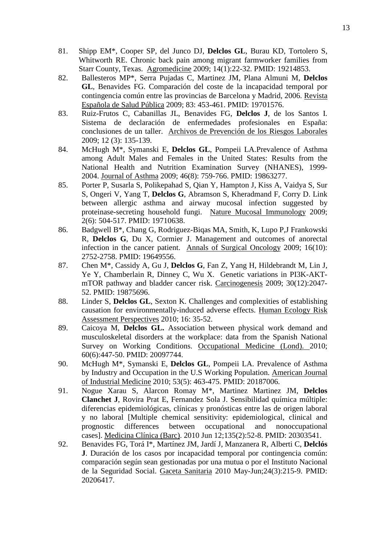- 81. Shipp EM\*, Cooper SP, del Junco DJ, **Delclos GL**, Burau KD, Tortolero S, Whitworth RE. Chronic back pain among migrant farmworker families from Starr County, Texas. Agromedicine 2009; 14(1):22-32. PMID: 19214853.
- 82. Ballesteros MP\*, Serra Pujadas C, Martinez JM, Plana Almuni M, **Delclos GL**, Benavides FG. Comparación del coste de la incapacidad temporal por contingencia común entre las provincias de Barcelona y Madrid, 2006. Revista Española de Salud Pública 2009; 83: 453-461. PMID: 19701576.
- 83. Ruiz-Frutos C, Cabanillas JL, Benavides FG, **Delclos J**, de los Santos I. Sistema de declaración de enfermedades profesionales en España: conclusiones de un taller. Archivos de Prevención de los Riesgos Laborales 2009; 12 (3): 135-139.
- 84. McHugh M\*, Symanski E, **Delclos GL**, Pompeii LA.Prevalence of Asthma among Adult Males and Females in the United States: Results from the National Health and Nutrition Examination Survey (NHANES), 1999- 2004. Journal of Asthma 2009; 46(8): 759-766. PMID: 19863277.
- 85. Porter P, Susarla S, Polikepahad S, Qian Y, Hampton J, Kiss A, Vaidya S, Sur S, Ongeri V, Yang T, **Delclos G**, Abramson S, Kheradmand F, Corry D. Link between allergic asthma and airway mucosal infection suggested by proteinase-secreting household fungi. Nature Mucosal Immunology 2009; 2(6): 504-517. PMID: 19710638.
- 86. Badgwell B\*, Chang G, Rodriguez-Biqas MA, Smith, K, Lupo P,J Frankowski R, **Delclos G**, Du X, Cormier J. Management and outcomes of anorectal infection in the cancer patient. Annals of Surgical Oncology 2009; 16(10): 2752-2758. PMID: 19649556.
- 87. Chen M\*, Cassidy A, Gu J, **Delclos G**, Fan Z, Yang H, Hildebrandt M, Lin J, Ye Y, Chamberlain R, Dinney C, Wu X. Genetic variations in PI3K-AKTmTOR pathway and bladder cancer risk. Carcinogenesis 2009; 30(12):2047- 52. PMID: 19875696.
- 88. Linder S, **Delclos GL**, Sexton K. Challenges and complexities of establishing causation for environmentally-induced adverse effects. Human Ecology Risk Assessment Perspectives 2010; 16: 35-52.
- 89. Caicoya M, **Delclos GL.** Association between physical work demand and musculoskeletal disorders at the workplace: data from the Spanish National Survey on Working Conditions. Occupational Medicine (Lond). 2010; 60(6):447-50. PMID: 20097744.
- 90. McHugh M\*, Symanski E, **Delclos GL**, Pompeii LA. Prevalence of Asthma by Industry and Occupation in the U.S Working Population. American Journal of Industrial Medicine 2010; 53(5): 463-475. PMID: 20187006.
- 91. Nogue Xarau S, Alarcon Romay M\*, Martinez Martinez JM, **Delclos Clanchet J**, Rovira Prat E, Fernandez Sola J. Sensibilidad química múltiple: diferencias epidemiológicas, clínicas y pronósticas entre las de origen laboral y no laboral [Multiple chemical sensitivity: epidemiological, clinical and prognostic differences between occupational and nonoccupational cases]. Medicina Clínica (Barc). 2010 Jun 12;135(2):52-8. PMID: 20303541.
- 92. Benavides FG, Torá I\*, Martínez JM, Jardí J, Manzanera R, Alberti C, **Delclós J**. Duración de los casos por incapacidad temporal por contingencia común: comparación según sean gestionadas por una mutua o por el Instituto Nacional de la Seguridad Social. Gaceta Sanitaria 2010 May-Jun;24(3):215-9. PMID: 20206417.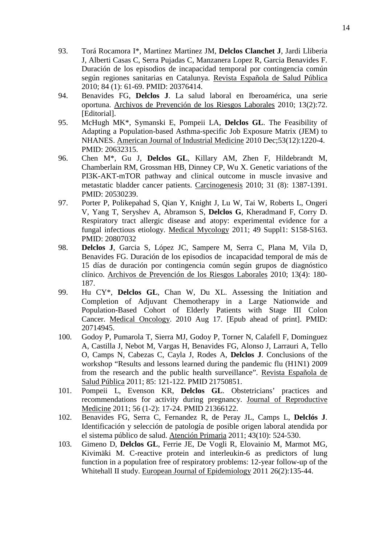- 93. Torá Rocamora I\*, Martinez Martinez JM, **Delclos Clanchet J**, Jardi Lliberia J, Alberti Casas C, Serra Pujadas C, Manzanera Lopez R, Garcia Benavides F. Duración de los episodios de incapacidad temporal por contingencia común según regiones sanitarias en Catalunya. Revista Española de Salud Pública 2010; 84 (1): 61-69. PMID: 20376414.
- 94. Benavides FG, **Delclos J**. La salud laboral en Iberoamérica, una serie oportuna. Archivos de Prevención de los Riesgos Laborales 2010; 13(2):72. [Editorial].
- 95. McHugh MK\*, Symanski E, Pompeii LA, **Delclos GL**. The Feasibility of Adapting a Population-based Asthma-specific Job Exposure Matrix (JEM) to NHANES. American Journal of Industrial Medicine 2010 Dec;53(12):1220-4. PMID: 20632315.
- 96. Chen M\*, Gu J, **Delclos GL**, Killary AM, Zhen F, Hildebrandt M, Chamberlain RM, Grossman HB, Dinney CP, Wu X. Genetic variations of the PI3K-AKT-mTOR pathway and clinical outcome in muscle invasive and metastatic bladder cancer patients. Carcinogenesis 2010; 31 (8): 1387-1391. PMID: 20530239.
- 97. Porter P, Polikepahad S, Qian Y, Knight J, Lu W, Tai W, Roberts L, Ongeri V, Yang T, Seryshev A, Abramson S, **Delclos G**, Kheradmand F, Corry D. Respiratory tract allergic disease and atopy: experimental evidence for a fungal infectious etiology. Medical Mycology 2011; 49 Suppl1: S158-S163. PMID: 20807032
- 98. **Delclos J**, Garcia S, López JC, Sampere M, Serra C, Plana M, Vila D, Benavides FG. Duración de los episodios de incapacidad temporal de más de 15 días de duración por contingencia común según grupos de diagnóstico clínico. Archivos de Prevención de los Riesgos Laborales 2010; 13(4): 180- 187.
- 99. Hu CY\*, **Delclos GL**, Chan W, Du XL. Assessing the Initiation and Completion of Adjuvant Chemotherapy in a Large Nationwide and Population-Based Cohort of Elderly Patients with Stage III Colon Cancer. Medical Oncology. 2010 Aug 17. [Epub ahead of print]. PMID: 20714945.
- 100. Godoy P, Pumarola T, Sierra MJ, Godoy P, Torner N, Calafell F, Dominguez A, Castilla J, Nebot M, Vargas H, Benavides FG, Alonso J, Larrauri A, Tello O, Camps N, Cabezas C, Cayla J, Rodes A, **Delclos J**. Conclusions of the workshop "Results and lessons learned during the pandemic flu (H1N1) 2009 from the research and the public health surveillance". Revista Española de Salud Pública 2011; 85: 121-122. PMID 21750851.
- 101. Pompeii L, Evenson KR, **Delclos GL**. Obstetricians' practices and recommendations for activity during pregnancy. Journal of Reproductive Medicine 2011; 56 (1-2): 17-24. PMID 21366122.
- 102. Benavides FG, Serra C, Fernandez R, de Peray JL, Camps L, **Delclós J**. Identificación y selección de patología de posible origen laboral atendida por el sistema público de salud. Atención Primaria 2011; 43(10): 524-530.
- 103. Gimeno D, **Delclos GL**, Ferrie JE, De Vogli R, Elovainio M, Marmot MG, Kivimäki M. C-reactive protein and interleukin-6 as predictors of lung function in a population free of respiratory problems: 12-year follow-up of the Whitehall II study. European Journal of Epidemiology 2011 26(2):135-44.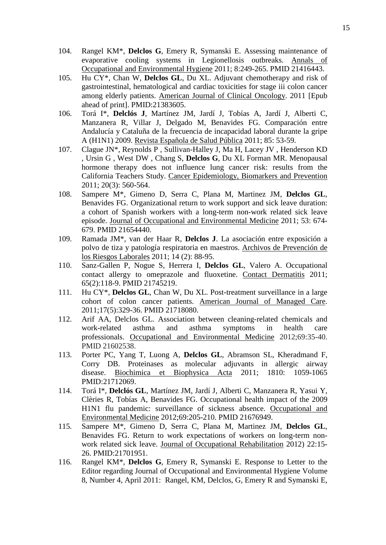- 104. Rangel KM\*, **Delclos G**, Emery R, Symanski E. Assessing maintenance of evaporative cooling systems in Legionellosis outbreaks. Annals of Occupational and Environmental Hygiene 2011; 8:249-265. PMID 21416443.
- 105. Hu CY\*, Chan W, **Delclos GL**, Du XL. Adjuvant chemotherapy and risk of gastrointestinal, hematological and cardiac toxicities for stage iii colon cancer among elderly patients. American Journal of Clinical Oncology. 2011 [Epub ahead of print]. PMID:21383605.
- 106. Torá I\*, **Delclós J**, Martínez JM, Jardí J, Tobías A, Jardí J, Alberti C, Manzanera R, Villar J, Delgado M, Benavides FG. Comparación entre Andalucía y Cataluña de la frecuencia de incapacidad laboral durante la gripe A (H1N1) 2009. Revista Española de Salud Pública 2011; 85: 53-59.
- 107. Clague JN\*, Reynolds P , Sullivan-Halley J, Ma H, Lacey JV , Henderson KD , Ursin G , West DW , Chang S, **Delclos G**, Du XL Forman MR. Menopausal hormone therapy does not influence lung cancer risk: results from the California Teachers Study. Cancer Epidemiology, Biomarkers and Prevention 2011; 20(3): 560-564.
- 108. Sampere M\*, Gimeno D, Serra C, Plana M, Martinez JM, **Delclos GL**, Benavides FG. Organizational return to work support and sick leave duration: a cohort of Spanish workers with a long-term non-work related sick leave episode. Journal of Occupational and Environmental Medicine 2011; 53: 674- 679. PMID 21654440.
- 109. Ramada JM\*, van der Haar R, **Delclos J**. La asociación entre exposición a polvo de tiza y patología respiratoria en maestros. Archivos de Prevención de los Riesgos Laborales 2011; 14 (2): 88-95.
- 110. Sanz-Gallen P, Nogue S, Herrera I, **Delclos GL**, Valero A. Occupational contact allergy to omeprazole and fluoxetine. Contact Dermatitis 2011; 65(2):118-9. PMID 21745219.
- 111. Hu CY\*, **Delclos GL**, Chan W, Du XL. Post-treatment surveillance in a large cohort of colon cancer patients. American Journal of Managed Care. 2011;17(5):329-36. PMID 21718080.
- 112. Arif AA, Delclos GL. Association between cleaning-related chemicals and work-related asthma and asthma symptoms in health care professionals. Occupational and Environmental Medicine 2012;69:35-40. PMID 21602538.
- 113. Porter PC, Yang T, Luong A, **Delclos GL**, Abramson SL, Kheradmand F, Corry DB. Proteinases as molecular adjuvants in allergic airway disease. Biochimica et Biophysica Acta 2011; 1810: 1059-1065 PMID:21712069.
- 114. Torá I\*, **Delclós GL**, Martínez JM, Jardí J, Alberti C, Manzanera R, Yasui Y, Clèries R, Tobías A, Benavides FG. Occupational health impact of the 2009 H1N1 flu pandemic: surveillance of sickness absence. Occupational and Environmental Medicine 2012;69:205-210. PMID 21676949.
- 115. Sampere M\*, Gimeno D, Serra C, Plana M, Martinez JM, **Delclos GL**, Benavides FG. Return to work expectations of workers on long-term nonwork related sick leave. Journal of Occupational Rehabilitation 2012) 22:15- 26. PMID:21701951.
- 116. Rangel KM\*, **Delclos G**, Emery R, Symanski E. Response to Letter to the Editor regarding Journal of Occupational and Environmental Hygiene Volume 8, Number 4, April 2011: Rangel, KM, Delclos, G, Emery R and Symanski E,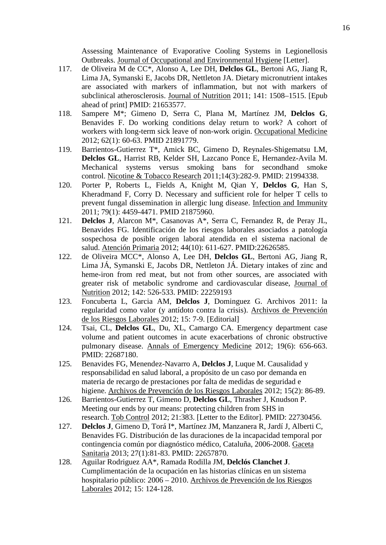Assessing Maintenance of Evaporative Cooling Systems in Legionellosis Outbreaks. Journal of Occupational and Environmental Hygiene [Letter].

- 117. de Oliveira M de CC\*, Alonso A, Lee DH, **Delclos GL**, Bertoni AG, Jiang R, Lima JA, Symanski E, Jacobs DR, Nettleton JA. Dietary micronutrient intakes are associated with markers of inflammation, but not with markers of subclinical atherosclerosis. Journal of Nutrition 2011; 141: 1508–1515. [Epub ahead of print] PMID: 21653577.
- 118. Sampere M\*; Gimeno D, Serra C, Plana M, Martínez JM, **Delclos G**, Benavides F. Do working conditions delay return to work? A cohort of workers with long-term sick leave of non-work origin. Occupational Medicine 2012; 62(1): 60-63. PMID 21891779.
- 119. Barrientos-Gutierrez T\*, Amick BC, Gimeno D, Reynales-Shigematsu LM, **Delclos GL**, Harrist RB, Kelder SH, Lazcano Ponce E, Hernandez-Avila M. Mechanical systems versus smoking bans for secondhand smoke control. Nicotine & Tobacco Research 2011;14(3):282-9. PMID: 21994338.
- 120. Porter P, Roberts L, Fields A, Knight M, Qian Y, **Delclos G**, Han S, Kheradmand F, Corry D. Necessary and sufficient role for helper T cells to prevent fungal dissemination in allergic lung disease. Infection and Immunity 2011; 79(1): 4459-4471. PMID 21875960.
- 121. **Delclos J**, Alarcon M\*, Casanovas A\*, Serra C, Fernandez R, de Peray JL, Benavides FG. Identificación de los riesgos laborales asociados a patología sospechosa de posible origen laboral atendida en el sistema nacional de salud. Atención Primaria 2012; 44(10): 611-627. PMID:22626585.
- 122. de Oliveira MCC\*, Alonso A, Lee DH, **Delclos GL**, Bertoni AG, Jiang R, Lima JÁ, Symanski E, Jacobs DR, Nettleton JÁ. Dietary intakes of zinc and heme-iron from red meat, but not from other sources, are associated with greater risk of metabolic syndrome and cardiovascular disease, Journal of Nutrition 2012; 142: 526-533. PMID: 22259193
- 123. Foncuberta L, Garcia AM, **Delclos J**, Dominguez G. Archivos 2011: la regularidad como valor (y antídoto contra la crisis). Archivos de Prevención de los Riesgos Laborales 2012; 15: 7-9. [Editorial]
- 124. Tsai, CL, **Delclos GL**, Du, XL, Camargo CA. Emergency department case volume and patient outcomes in acute exacerbations of chronic obstructive pulmonary disease. Annals of Emergency Medicine 2012; 19(6): 656-663. PMID: 22687180.
- 125. Benavides FG, Menendez-Navarro A, **Delclos J**, Luque M. Causalidad y responsabilidad en salud laboral, a propósito de un caso por demanda en materia de recargo de prestaciones por falta de medidas de seguridad e higiene. Archivos de Prevención de los Riesgos Laborales 2012; 15(2): 86-89.
- 126. Barrientos-Gutierrez T, Gimeno D, **Delclos GL**, Thrasher J, Knudson P. Meeting our ends by our means: protecting children from SHS in research. Tob Control 2012; 21:383. [Letter to the Editor]. PMID: 22730456.
- 127. **Delclos J**, Gimeno D, Torá I\*, Martínez JM, Manzanera R, Jardí J, Alberti C, Benavides FG. Distribución de las duraciones de la incapacidad temporal por contingencia común por diagnóstico médico, Cataluña, 2006-2008. Gaceta Sanitaria 2013; 27(1):81-83. PMID: 22657870.
- 128. Aguilar Rodriguez AA\*, Ramada Rodilla JM, **Delclós Clanchet J**. Cumplimentación de la ocupación en las historias clínicas en un sistema hospitalario público: 2006 – 2010. Archivos de Prevención de los Riesgos Laborales 2012; 15: 124-128.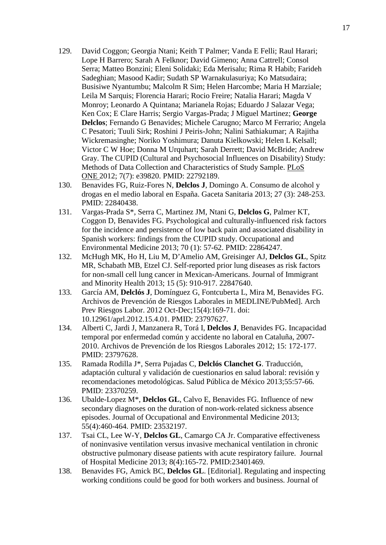- 129. David Coggon; Georgia Ntani; Keith T Palmer; Vanda E Felli; Raul Harari; Lope H Barrero; Sarah A Felknor; David Gimeno; Anna Cattrell; Consol Serra; Matteo Bonzini; Eleni Solidaki; Eda Merisalu; Rima R Habib; Farideh Sadeghian; Masood Kadir; Sudath SP Warnakulasuriya; Ko Matsudaira; Busisiwe Nyantumbu; Malcolm R Sim; Helen Harcombe; Maria H Marziale; Leila M Sarquis; Florencia Harari; Rocio Freire; Natalia Harari; Magda V Monroy; Leonardo A Quintana; Marianela Rojas; Eduardo J Salazar Vega; Ken Cox; E Clare Harris; Sergio Vargas-Prada; J Miguel Martinez; **George Delclos**; Fernando G Benavides; Michele Carugno; Marco M Ferrario; Angela C Pesatori; Tuuli Sirk; Roshini J Peiris-John; Nalini Sathiakumar; A Rajitha Wickremasinghe; Noriko Yoshimura; Danuta Kielkowski; Helen L Kelsall; Victor C W Hoe; Donna M Urquhart; Sarah Derrett; David McBride; Andrew Gray. The CUPID (Cultural and Psychosocial Influences on Disability) Study: Methods of Data Collection and Characteristics of Study Sample. PLoS ONE 2012; 7(7): e39820. PMID: 22792189.
- 130. Benavides FG, Ruiz-Fores N, **Delclos J**, Domingo A. Consumo de alcohol y drogas en el medio laboral en España. Gaceta Sanitaria 2013; 27 (3): 248-253. PMID: 22840438.
- 131. Vargas-Prada S\*, Serra C, Martinez JM, Ntani G, **Delclos G**, Palmer KT, Coggon D, Benavides FG. Psychological and culturally-influenced risk factors for the incidence and persistence of low back pain and associated disability in Spanish workers: findings from the CUPID study. Occupational and Environmental Medicine 2013; 70 (1): 57-62. PMID: 22864247.
- 132. McHugh MK, Ho H, Liu M, D'Amelio AM, Greisinger AJ, **Delclos GL**, Spitz MR, Schabath MB, Etzel CJ. Self-reported prior lung diseases as risk factors for non-small cell lung cancer in Mexican-Americans. Journal of Immigrant and Minority Health 2013; 15 (5): 910-917. 22847640.
- 133. García AM, **Delclós J**, Domínguez G, Fontcuberta L, Mira M, Benavides FG. Archivos de Prevención de Riesgos Laborales in MEDLINE/PubMed]. Arch Prev Riesgos Labor. 2012 Oct-Dec;15(4):169-71. doi: 10.12961/aprl.2012.15.4.01. PMID: 23797627.
- 134. Alberti C, Jardi J, Manzanera R, Torá I, **Delclos J**, Benavides FG. Incapacidad temporal por enfermedad común y accidente no laboral en Cataluña, 2007- 2010. Archivos de Prevención de los Riesgos Laborales 2012; 15: 172-177. PMID: 23797628.
- 135. Ramada Rodilla J\*, Serra Pujadas C, **Delclós Clanchet G**. Traducción, adaptación cultural y validación de cuestionarios en salud laboral: revisión y recomendaciones metodológicas. Salud Pública de México 2013;55:57-66. PMID: 23370259.
- 136. Ubalde-Lopez M\*, **Delclos GL**, Calvo E, Benavides FG. Influence of new secondary diagnoses on the duration of non-work-related sickness absence episodes. Journal of Occupational and Environmental Medicine 2013; 55(4):460-464. PMID: 23532197.
- 137. Tsai CL, Lee W-Y, **Delclos GL**, Camargo CA Jr. Comparative effectiveness of noninvasive ventilation versus invasive mechanical ventilation in chronic obstructive pulmonary disease patients with acute respiratory failure. Journal of Hospital Medicine 2013; 8(4):165-72. PMID:23401469.
- 138. Benavides FG, Amick BC, **Delclos GL**. [Editorial]. Regulating and inspecting working conditions could be good for both workers and business. Journal of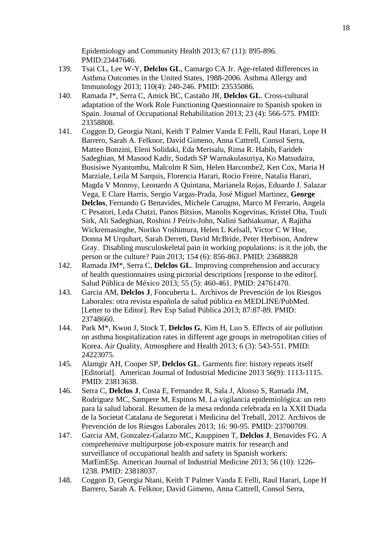Epidemiology and Community Health 2013; 67 (11): 895-896. PMID:23447646.

- 139. Tsai CL, Lee W-Y, **Delclos GL**, Camargo CA Jr. Age-related differences in Asthma Outcomes in the United States, 1988-2006. Asthma Allergy and Immunology 2013; 110(4): 240-246. PMID: 23535086.
- 140. Ramada J\*, Serra C, Amick BC, Castaño JR, **Delclos GL**. Cross-cultural adaptation of the Work Role Functioning Questionnaire to Spanish spoken in Spain. Journal of Occupational Rehabilitation 2013; 23 (4): 566-575. PMID: 23358808.
- 141. Coggon D, Georgia Ntani, Keith T Palmer Vanda E Felli, Raul Harari, Lope H Barrero, Sarah A. Felknor, David Gimeno, Anna Cattrell, Consol Serra, Matteo Bonzini, Eleni Solidaki, Eda Merisalu, Rima R. Habib, Farideh Sadeghian, M Masood Kadir, Sudath SP Warnakulasuriya, Ko Matsudaira, Busisiwe Nyantumbu, Malcolm R Sim, Helen Harcombe2, Ken Cox, Maria H Marziale, Leila M Sarquis, Florencia Harari, Rocio Freire, Natalia Harari, Magda V Monroy, Leonardo A Quintana, Marianela Rojas, Eduardo J. Salazar Vega, E Clare Harris, Sergio Vargas-Prada, José Miguel Martinez, **George Delclos**, Fernando G Benavides, Michele Carugno, Marco M Ferrario, Angela C Pesatori, Leda Chatzi, Panos Bitsios, Manolis Kogevinas, Kristel Oha, Tuuli Sirk, Ali Sadeghian, Roshini J Peiris-John, Nalini Sathiakumar, A Rajitha Wickremasinghe, Noriko Yoshimura, Helen L Kelsall, Victor C W Hoe, Donna M Urquhart, Sarah Derrett, David McBride, Peter Herbison, Andrew Gray. Disabling musculoskeletal pain in working populations: is it the job, the person or the culture? Pain 2013; 154 (6): 856-863. PMID: 23688828
- 142. Ramada JM\*, Serra C, **Delclos GL**. Improving comprehension and accuracy of health questionnaires using pictorial descriptions [response to the editor]. Salud Pública de México 2013; 55 (5): 460-461. PMID: 24761470.
- 143. Garcia AM, **Delclos J**, Foncuberta L. Archivos de Prevención de los Riesgos Laborales: otra revista española de salud pública en MEDLINE/PubMed. [Letter to the Editor]. Rev Esp Salud Pública 2013; 87:87-89. PMID: 23748660.
- 144. Park M\*, Kwon J, Stock T, **Delclos G**, Kim H, Luo S. Effects of air pollution on asthma hospitalization rates in different age groups in metropolitan cities of Korea. Air Quality, Atmosphere and Health 2013; 6 (3): 543-551. PMID: 24223075.
- 145. Alamgir AH, Cooper SP, **Delclos GL**. Garments fire: history repeats itself [Editorial]. American Journal of Industrial Medicine 2013 56(9): 1113-1115. PMID: 23813638.
- 146. Serra C, **Delclos J**, Costa E, Fernandez R, Sala J, Alonso S, Ramada JM, Rodriguez MC, Sampere M, Espinos M. La vigilancia epidemiológica: un reto para la salud laboral. Resumen de la mesa redonda celebrada en la XXII Diada de la Societat Catalana de Seguretat i Medicina del Treball, 2012. Archivos de Prevención de los Riesgos Laborales 2013; 16: 90-95. PMID: 23700709.
- 147. Garcia AM, Gonzalez-Galarzo MC, Kauppinen T, **Delclos J**, Benavides FG. A comprehensive multipurpose job-exposure matrix for research and surveillance of occupational health and safety in Spanish workers: MatEmESp. American Journal of Industrial Medicine 2013; 56 (10): 1226- 1238. PMID: 23818037.
- 148. Coggon D, Georgia Ntani, Keith T Palmer Vanda E Felli, Raul Harari, Lope H Barrero, Sarah A. Felknor, David Gimeno, Anna Cattrell, Consol Serra,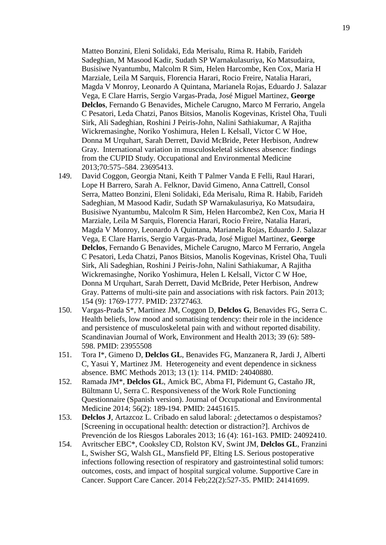Matteo Bonzini, Eleni Solidaki, Eda Merisalu, Rima R. Habib, Farideh Sadeghian, M Masood Kadir, Sudath SP Warnakulasuriya, Ko Matsudaira, Busisiwe Nyantumbu, Malcolm R Sim, Helen Harcombe, Ken Cox, Maria H Marziale, Leila M Sarquis, Florencia Harari, Rocio Freire, Natalia Harari, Magda V Monroy, Leonardo A Quintana, Marianela Rojas, Eduardo J. Salazar Vega, E Clare Harris, Sergio Vargas-Prada, José Miguel Martinez, **George Delclos**, Fernando G Benavides, Michele Carugno, Marco M Ferrario, Angela C Pesatori, Leda Chatzi, Panos Bitsios, Manolis Kogevinas, Kristel Oha, Tuuli Sirk, Ali Sadeghian, Roshini J Peiris-John, Nalini Sathiakumar, A Rajitha Wickremasinghe, Noriko Yoshimura, Helen L Kelsall, Victor C W Hoe, Donna M Urquhart, Sarah Derrett, David McBride, Peter Herbison, Andrew Gray. International variation in musculoskeletal sickness absence: findings from the CUPID Study. Occupational and Environmental Medicine 2013;70:575–584. 23695413.

- 149. David Coggon, Georgia Ntani, Keith T Palmer Vanda E Felli, Raul Harari, Lope H Barrero, Sarah A. Felknor, David Gimeno, Anna Cattrell, Consol Serra, Matteo Bonzini, Eleni Solidaki, Eda Merisalu, Rima R. Habib, Farideh Sadeghian, M Masood Kadir, Sudath SP Warnakulasuriya, Ko Matsudaira, Busisiwe Nyantumbu, Malcolm R Sim, Helen Harcombe2, Ken Cox, Maria H Marziale, Leila M Sarquis, Florencia Harari, Rocio Freire, Natalia Harari, Magda V Monroy, Leonardo A Quintana, Marianela Rojas, Eduardo J. Salazar Vega, E Clare Harris, Sergio Vargas-Prada, José Miguel Martinez, **George Delclos**, Fernando G Benavides, Michele Carugno, Marco M Ferrario, Angela C Pesatori, Leda Chatzi, Panos Bitsios, Manolis Kogevinas, Kristel Oha, Tuuli Sirk, Ali Sadeghian, Roshini J Peiris-John, Nalini Sathiakumar, A Rajitha Wickremasinghe, Noriko Yoshimura, Helen L Kelsall, Victor C W Hoe, Donna M Urquhart, Sarah Derrett, David McBride, Peter Herbison, Andrew Gray. Patterns of multi-site pain and associations with risk factors. Pain 2013; 154 (9): 1769-1777. PMID: 23727463.
- 150. Vargas-Prada S\*, Martinez JM, Coggon D, **Delclos G**, Benavides FG, Serra C. Health beliefs, low mood and somatising tendency: their role in the incidence and persistence of musculoskeletal pain with and without reported disability. Scandinavian Journal of Work, Environment and Health 2013; 39 (6): 589- 598. PMID: 23955508
- 151. Tora I\*, Gimeno D, **Delclos GL**, Benavides FG, Manzanera R, Jardi J, Alberti C, Yasui Y, Martinez JM. Heterogeneity and event dependence in sickness absence. BMC Methods 2013; 13 (1): 114. PMID: 24040880.
- 152. Ramada JM\*, **Delclos GL**, Amick BC, Abma FI, Pidemunt G, Castaño JR, Bültmann U, Serra C. Responsiveness of the Work Role Functioning Questionnaire (Spanish version). Journal of Occupational and Environmental Medicine 2014; 56(2): 189-194. PMID: 24451615.
- 153. **Delclos J**, Artazcoz L. Cribado en salud laboral: ¿detectamos o despistamos? [Screening in occupational health: detection or distraction?]. Archivos de Prevención de los Riesgos Laborales 2013; 16 (4): 161-163. PMID: 24092410.
- 154. Avritscher EBC\*, Cooksley CD, Rolston KV, Swint JM, **Delclos GL**, Franzini L, Swisher SG, Walsh GL, Mansfield PF, Elting LS. Serious postoperative infections following resection of respiratory and gastrointestinal solid tumors: outcomes, costs, and impact of hospital surgical volume. Supportive Care in Cancer. Support Care Cancer. 2014 Feb;22(2):527-35. PMID: 24141699.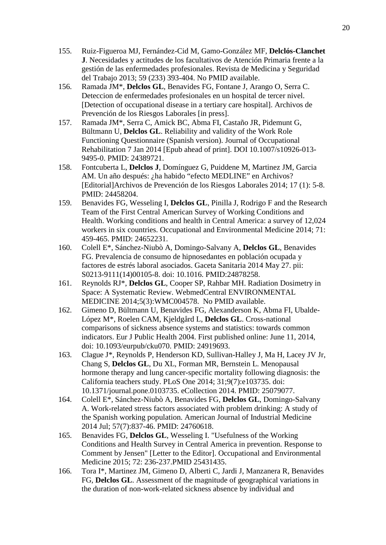- 155. Ruiz-Figueroa MJ, Fernández-Cid M, Gamo-González MF, **Delclós-Clanchet J**. Necesidades y actitudes de los facultativos de Atención Primaria frente a la gestión de las enfermedades profesionales. Revista de Medicina y Seguridad del Trabajo 2013; 59 (233) 393-404. No PMID available.
- 156. Ramada JM\*, **Delclos GL**, Benavides FG, Fontane J, Arango O, Serra C. Deteccion de enfermedades profesionales en un hospital de tercer nivel. [Detection of occupational disease in a tertiary care hospital]. Archivos de Prevención de los Riesgos Laborales [in press].
- 157. Ramada JM\*, Serra C, Amick BC, Abma FI, Castaño JR, Pidemunt G, Bültmann U, **Delclos GL**. Reliability and validity of the Work Role Functioning Questionnaire (Spanish version). Journal of Occupational Rehabilitation 7 Jan 2014 [Epub ahead of print]. DOI 10.1007/s10926-013- 9495-0. PMID: 24389721.
- 158. Fontcuberta L, **Delclos J**, Domínguez G, Puiddene M, Martinez JM, Garcia AM. Un año después: ¿ha habido "efecto MEDLINE" en Archivos? [Editorial]Archivos de Prevención de los Riesgos Laborales 2014; 17 (1): 5-8. PMID: 24458204.
- 159. Benavides FG, Wesseling I, **Delclos GL**, Pinilla J, Rodrigo F and the Research Team of the First Central American Survey of Working Conditions and Health. Working conditions and health in Central America: a survey of 12,024 workers in six countries. Occupational and Environmental Medicine 2014; 71: 459-465. PMID: 24652231.
- 160. Colell E\*, Sánchez-Niubò A, Domingo-Salvany A, **Delclos GL**, Benavides FG. Prevalencia de consumo de hipnosedantes en población ocupada y factores de estrés laboral asociados. Gaceta Sanitaria 2014 May 27. pii: S0213-9111(14)00105-8. doi: 10.1016. PMID:24878258.
- 161. Reynolds RJ\*, **Delclos GL**, Cooper SP, Rahbar MH. Radiation Dosimetry in Space: A Systematic Review. WebmedCentral ENVIRONMENTAL MEDICINE 2014;5(3):WMC004578. No PMID available.
- 162. Gimeno D, Bültmann U, Benavides FG, Alexanderson K, Abma FI, Ubalde-López M\*, Roelen CAM, Kjeldgård L, **Delclos GL**. Cross-national comparisons of sickness absence systems and statistics: towards common indicators. Eur J Public Health 2004. First published online: June 11, 2014, doi: 10.1093/eurpub/cku070. PMID: 24919693.
- 163. Clague J\*, Reynolds P, Henderson KD, Sullivan-Halley J, Ma H, Lacey JV Jr, Chang S, **Delclos GL**, Du XL, Forman MR, Bernstein L. Menopausal hormone therapy and lung cancer-specific mortality following diagnosis: the California teachers study. PLoS One 2014; 31;9(7):e103735. doi: 10.1371/journal.pone.0103735. eCollection 2014. PMID: 25079077.
- 164. Colell E\*, Sánchez-Niubò A, Benavides FG, **Delclos GL**, Domingo-Salvany A. Work-related stress factors associated with problem drinking: A study of the Spanish working population. American Journal of Industrial Medicine 2014 Jul; 57(7):837-46. PMID: 24760618.
- 165. Benavides FG, **Delclos GL**, Wesseling I. "Usefulness of the Working Conditions and Health Survey in Central America in prevention. Response to Comment by Jensen" [Letter to the Editor]. Occupational and Environmental Medicine 2015; 72: 236-237.PMID 25431435.
- 166. Tora I\*, Martinez JM, Gimeno D, Alberti C, Jardi J, Manzanera R, Benavides FG, **Delclos GL**. Assessment of the magnitude of geographical variations in the duration of non-work-related sickness absence by individual and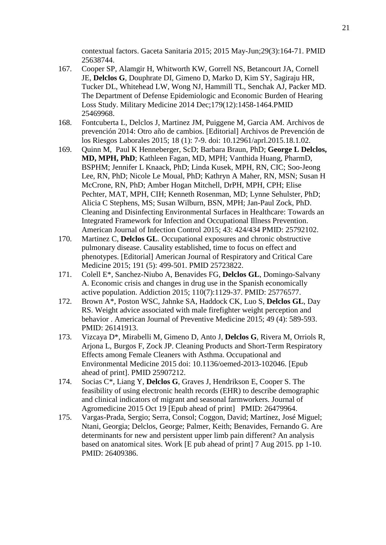contextual factors. Gaceta Sanitaria 2015; 2015 May-Jun;29(3):164-71. PMID 25638744.

- 167. Cooper SP, Alamgir H, Whitworth KW, Gorrell NS, Betancourt JA, Cornell JE, **Delclos G**, Douphrate DI, Gimeno D, Marko D, Kim SY, Sagiraju HR, Tucker DL, Whitehead LW, Wong NJ, Hammill TL, Senchak AJ, Packer MD. The Department of Defense Epidemiologic and Economic Burden of Hearing Loss Study. Military Medicine 2014 Dec;179(12):1458-1464.PMID 25469968.
- 168. Fontcuberta L, Delclos J, Martinez JM, Puiggene M, Garcia AM. Archivos de prevención 2014: Otro año de cambios. [Editorial] Archivos de Prevención de los Riesgos Laborales 2015; 18 (1): 7-9. doi: 10.12961/aprl.2015.18.1.02.
- 169. Quinn M, Paul K Henneberger, ScD; Barbara Braun, PhD; **George L Delclos, MD, MPH, PhD**; Kathleen Fagan, MD, MPH; Vanthida Huang, PharmD, BSPHM; Jennifer L Knaack, PhD; Linda Kusek, MPH, RN, CIC; Soo-Jeong Lee, RN, PhD; Nicole Le Moual, PhD; Kathryn A Maher, RN, MSN; Susan H McCrone, RN, PhD; Amber Hogan Mitchell, DrPH, MPH, CPH; Elise Pechter, MAT, MPH, CIH; Kenneth Rosenman, MD; Lynne Sehulster, PhD; Alicia C Stephens, MS; Susan Wilburn, BSN, MPH; Jan-Paul Zock, PhD. Cleaning and Disinfecting Environmental Surfaces in Healthcare: Towards an Integrated Framework for Infection and Occupational Illness Prevention. American Journal of Infection Control 2015; 43: 424/434 PMID: 25792102.
- 170. Martinez C, **Delclos GL**. Occupational exposures and chronic obstructive pulmonary disease. Causality established, time to focus on effect and phenotypes. [Editorial] American Journal of Respiratory and Critical Care Medicine 2015; 191 (5): 499-501. PMID 25723822.
- 171. Colell E\*, Sanchez-Niubo A, Benavides FG, **Delclos GL**, Domingo-Salvany A. Economic crisis and changes in drug use in the Spanish economically active population. Addiction 2015; 110(7):1129-37. PMID: 25776577.
- 172. Brown A\*, Poston WSC, Jahnke SA, Haddock CK, Luo S, **Delclos GL**, Day RS. Weight advice associated with male firefighter weight perception and behavior . American Journal of Preventive Medicine 2015; 49 (4): 589-593. PMID: 26141913.
- 173. Vizcaya D\*, Mirabelli M, Gimeno D, Anto J, **Delclos G**, Rivera M, Orriols R, Arjona L, Burgos F, Zock JP. Cleaning Products and Short-Term Respiratory Effects among Female Cleaners with Asthma. Occupational and Environmental Medicine 2015 doi: 10.1136/oemed-2013-102046. [Epub ahead of print]. PMID 25907212.
- 174. Socias C\*, Liang Y, **Delclos G**, Graves J, Hendrikson E, Cooper S. The feasibility of using electronic health records (EHR) to describe demographic and clinical indicators of migrant and seasonal farmworkers. Journal of Agromedicine 2015 Oct 19 [Epub ahead of print] PMID: 26479964.
- 175. Vargas-Prada, Sergio; Serra, Consol; Coggon, David; Martínez, José Miguel; Ntani, Georgia; Delclos, George; Palmer, Keith; Benavides, Fernando G. Are determinants for new and persistent upper limb pain different? An analysis based on anatomical sites. Work [E pub ahead of print] 7 Aug 2015. pp 1-10. PMID: 26409386.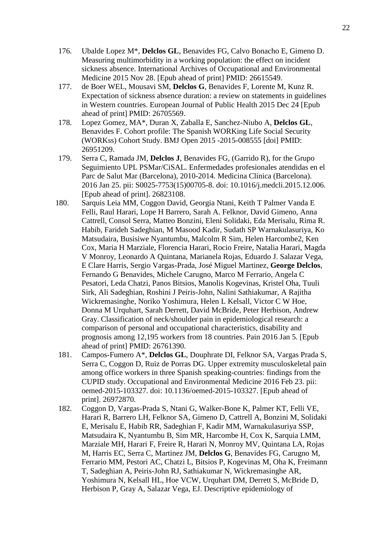- 176. Ubalde Lopez M\*, **Delclos GL**, Benavides FG, Calvo Bonacho E, Gimeno D. Measuring multimorbidity in a working population: the effect on incident sickness absence. International Archives of Occupational and Environmental Medicine 2015 Nov 28. [Epub ahead of print] PMID: 26615549.
- 177. de Boer WEL, Mousavi SM, **Delclos G**, Benavides F, Lorente M, Kunz R. Expectation of sickness absence duration: a review on statements in guidelines in Western countries. European Journal of Public Health 2015 Dec 24 [Epub ahead of print] PMID: 26705569.
- 178. Lopez Gomez, MA\*, Duran X, Zaballa E, Sanchez-Niubo A, **Delclos GL**, Benavides F. Cohort profile: The Spanish WORKing Life Social Security (WORKss) Cohort Study. BMJ Open 2015 -2015-008555 [doi] PMID: 26951209.
- 179. Serra C, Ramada JM, **Delclos J**, Benavides FG, (Garrido R), for the Grupo Seguimiento UPL PSMar/CiSAL. Enfermedades profesionales atendidas en el Parc de Salut Mar (Barcelona), 2010-2014. Medicina Clínica (Barcelona). 2016 Jan 25. pii: S0025-7753(15)00705-8. doi: 10.1016/j.medcli.2015.12.006. [Epub ahead of print]. 26823108.
- 180. Sarquis Leia MM, Coggon David, Georgia Ntani, Keith T Palmer Vanda E Felli, Raul Harari, Lope H Barrero, Sarah A. Felknor, David Gimeno, Anna Cattrell, Consol Serra, Matteo Bonzini, Eleni Solidaki, Eda Merisalu, Rima R. Habib, Farideh Sadeghian, M Masood Kadir, Sudath SP Warnakulasuriya, Ko Matsudaira, Busisiwe Nyantumbu, Malcolm R Sim, Helen Harcombe2, Ken Cox, Maria H Marziale, Florencia Harari, Rocio Freire, Natalia Harari, Magda V Monroy, Leonardo A Quintana, Marianela Rojas, Eduardo J. Salazar Vega, E Clare Harris, Sergio Vargas-Prada, José Miguel Martinez, **George Delclos**, Fernando G Benavides, Michele Carugno, Marco M Ferrario, Angela C Pesatori, Leda Chatzi, Panos Bitsios, Manolis Kogevinas, Kristel Oha, Tuuli Sirk, Ali Sadeghian, Roshini J Peiris-John, Nalini Sathiakumar, A Rajitha Wickremasinghe, Noriko Yoshimura, Helen L Kelsall, Victor C W Hoe, Donna M Urquhart, Sarah Derrett, David McBride, Peter Herbison, Andrew Gray. Classification of neck/shoulder pain in epidemiological research: a comparison of personal and occupational characteristics, disability and prognosis among 12,195 workers from 18 countries. Pain 2016 Jan 5. [Epub ahead of print] PMID: 26761390.
- 181. Campos-Fumero A\*, **Delclos GL**, Douphrate DI, Felknor SA, Vargas Prada S, Serra C, Coggon D, Ruiz de Porras DG. Upper extremity musculoskeletal pain among office workers in three Spanish speaking-countries: findings from the CUPID study. Occupational and Environmental Medicine 2016 Feb 23. pii: oemed-2015-103327. doi: 10.1136/oemed-2015-103327. [Epub ahead of print]. 26972870.
- 182. Coggon D, Vargas-Prada S, Ntani G, Walker-Bone K, Palmer KT, Felli VE, Harari R, Barrero LH, Felknor SA, Gimeno D, Cattrell A, Bonzini M, Solidaki E, Merisalu E, Habib RR, Sadeghian F, Kadir MM, Warnakulasuriya SSP, Matsudaira K, Nyantumbu B, Sim MR, Harcombe H, Cox K, Sarquia LMM, Marziale MH, Harari F, Freire R, Harari N, Monroy MV, Quintana LA, Rojas M, Harris EC, Serra C, Martinez JM, **Delclos G**, Benavides FG, Carugno M, Ferrario MM, Pestori AC, Chatzi L, Bitsios P, Kogevinas M, Oha K, Freimann T, Sadeghian A, Peiris-John RJ, Sathiakumar N, Wickremasinghe AR, Yoshimura N, Kelsall HL, Hoe VCW, Urquhart DM, Derrett S, McBride D, Herbison P, Gray A, Salazar Vega, EJ. Descriptive epidemiology of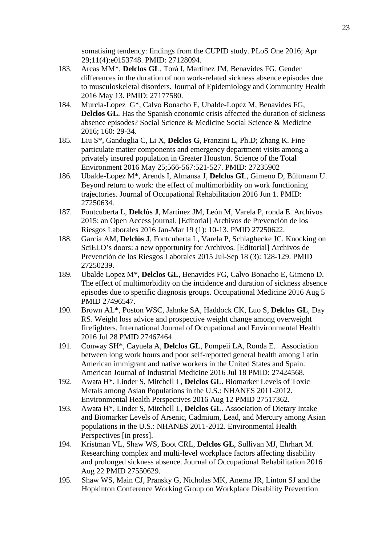somatising tendency: findings from the CUPID study. PLoS One 2016; Apr 29;11(4):e0153748. PMID: 27128094.

- 183. Arcas MM\*, **Delclos GL**, Torá I, Martínez JM, Benavides FG. Gender differences in the duration of non work-related sickness absence episodes due to musculoskeletal disorders. Journal of Epidemiology and Community Health 2016 May 13. PMID: 27177580.
- 184. Murcia-Lopez G\*, Calvo Bonacho E, Ubalde-Lopez M, Benavides FG, **Delclos GL.** Has the Spanish economic crisis affected the duration of sickness absence episodes? Social Science & Medicine Social Science & Medicine 2016; 160: 29-34.
- 185. Liu S\*, Ganduglia C, Li X, **Delclos G**, Franzini L, Ph.D; Zhang K. Fine particulate matter components and emergency department visits among a privately insured population in Greater Houston. Science of the Total Environment 2016 May 25;566-567:521-527. PMID: 27235902
- 186. Ubalde-Lopez M\*, Arends I, Almansa J, **Delclos GL**, Gimeno D, Bültmann U. Beyond return to work: the effect of multimorbidity on work functioning trajectories. Journal of Occupational Rehabilitation 2016 Jun 1. PMID: 27250634.
- 187. Fontcuberta L, **Delclòs J**, Martínez JM, León M, Varela P, ronda E. Archivos 2015: an Open Access journal. [Editorial] Archivos de Prevención de los Riesgos Laborales 2016 Jan-Mar 19 (1): 10-13. PMID 27250622.
- 188. García AM, **Delclòs J**, Fontcuberta L, Varela P, Schlaghecke JC. Knocking on SciELO's doors: a new opportunity for Archivos. [Editorial] Archivos de Prevención de los Riesgos Laborales 2015 Jul-Sep 18 (3): 128-129. PMID 27250239.
- 189. Ubalde Lopez M\*, **Delclos GL**, Benavides FG, Calvo Bonacho E, Gimeno D. The effect of multimorbidity on the incidence and duration of sickness absence episodes due to specific diagnosis groups. Occupational Medicine 2016 Aug 5 PMID 27496547.
- 190. Brown AL\*, Poston WSC, Jahnke SA, Haddock CK, Luo S, **Delclos GL**, Day RS. Weight loss advice and prospective weight change among overweight firefighters. International Journal of Occupational and Environmental Health 2016 Jul 28 PMID 27467464.
- 191. Conway SH\*, Cayuela A, **Delclos GL**, Pompeii LA, Ronda E. Association between long work hours and poor self-reported general health among Latin American immigrant and native workers in the United States and Spain. American Journal of Industrial Medicine 2016 Jul 18 PMID: 27424568.
- 192. Awata H\*, Linder S, Mitchell L, **Delclos GL**. Biomarker Levels of Toxic Metals among Asian Populations in the U.S.: NHANES 2011-2012. Environmental Health Perspectives 2016 Aug 12 PMID 27517362.
- 193. Awata H\*, Linder S, Mitchell L, **Delclos GL**. Association of Dietary Intake and Biomarker Levels of Arsenic, Cadmium, Lead, and Mercury among Asian populations in the U.S.: NHANES 2011-2012. Environmental Health Perspectives [in press].
- 194. Kristman VL, Shaw WS, Boot CRL, **Delclos GL**, Sullivan MJ, Ehrhart M. Researching complex and multi-level workplace factors affecting disability and prolonged sickness absence. Journal of Occupational Rehabilitation 2016 Aug 22 PMID 27550629.
- 195. Shaw WS, Main CJ, Pransky G, Nicholas MK, Anema JR, Linton SJ and the Hopkinton Conference Working Group on Workplace Disability Prevention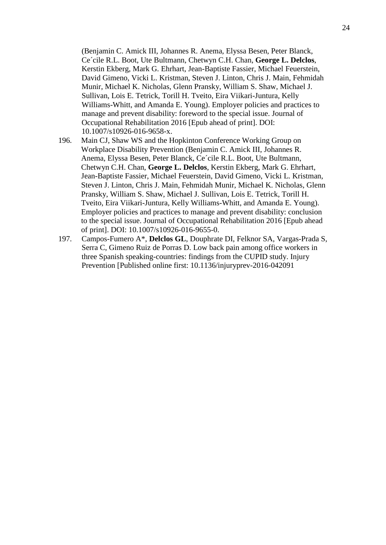(Benjamin C. Amick III, Johannes R. Anema, Elyssa Besen, Peter Blanck, Ce´cile R.L. Boot, Ute Bultmann, Chetwyn C.H. Chan, **George L. Delclos**, Kerstin Ekberg, Mark G. Ehrhart, Jean-Baptiste Fassier, Michael Feuerstein, David Gimeno, Vicki L. Kristman, Steven J. Linton, Chris J. Main, Fehmidah Munir, Michael K. Nicholas, Glenn Pransky, William S. Shaw, Michael J. Sullivan, Lois E. Tetrick, Torill H. Tveito, Eira Viikari-Juntura, Kelly Williams-Whitt, and Amanda E. Young). Employer policies and practices to manage and prevent disability: foreword to the special issue. Journal of Occupational Rehabilitation 2016 [Epub ahead of print]. DOI: 10.1007/s10926-016-9658-x.

- 196. Main CJ, Shaw WS and the Hopkinton Conference Working Group on Workplace Disability Prevention (Benjamin C. Amick III, Johannes R. Anema, Elyssa Besen, Peter Blanck, Ce´cile R.L. Boot, Ute Bultmann, Chetwyn C.H. Chan, **George L. Delclos**, Kerstin Ekberg, Mark G. Ehrhart, Jean-Baptiste Fassier, Michael Feuerstein, David Gimeno, Vicki L. Kristman, Steven J. Linton, Chris J. Main, Fehmidah Munir, Michael K. Nicholas, Glenn Pransky, William S. Shaw, Michael J. Sullivan, Lois E. Tetrick, Torill H. Tveito, Eira Viikari-Juntura, Kelly Williams-Whitt, and Amanda E. Young). Employer policies and practices to manage and prevent disability: conclusion to the special issue. Journal of Occupational Rehabilitation 2016 [Epub ahead of print]. DOI: 10.1007/s10926-016-9655-0.
- 197. Campos-Fumero A\*, **Delclos GL**, Douphrate DI, Felknor SA, Vargas-Prada S, Serra C, Gimeno Ruiz de Porras D. Low back pain among office workers in three Spanish speaking-countries: findings from the CUPID study. Injury Prevention [Published online first: 10.1136/injuryprev-2016-042091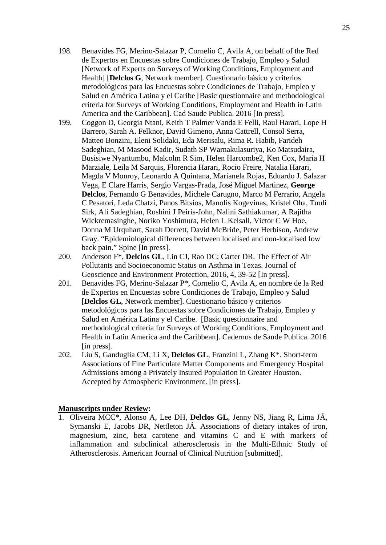- 198. Benavides FG, Merino-Salazar P, Cornelio C, Avila A, on behalf of the Red de Expertos en Encuestas sobre Condiciones de Trabajo, Empleo y Salud [Network of Experts on Surveys of Working Conditions, Employment and Health] [**Delclos G**, Network member]. Cuestionario básico y criterios metodológicos para las Encuestas sobre Condiciones de Trabajo, Empleo y Salud en América Latina y el Caribe [Basic questionnaire and methodological criteria for Surveys of Working Conditions, Employment and Health in Latin America and the Caribbean]. Cad Saude Publica. 2016 [In press].
- 199. Coggon D, Georgia Ntani, Keith T Palmer Vanda E Felli, Raul Harari, Lope H Barrero, Sarah A. Felknor, David Gimeno, Anna Cattrell, Consol Serra, Matteo Bonzini, Eleni Solidaki, Eda Merisalu, Rima R. Habib, Farideh Sadeghian, M Masood Kadir, Sudath SP Warnakulasuriya, Ko Matsudaira, Busisiwe Nyantumbu, Malcolm R Sim, Helen Harcombe2, Ken Cox, Maria H Marziale, Leila M Sarquis, Florencia Harari, Rocio Freire, Natalia Harari, Magda V Monroy, Leonardo A Quintana, Marianela Rojas, Eduardo J. Salazar Vega, E Clare Harris, Sergio Vargas-Prada, José Miguel Martinez, **George Delclos**, Fernando G Benavides, Michele Carugno, Marco M Ferrario, Angela C Pesatori, Leda Chatzi, Panos Bitsios, Manolis Kogevinas, Kristel Oha, Tuuli Sirk, Ali Sadeghian, Roshini J Peiris-John, Nalini Sathiakumar, A Rajitha Wickremasinghe, Noriko Yoshimura, Helen L Kelsall, Victor C W Hoe, Donna M Urquhart, Sarah Derrett, David McBride, Peter Herbison, Andrew Gray. "Epidemiological differences between localised and non-localised low back pain." Spine [In press].
- 200. Anderson F\*, **Delclos GL**, Lin CJ, Rao DC; Carter DR. The Effect of Air Pollutants and Socioeconomic Status on Asthma in Texas. Journal of Geoscience and Environment Protection, 2016, 4, 39-52 [In press].
- 201. Benavides FG, Merino-Salazar P\*, Cornelio C, Avila A, en nombre de la Red de Expertos en Encuestas sobre Condiciones de Trabajo, Empleo y Salud [**Delclos GL**, Network member]. Cuestionario básico y criterios metodológicos para las Encuestas sobre Condiciones de Trabajo, Empleo y Salud en América Latina y el Caribe. [Basic questionnaire and methodological criteria for Surveys of Working Conditions, Employment and Health in Latin America and the Caribbean]. Cadernos de Saude Publica. 2016 [in press].
- 202. Liu S, Ganduglia CM, Li X, **Delclos GL**, Franzini L, Zhang K\*. Short-term Associations of Fine Particulate Matter Components and Emergency Hospital Admissions among a Privately Insured Population in Greater Houston. Accepted by Atmospheric Environment. [in press].

#### **Manuscripts under Review:**

1. Oliveira MCC\*, Alonso A, Lee DH, **Delclos GL**, Jenny NS, Jiang R, Lima JÁ, Symanski E, Jacobs DR, Nettleton JÁ. Associations of dietary intakes of iron, magnesium, zinc, beta carotene and vitamins C and E with markers of inflammation and subclinical atherosclerosis in the Multi-Ethnic Study of Atherosclerosis. American Journal of Clinical Nutrition [submitted].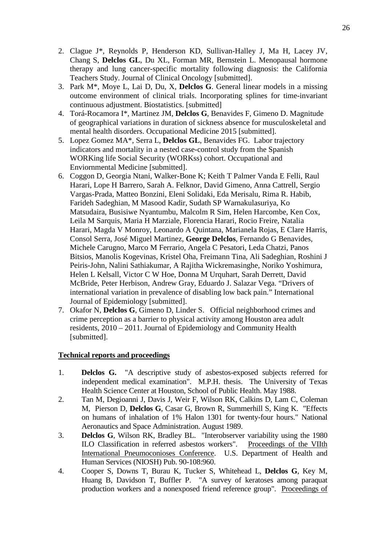- 2. Clague J\*, Reynolds P, Henderson KD, Sullivan-Halley J, Ma H, Lacey JV, Chang S, **Delclos GL**, Du XL, Forman MR, Bernstein L. Menopausal hormone therapy and lung cancer-specific mortality following diagnosis: the California Teachers Study. Journal of Clinical Oncology [submitted].
- 3. Park M\*, Moye L, Lai D, Du, X, **Delclos G**. General linear models in a missing outcome environment of clinical trials. Incorporating splines for time-invariant continuous adjustment. Biostatistics. [submitted]
- 4. Torá-Rocamora I\*, Martinez JM, **Delclos G**, Benavides F, Gimeno D. Magnitude of geographical variations in duration of sickness absence for musculoskeletal and mental health disorders. Occupational Medicine 2015 [submitted].
- 5. Lopez Gomez MA\*, Serra L, **Delclos GL**, Benavides FG. Labor trajectory indicators and mortality in a nested case-control study from the Spanish WORKing life Social Security (WORKss) cohort. Occupational and Enviornmental Medicine [submitted].
- 6. Coggon D, Georgia Ntani, Walker-Bone K; Keith T Palmer Vanda E Felli, Raul Harari, Lope H Barrero, Sarah A. Felknor, David Gimeno, Anna Cattrell, Sergio Vargas-Prada, Matteo Bonzini, Eleni Solidaki, Eda Merisalu, Rima R. Habib, Farideh Sadeghian, M Masood Kadir, Sudath SP Warnakulasuriya, Ko Matsudaira, Busisiwe Nyantumbu, Malcolm R Sim, Helen Harcombe, Ken Cox, Leila M Sarquis, Maria H Marziale, Florencia Harari, Rocio Freire, Natalia Harari, Magda V Monroy, Leonardo A Quintana, Marianela Rojas, E Clare Harris, Consol Serra, José Miguel Martinez, **George Delclos**, Fernando G Benavides, Michele Carugno, Marco M Ferrario, Angela C Pesatori, Leda Chatzi, Panos Bitsios, Manolis Kogevinas, Kristel Oha, Freimann Tina, Ali Sadeghian, Roshini J Peiris-John, Nalini Sathiakumar, A Rajitha Wickremasinghe, Noriko Yoshimura, Helen L Kelsall, Victor C W Hoe, Donna M Urquhart, Sarah Derrett, David McBride, Peter Herbison, Andrew Gray, Eduardo J. Salazar Vega. "Drivers of international variation in prevalence of disabling low back pain." International Journal of Epidemiology [submitted].
- 7. Okafor N, **Delclos G**, Gimeno D, Linder S. Official neighborhood crimes and crime perception as a barrier to physical activity among Houston area adult residents, 2010 – 2011. Journal of Epidemiology and Community Health [submitted].

#### **Technical reports and proceedings**

- 1. **Delclos G.** "A descriptive study of asbestos-exposed subjects referred for independent medical examination". M.P.H. thesis. The University of Texas Health Science Center at Houston, School of Public Health. May 1988.
- 2. Tan M, Degioanni J, Davis J, Weir F, Wilson RK, Calkins D, Lam C, Coleman M, Pierson D, **Delclos G**, Casar G, Brown R, Summerhill S, King K. "Effects on humans of inhalation of 1% Halon 1301 for twenty-four hours." National Aeronautics and Space Administration. August 1989.
- 3. **Delclos G**, Wilson RK, Bradley BL. "Interobserver variability using the 1980 ILO Classification in referred asbestos workers". Proceedings of the VIIth International Pneumoconioses Conference. U.S. Department of Health and Human Services (NIOSH) Pub. 90-108:960.
- 4. Cooper S, Downs T, Burau K, Tucker S, Whitehead L, **Delclos G**, Key M, Huang B, Davidson T, Buffler P. "A survey of keratoses among paraquat production workers and a nonexposed friend reference group". Proceedings of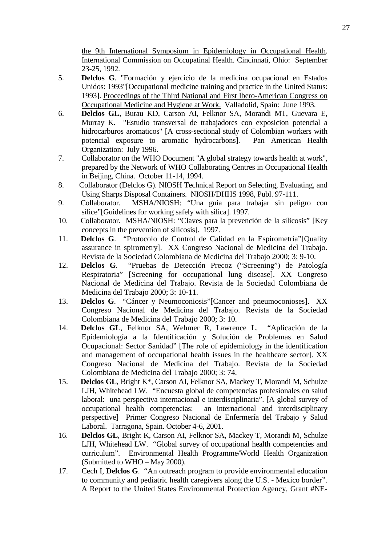the 9th International Symposium in Epidemiology in Occupational Health. International Commission on Occupatinal Health. Cincinnati, Ohio: September 23-25, 1992.

- 5. **Delclos G**. "Formación y ejercicio de la medicina ocupacional en Estados Unidos: 1993"[Occupational medicine training and practice in the United Status: 1993]. Proceedings of the Third National and First Ibero-American Congress on Occupational Medicine and Hygiene at Work. Valladolid, Spain: June 1993.
- 6. **Delclos GL**, Burau KD, Carson AI, Felknor SA, Morandi MT, Guevara E, Murray K. "Estudio transversal de trabajadores con exposicion potencial a hidrocarburos aromaticos" [A cross-sectional study of Colombian workers with potencial exposure to aromatic hydrocarbons]. Pan American Health Organization: July 1996.
- 7. Collaborator on the WHO Document "A global strategy towards health at work", prepared by the Network of WHO Collaborating Centres in Occupational Health in Beijing, China. October 11-14, 1994.
- 8. Collaborator (Delclos G). NIOSH Technical Report on Selecting, Evaluating, and Using Sharps Disposal Containers. NIOSH/DHHS 1998, Publ. 97-111.
- 9. Collaborator. MSHA/NIOSH: "Una guia para trabajar sin peligro con sílice"[Guidelines for working safely with silica]. 1997.
- 10. Collaborator. MSHA/NIOSH: "Claves para la prevención de la silicosis" [Key concepts in the prevention of silicosis]. 1997.
- 11. **Delclos G**. "Protocolo de Control de Calidad en la Espirometría"[Quality assurance in spirometry]. XX Congreso Nacional de Medicina del Trabajo. Revista de la Sociedad Colombiana de Medicina del Trabajo 2000; 3: 9-10.
- 12. **Delclos G**. "Pruebas de Detección Precoz ("Screening") de Patología Respiratoria" [Screening for occupational lung disease]. XX Congreso Nacional de Medicina del Trabajo. Revista de la Sociedad Colombiana de Medicina del Trabajo 2000; 3: 10-11.
- 13. **Delclos G**. "Cáncer y Neumoconiosis"[Cancer and pneumoconioses]. XX Congreso Nacional de Medicina del Trabajo. Revista de la Sociedad Colombiana de Medicina del Trabajo 2000; 3: 10.
- 14. **Delclos GL**, Felknor SA, Wehmer R, Lawrence L. "Aplicación de la Epidemiología a la Identificación y Solución de Problemas en Salud Ocupacional: Sector Sanidad" [The role of epidemiology in the identification and management of occupational health issues in the healthcare sector]. XX Congreso Nacional de Medicina del Trabajo. Revista de la Sociedad Colombiana de Medicina del Trabajo 2000; 3: 74.
- 15. **Delclos GL**, Bright K\*, Carson AI, Felknor SA, Mackey T, Morandi M, Schulze LJH, Whitehead LW. "Encuesta global de competencias profesionales en salud laboral: una perspectiva internacional e interdisciplinaria". [A global survey of occupational health competencias: an internacional and interdisciplinary perspective] Primer Congreso Nacional de Enfermería del Trabajo y Salud Laboral. Tarragona, Spain. October 4-6, 2001.
- 16. **Delclos GL**, Bright K, Carson AI, Felknor SA, Mackey T, Morandi M, Schulze LJH, Whitehead LW. "Global survey of occupational health competencies and curriculum". Environmental Health Programme/World Health Organization (Submitted to WHO – May 2000).
- 17. Cech I, **Delclos G**. "An outreach program to provide environmental education to community and pediatric health caregivers along the U.S. - Mexico border". A Report to the United States Environmental Protection Agency, Grant #NE-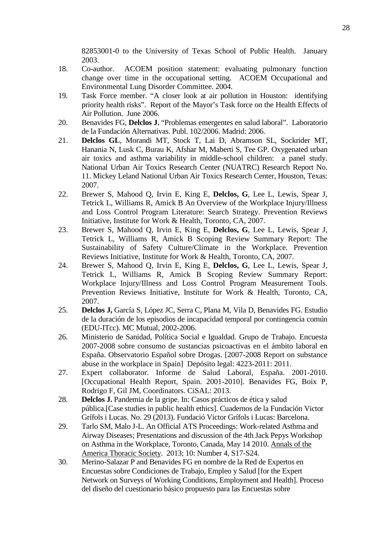82853001-0 to the University of Texas School of Public Health. January 2003.

- 18. Co-author. ACOEM position statement: evaluating pulmonary function change over time in the occupational setting. ACOEM Occupational and Environmental Lung Disorder Committee. 2004.
- 19. Task Force member. "A closer look at air pollution in Houston: identifying priority health risks". Report of the Mayor's Task force on the Health Effects of Air Pollution. June 2006.
- 20. Benavides FG, **Delclos J.** "Problemas emergentes en salud laboral". Laboratorio de la Fundación Alternativas. Publ. 102/2006. Madrid: 2006.
- 21. **Delclos GL**, Morandi MT, Stock T, Lai D, Abramson SL, Sockrider MT, Hanania N, Lusk C, Burau K, Afshar M, Maberti S, Tee GP. Oxygenated urban air toxics and asthma variability in middle-school children: a panel study. National Urban Air Toxics Research Center (NUATRC) Research Report No. 11. Mickey Leland National Urban Air Toxics Research Center, Houston, Texas: 2007.
- 22. Brewer S, Mahood Q, Irvin E, King E, **Delclos, G**, Lee L, Lewis, Spear J, Tetrick L, Williams R, Amick B An Overview of the Workplace Injury/Illness and Loss Control Program Literature: Search Strategy. Prevention Reviews Initiative, Institute for Work & Health, Toronto, CA, 2007.
- 23. Brewer S, Mahood Q, Irvin E, King E, **Delclos, G**, Lee L, Lewis, Spear J, Tetrick L, Williams R, Amick B Scoping Review Summary Report: The Sustainability of Safety Culture/Climate in the Workplace. Prevention Reviews Initiative, Institute for Work & Health, Toronto, CA, 2007.
- 24. Brewer S, Mahood Q, Irvin E, King E, **Delclos, G**, Lee L, Lewis, Spear J, Tetrick L, Williams R, Amick B Scoping Review Summary Report: Workplace Injury/Illness and Loss Control Program Measurement Tools. Prevention Reviews Initiative, Institute for Work & Health, Toronto, CA, 2007.
- 25. **Delclos J,** García S, López JC, Serra C, Plana M, Vila D, Benavides FG. Estudio de la duración de los episodios de incapacidad temporal por contingencia común (EDU-ITcc). MC Mutual, 2002-2006.
- 26. Ministerio de Sanidad, Política Social e Igualdad. Grupo de Trabajo. Encuesta 2007-2008 sobre consumo de sustancias psicoactivas en el ámbito laboral en España. Observatorio Español sobre Drogas. [2007-2008 Report on substance abuse in the workplace in Spain] Depósito legal: 4223-2011: 2011.
- 27. Expert collaborator. Informe de Salud Laboral, España. 2001-2010. [Occupational Health Report, Spain. 2001-2010]. Benavides FG, Boix P, Rodrigo F, Gil JM, Coordinators. CiSAL: 2013.
- 28. **Delclos J.** Pandemia de la gripe. In: Casos prácticos de ética y salud pública.[Case studies in public health ethics]. Cuadernos de la Fundación Victor Grífols i Lucas. No. 29 (2013). Fundació Victor Grífols i Lucas: Barcelona.
- 29. Tarlo SM, Malo J-L. An Official ATS Proceedings: Work-related Asthma and Airway Diseases; Presentations and discussion of the 4th Jack Pepys Workshop on Asthma in the Workplace, Toronto, Canada, May 14 2010. Annals of the America Thoracic Society. 2013; 10: Number 4, S17-S24.
- 30. Merino-Salazar P and Benavides FG en nombre de la Red de Expertos en Encuestas sobre Condiciones de Trabajo, Empleo y Salud [for the Expert Network on Surveys of Working Conditions, Employment and Health]. Proceso del diseño del cuestionario básico propuesto para las Encuestas sobre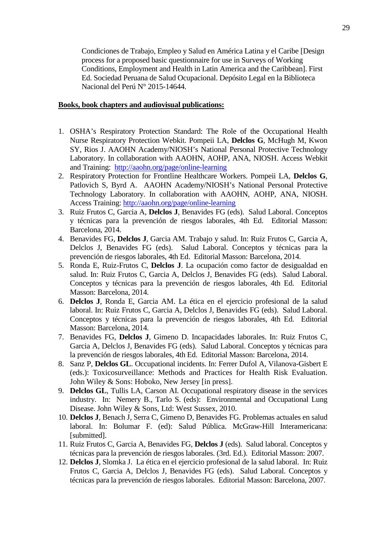Condiciones de Trabajo, Empleo y Salud en América Latina y el Caribe [Design process for a proposed basic questionnaire for use in Surveys of Working Conditions, Employment and Health in Latin America and the Caribbean]. First Ed. Sociedad Peruana de Salud Ocupacional. Depósito Legal en la Biblioteca Nacional del Perú N° 2015-14644.

#### **Books, book chapters and audiovisual publications:**

- 1. OSHA's Respiratory Protection Standard: The Role of the Occupational Health Nurse Respiratory Protection Webkit. Pompeii LA, **Delclos G**, McHugh M, Kwon SY, Rios J. AAOHN Academy/NIOSH's National Personal Protective Technology Laboratory. In collaboration with AAOHN, AOHP, ANA, NIOSH. Access Webkit and Training:<http://aaohn.org/page/online-learning>
- 2. Respiratory Protection for Frontline Healthcare Workers. Pompeii LA, **Delclos G**, Patlovich S, Byrd A. AAOHN Academy/NIOSH's National Personal Protective Technology Laboratory. In collaboration with AAOHN, AOHP, ANA, NIOSH. Access Training:<http://aaohn.org/page/online-learning>
- 3. Ruiz Frutos C, Garcia A, **Delclos J**, Benavides FG (eds). Salud Laboral. Conceptos y técnicas para la prevención de riesgos laborales, 4th Ed. Editorial Masson: Barcelona, 2014.
- 4. Benavides FG, **Delclos J**, Garcia AM. Trabajo y salud. In: Ruiz Frutos C, Garcia A, Delclos J, Benavides FG (eds). Salud Laboral. Conceptos y técnicas para la prevención de riesgos laborales, 4th Ed. Editorial Masson: Barcelona, 2014.
- 5. Ronda E, Ruiz-Frutos C, **Delclos J**. La ocupación como factor de desigualdad en salud. In: Ruiz Frutos C, Garcia A, Delclos J, Benavides FG (eds). Salud Laboral. Conceptos y técnicas para la prevención de riesgos laborales, 4th Ed. Editorial Masson: Barcelona, 2014.
- 6. **Delclos J**, Ronda E, Garcia AM. La ética en el ejercicio profesional de la salud laboral. In: Ruiz Frutos C, Garcia A, Delclos J, Benavides FG (eds). Salud Laboral. Conceptos y técnicas para la prevención de riesgos laborales, 4th Ed. Editorial Masson: Barcelona, 2014.
- 7. Benavides FG, **Delclos J**, Gimeno D. Incapacidades laborales. In: Ruiz Frutos C, Garcia A, Delclos J, Benavides FG (eds). Salud Laboral. Conceptos y técnicas para la prevención de riesgos laborales, 4th Ed. Editorial Masson: Barcelona, 2014.
- 8. Sanz P, **Delclos GL**. Occupational incidents. In: Ferrer Dufol A, Vilanova-Gisbert E (eds.): Toxicosurveillance: Methods and Practices for Health Risk Evaluation. John Wiley & Sons: Hoboko, New Jersey [in press].
- 9. **Delclos GL**, Tullis LA, Carson AI. Occupational respiratory disease in the services industry. In: Nemery B., Tarlo S. (eds): Environmental and Occupational Lung Disease. John Wiley & Sons, Ltd: West Sussex, 2010.
- 10. **Delclos J**, Benach J, Serra C, Gimeno D, Benavides FG. Problemas actuales en salud laboral. In: Bolumar F. (ed): Salud Pública. McGraw-Hill Interamericana: [submitted].
- 11. Ruiz Frutos C, Garcia A, Benavides FG, **Delclos J** (eds). Salud laboral. Conceptos y técnicas para la prevención de riesgos laborales. (3rd. Ed.). Editorial Masson: 2007.
- 12. **Delclos J**, Slomka J. La ética en el ejercicio profesional de la salud laboral. In: Ruiz Frutos C, Garcia A, Delclos J, Benavides FG (eds). Salud Laboral. Conceptos y técnicas para la prevención de riesgos laborales. Editorial Masson: Barcelona, 2007.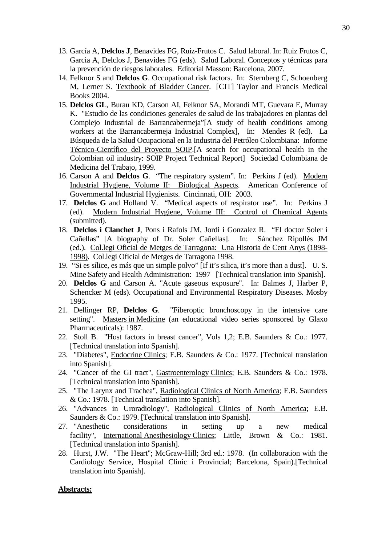- 13. García A, **Delclos J**, Benavides FG, Ruiz-Frutos C. Salud laboral. In: Ruiz Frutos C, Garcia A, Delclos J, Benavides FG (eds). Salud Laboral. Conceptos y técnicas para la prevención de riesgos laborales. Editorial Masson: Barcelona, 2007.
- 14. Felknor S and **Delclos G**. Occupational risk factors. In: Sternberg C, Schoenberg M, Lerner S. Textbook of Bladder Cancer. [CIT] Taylor and Francis Medical Books 2004.
- 15. **Delclos GL**, Burau KD, Carson AI, Felknor SA, Morandi MT, Guevara E, Murray K. "Estudio de las condiciones generales de salud de los trabajadores en plantas del Complejo Industrial de Barrancabermeja"[A study of health conditions among workers at the Barrancabermeja Industrial Complex], In: Mendes R (ed). La Búsqueda de la Salud Ocupacional en la Industria del Petróleo Colombiana: Informe Técnico-Científico del Proyecto SOIP.[A search for occupational health in the Colombian oil industry: SOIP Project Technical Report] Sociedad Colombiana de Medicina del Trabajo, 1999.
- 16. Carson A and **Delclos G**. "The respiratory system". In: Perkins J (ed). Modern Industrial Hygiene, Volume II: Biological Aspects. American Conference of Governmental Industrial Hygienists. Cincinnati, OH: 2003.
- 17. **Delclos G** and Holland V. "Medical aspects of respirator use". In: Perkins J (ed). Modern Industrial Hygiene, Volume III: Control of Chemical Agents (submitted).
- 18. **Delclos i Clanchet J**, Pons i Rafols JM, Jordi i Gonzalez R. "El doctor Soler i Cañellas" [A biography of Dr. Soler Cañellas]. In: Sánchez Ripollés JM (ed.). Col.legi Oficial de Metges de Tarragona: Una Historia de Cent Anys (1898- 1998). Col.legi Oficial de Metges de Tarragona 1998.
- 19. "Si es sílice, es más que un simple polvo" [If it's silica, it's more than a dust]. U. S. Mine Safety and Health Administration: 1997 [Technical translation into Spanish].
- 20. **Delclos G** and Carson A. "Acute gaseous exposure". In: Balmes J, Harber P, Schencker M (eds). Occupational and Environmental Respiratory Diseases. Mosby 1995.
- 21. Dellinger RP, **Delclos G**. "Fiberoptic bronchoscopy in the intensive care setting". Masters in Medicine (an educational video series sponsored by Glaxo Pharmaceuticals): 1987.
- 22. Stoll B. "Host factors in breast cancer", Vols 1,2; E.B. Saunders & Co.: 1977. [Technical translation into Spanish].
- 23. "Diabetes", Endocrine Clinics; E.B. Saunders & Co.: 1977. [Technical translation into Spanish].
- 24. "Cancer of the GI tract", Gastroenterology Clinics; E.B. Saunders & Co.: 1978. [Technical translation into Spanish].
- 25. "The Larynx and Trachea", Radiological Clinics of North America; E.B. Saunders & Co.: 1978. [Technical translation into Spanish].
- 26. "Advances in Uroradiology", Radiological Clinics of North America; E.B. Saunders & Co.: 1979. [Technical translation into Spanish].
- 27. "Anesthetic considerations in setting up a new medical facility", International Anesthesiology Clinics; Little, Brown & Co.: 1981. [Technical translation into Spanish].
- 28. Hurst, J.W. "The Heart"; McGraw-Hill; 3rd ed.: 1978. (In collaboration with the Cardiology Service, Hospital Clinic i Provincial; Barcelona, Spain).[Technical translation into Spanish].

#### **Abstracts:**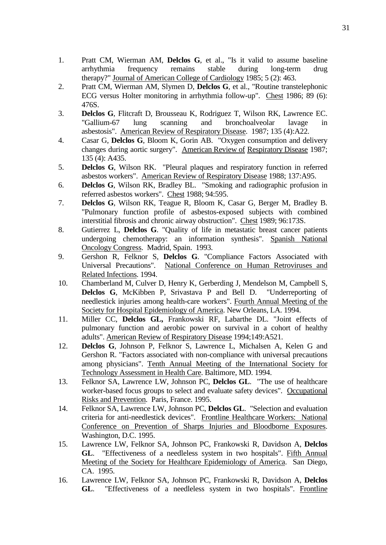- 1. Pratt CM, Wierman AM, **Delclos G**, et al., "Is it valid to assume baseline arrhythmia frequency remains stable during long-term drug arrhythmia frequency remains stable during long-term drug therapy?" Journal of American College of Cardiology 1985; 5 (2): 463.
- 2. Pratt CM, Wierman AM, Slymen D, **Delclos G**, et al., "Routine transtelephonic ECG versus Holter monitoring in arrhythmia follow-up". Chest 1986; 89 (6): 476S.
- 3. **Delclos G**, Flitcraft D, Brousseau K, Rodriguez T, Wilson RK, Lawrence EC. "Gallium-67 lung scanning and bronchoalveolar lavage in asbestosis". American Review of Respiratory Disease. 1987; 135 (4):A22.
- 4. Casar G, **Delclos G**, Bloom K, Gorin AB. "Oxygen consumption and delivery changes during aortic surgery". American Review of Respiratory Disease 1987; 135 (4): A435.
- 5. **Delclos G**, Wilson RK. "Pleural plaques and respiratory function in referred asbestos workers". American Review of Respiratory Disease 1988; 137:A95.
- 6. **Delclos G**, Wilson RK, Bradley BL. "Smoking and radiographic profusion in referred asbestos workers". Chest 1988; 94:595.
- 7. **Delclos G**, Wilson RK, Teague R, Bloom K, Casar G, Berger M, Bradley B. "Pulmonary function profile of asbestos-exposed subjects with combined interstitial fibrosis and chronic airway obstruction". Chest 1989; 96:173S.
- 8. Gutierrez L, **Delclos G**. "Quality of life in metastatic breast cancer patients undergoing chemotherapy: an information synthesis". Spanish National Oncology Congress. Madrid, Spain. 1993.
- 9. Gershon R, Felknor S, **Delclos G**. "Compliance Factors Associated with Universal Precautions". National Conference on Human Retroviruses and Related Infections. 1994.
- 10. Chamberland M, Culver D, Henry K, Gerberding J, Mendelson M, Campbell S, **Delclos G**, McKibben P, Srivastava P and Bell D. "Underreporting of needlestick injuries among health-care workers". Fourth Annual Meeting of the Society for Hospital Epidemiology of America. New Orleans, LA. 1994.
- 11. Miller CC, **Delclos GL,** Frankowski RF, Labarthe DL. "Joint effects of pulmonary function and aerobic power on survival in a cohort of healthy adults". American Review of Respiratory Disease 1994;149:A521.
- 12. **Delclos G**, Johnson P, Felknor S, Lawrence L, Michalsen A, Kelen G and Gershon R. "Factors associated with non-compliance with universal precautions among physicians". Tenth Annual Meeting of the International Society for Technology Assessment in Health Care. Baltimore, MD. 1994.
- 13. Felknor SA, Lawrence LW, Johnson PC, **Delclos GL**. "The use of healthcare worker-based focus groups to select and evaluate safety devices". Occupational Risks and Prevention. Paris, France. 1995.
- 14. Felknor SA, Lawrence LW, Johnson PC, **Delclos GL**. "Selection and evaluation criteria for anti-needlestick devices". Frontline Healthcare Workers: National Conference on Prevention of Sharps Injuries and Bloodborne Exposures. Washington, D.C. 1995.
- 15. Lawrence LW, Felknor SA, Johnson PC, Frankowski R, Davidson A, **Delclos GL**. "Effectiveness of a needleless system in two hospitals". Fifth Annual Meeting of the Society for Healthcare Epidemiology of America. San Diego, CA. 1995.
- 16. Lawrence LW, Felknor SA, Johnson PC, Frankowski R, Davidson A, **Delclos GL**. "Effectiveness of a needleless system in two hospitals". Frontline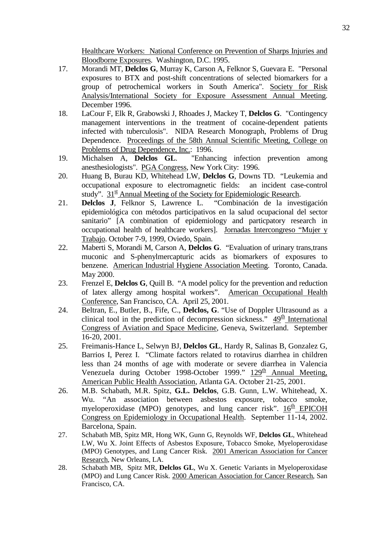Healthcare Workers: National Conference on Prevention of Sharps Injuries and Bloodborne Exposures. Washington, D.C. 1995.

- 17. Morandi MT, **Delclos G**, Murray K, Carson A, Felknor S, Guevara E. "Personal exposures to BTX and post-shift concentrations of selected biomarkers for a group of petrochemical workers in South America". Society for Risk Analysis/International Society for Exposure Assessment Annual Meeting. December 1996.
- 18. LaCour F, Elk R, Grabowski J, Rhoades J, Mackey T, **Delclos G**. "Contingency management interventions in the treatment of cocaine-dependent patients infected with tuberculosis". NIDA Research Monograph, Problems of Drug Dependence. Proceedings of the 58th Annual Scientific Meeting, College on Problems of Drug Dependence, Inc.: 1996.
- 19. Michalsen A, **Delclos GL**. "Enhancing infection prevention among anesthesiologists". PGA Congress, New York City: 1996.
- 20. Huang B, Burau KD, Whitehead LW, **Delclos G**, Downs TD. "Leukemia and occupational exposure to electromagnetic fields: an incident case-control study".  $31^{\underline{\text{st}}}$  Annual Meeting of the Society for Epidemiologic Research.
- 21. **Delclos J**, Felknor S, Lawrence L. "Combinación de la investigación epidemiológica con métodos participativos en la salud ocupacional del sector sanitario" [A combination of epidemiology and particpatory research in occupational health of healthcare workers]. Jornadas Intercongreso "Mujer y Trabajo. October 7-9, 1999, Oviedo, Spain.
- 22. Maberti S, Morandi M, Carson A, **Delclos G**. "Evaluation of urinary trans,trans muconic and S-phenylmercapturic acids as biomarkers of exposures to benzene. American Industrial Hygiene Association Meeting. Toronto, Canada. May 2000.
- 23. Frenzel E, **Delclos G**, Quill B. "A model policy for the prevention and reduction of latex allergy among hospital workers". American Occupational Health Conference, San Francisco, CA. April 25, 2001.
- 24. Beltran, E., Butler, B., Fife, C., **Delclos, G**. "Use of Doppler Ultrasound as a clinical tool in the prediction of decompression sickness."  $49<sup>th</sup>$  International Congress of Aviation and Space Medicine, Geneva, Switzerland. September 16-20, 2001.
- 25. Freimanis-Hance L, Selwyn BJ, **Delclos GL**, Hardy R, Salinas B, Gonzalez G, Barrios I, Perez I. "Climate factors related to rotavirus diarrhea in children less than 24 months of age with moderate or severe diarrhea in Valencia Venezuela during October 1998-October 1999."  $129<sup>th</sup>$  Annual Meeting, American Public Health Association, Atlanta GA. October 21-25, 2001.
- 26. M.B. Schabath, M.R. Spitz, **G.L. Delclos**, G.B. Gunn, L.W. Whitehead, X. Wu. "An association between asbestos exposure, tobacco smoke, myeloperoxidase (MPO) genotypes, and lung cancer risk".  $16<sup>th</sup>$  EPICOH Congress on Epidemiology in Occupational Health. September 11-14, 2002. Barcelona, Spain.
- 27. Schabath MB, Spitz MR, Hong WK, Gunn G, Reynolds WF, **Delclos GL**, Whitehead LW, Wu X. Joint Effects of Asbestos Exposure, Tobacco Smoke, Myeloperoxidase (MPO) Genotypes, and Lung Cancer Risk. 2001 American Association for Cancer Research, New Orleans, LA.
- 28. Schabath MB, Spitz MR, **Delclos GL**, Wu X. Genetic Variants in Myeloperoxidase (MPO) and Lung Cancer Risk. 2000 American Association for Cancer Research, San Francisco, CA.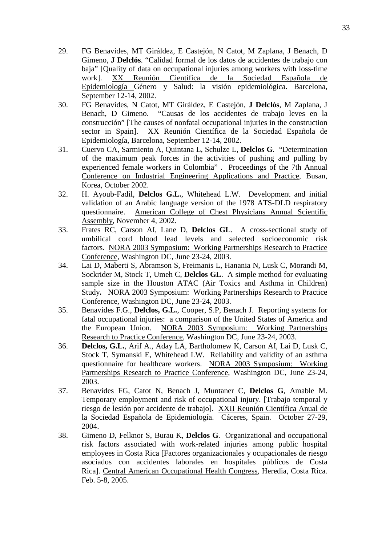- 29. FG Benavides, MT Giráldez, E Castejón, N Catot, M Zaplana, J Benach, D Gimeno, **J Delclós**. "Calidad formal de los datos de accidentes de trabajo con baja" [Quality of data on occupational injuries among workers with loss-time work]. XX Reunión Científica de la Sociedad Española de Epidemiología Género y Salud: la visión epidemiológica. Barcelona, September 12-14, 2002.
- 30. FG Benavides, N Catot, MT Giráldez, E Castejón, **J Delclós**, M Zaplana, J Benach, D Gimeno. "Causas de los accidentes de trabajo leves en la construcción" [The causes of nonfatal occupational injuries in the construction sector in Spain]. XX Reunión Científica de la Sociedad Española de Epidemiología, Barcelona, September 12-14, 2002.
- 31. Cuervo CA, Sarmiento A, Quintana L, Schulze L, **Delclos G**. ["Determination](http://ijie2002.metric.or.kr/electronic/DetailPaperInfo.asp?menu_section=sess_tbl&society_name=ijie2002&idx_name=F%20&fore_hour=15&fore_mint=30&back_hour=17&back_mint=30&room_name=103&cell_stmt=(Industrial%20Ergonomics%20and%20Safety)&p_id_15=68&month_name=October%20%20&date_num=25&snr_prsn=Robert%20Marley%20(Montana%20State%20University,%20USA)&p_id_2_1=195&i=1)  [of the maximum peak forces in the activities of pushing and pulling by](http://ijie2002.metric.or.kr/electronic/DetailPaperInfo.asp?menu_section=sess_tbl&society_name=ijie2002&idx_name=F%20&fore_hour=15&fore_mint=30&back_hour=17&back_mint=30&room_name=103&cell_stmt=(Industrial%20Ergonomics%20and%20Safety)&p_id_15=68&month_name=October%20%20&date_num=25&snr_prsn=Robert%20Marley%20(Montana%20State%20University,%20USA)&p_id_2_1=195&i=1)  [experienced female workers in Colombia" .](http://ijie2002.metric.or.kr/electronic/DetailPaperInfo.asp?menu_section=sess_tbl&society_name=ijie2002&idx_name=F%20&fore_hour=15&fore_mint=30&back_hour=17&back_mint=30&room_name=103&cell_stmt=(Industrial%20Ergonomics%20and%20Safety)&p_id_15=68&month_name=October%20%20&date_num=25&snr_prsn=Robert%20Marley%20(Montana%20State%20University,%20USA)&p_id_2_1=195&i=1) Proceedings of the 7th Annual Conference on Industrial Engineering Applications and Practice, Busan, Korea, October 2002.
- 32. H. Ayoub-Fadil, **Delclos G.L.**, Whitehead L.W. Development and initial validation of an Arabic language version of the 1978 ATS-DLD respiratory questionnaire. American College of Chest Physicians Annual Scientific Assembly, November 4, 2002.
- 33. Frates RC, Carson AI, Lane D, **Delclos GL**. A cross-sectional study of umbilical cord blood lead levels and selected socioeconomic risk factors. NORA 2003 Symposium: Working Partnerships Research to Practice Conference, Washington DC, June 23-24, 2003.
- 34. Lai D, Maberti S, Abramson S, Freimanis L, Hanania N, Lusk C, Morandi M, Sockrider M, Stock T, Umeh C, **Delclos GL**. A simple method for evaluating sample size in the Houston ATAC (Air Toxics and Asthma in Children) Study**.** NORA 2003 Symposium: Working Partnerships Research to Practice Conference, Washington DC, June 23-24, 2003.
- 35. Benavides F.G., **Delclos, G.L.**, Cooper, S.P, Benach J. Reporting systems for fatal occupational injuries: a comparison of the United States of America and the European Union. NORA 2003 Symposium: Working Partnerships Research to Practice Conference, Washington DC, June 23-24, 2003.
- 36. **Delclos, G.L.**, Arif A., Aday LA, Bartholomew K, Carson AI, Lai D, Lusk C, Stock T, Symanski E, Whitehead LW. Reliability and validity of an asthma questionnaire for healthcare workers. NORA 2003 Symposium: Working Partnerships Research to Practice Conference, Washington DC, June 23-24, 2003.
- 37. Benavides FG, Catot N, Benach J, Muntaner C, **Delclos G**, Amable M. Temporary employment and risk of occupational injury. [Trabajo temporal y riesgo de lesión por accidente de trabajo]. XXII Reunión Científica Anual de la Sociedad Española de Epidemiología. Cáceres, Spain. October 27-29, 2004.
- 38. Gimeno D, Felknor S, Burau K, **Delclos G**. Organizational and occupational risk factors associated with work-related injuries among public hospital employees in Costa Rica [Factores organizacionales y ocupacionales de riesgo asociados con accidentes laborales en hospitales públicos de Costa Rica]. Central American Occupational Health Congress, Heredia, Costa Rica. Feb. 5-8, 2005.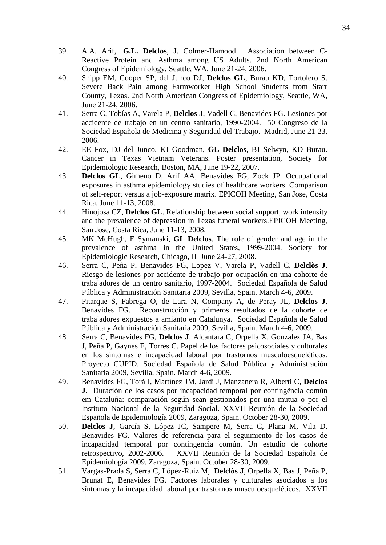- 39. A.A. Arif, **G.L. Delclos**, J. Colmer-Hamood. Association between C-Reactive Protein and Asthma among US Adults. 2nd North American Congress of Epidemiology, Seattle, WA, June 21-24, 2006.
- 40. Shipp EM, Cooper SP, del Junco DJ, **Delclos GL**, Burau KD, Tortolero S. Severe Back Pain among Farmworker High School Students from Starr County, Texas. 2nd North American Congress of Epidemiology, Seattle, WA, June 21-24, 2006.
- 41. Serra C, Tobías A, Varela P, **Delclos J**, Vadell C, Benavides FG. Lesiones por accidente de trabajo en un centro sanitario, 1990-2004. 50 Congreso de la Sociedad Española de Medicina y Seguridad del Trabajo. Madrid, June 21-23, 2006.
- 42. EE Fox, DJ del Junco, KJ Goodman, **GL Delclos**, BJ Selwyn, KD Burau. Cancer in Texas Vietnam Veterans. Poster presentation, Society for Epidemiologic Research, Boston, MA, June 19-22, 2007.
- 43. **Delclos GL**, Gimeno D, Arif AA, Benavides FG, Zock JP. Occupational exposures in asthma epidemiology studies of healthcare workers. Comparison of self-report versus a job-exposure matrix. EPICOH Meeting, San Jose, Costa Rica, June 11-13, 2008.
- 44. Hinojosa CZ, **Delclos GL**. Relationship between social support, work intensity and the prevalence of depression in Texas funeral workers.EPICOH Meeting, San Jose, Costa Rica, June 11-13, 2008.
- 45. MK McHugh, E Symanski, **GL Delclos**. The role of gender and age in the prevalence of asthma in the United States, 1999-2004. Society for Epidemiologic Research, Chicago, IL June 24-27, 2008.
- 46. Serra C, Peña P, Benavides FG, Lopez V, Varela P, Vadell C, **Delclòs J**. Riesgo de lesiones por accidente de trabajo por ocupación en una cohorte de trabajadores de un centro sanitario, 1997-2004. Sociedad Española de Salud Pública y Administración Sanitaria 2009, Sevilla, Spain. March 4-6, 2009.
- 47. Pitarque S, Fabrega O, de Lara N, Company A, de Peray JL, **Delclos J**, Benavides FG. Reconstrucción y primeros resultados de la cohorte de trabajadores expuestos a amianto en Catalunya. Sociedad Española de Salud Pública y Administración Sanitaria 2009, Sevilla, Spain. March 4-6, 2009.
- 48. Serra C, Benavides FG, **Delclos J**, Alcantara C, Orpella X, Gonzalez JA, Bas J, Peña P, Gaynes E, Torres C. Papel de los factores psicosociales y culturales en los síntomas e incapacidad laboral por trastornos musculoesqueléticos. Proyecto CUPID. Sociedad Española de Salud Pública y Administración Sanitaria 2009, Sevilla, Spain. March 4-6, 2009.
- 49. Benavides FG, Torá I, Martínez JM, Jardí J, Manzanera R, Alberti C, **Delclos J**. Duración de los casos por incapacidad temporal por contingência común em Cataluña: comparación según sean gestionados por una mutua o por el Instituto Nacional de la Seguridad Social. XXVII Reunión de la Sociedad Española de Epidemiología 2009, Zaragoza, Spain. October 28-30, 2009.
- 50. **Delclos J**, García S, López JC, Sampere M, Serra C, Plana M, Vila D, Benavides FG. Valores de referencia para el seguimiento de los casos de incapacidad temporal por contingencia común. Un estudio de cohorte retrospectivo, 2002-2006. XXVII Reunión de la Sociedad Española de Epidemiología 2009, Zaragoza, Spain. October 28-30, 2009.
- 51. Vargas-Prada S, Serra C, López-Ruiz M, **Delclòs J**, Orpella X, Bas J, Peña P, Brunat E, Benavides FG. Factores laborales y culturales asociados a los síntomas y la incapacidad laboral por trastornos musculoesqueléticos. XXVII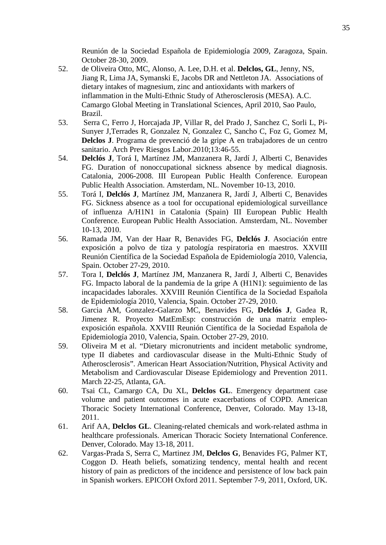Reunión de la Sociedad Española de Epidemiología 2009, Zaragoza, Spain. October 28-30, 2009.

- 52. de Oliveira Otto, MC, Alonso, A. Lee, D.H. et al. **Delclos, GL**, Jenny, NS, Jiang R, Lima JA, Symanski E, Jacobs DR and Nettleton JA. Associations of dietary intakes of magnesium, zinc and antioxidants with markers of inflammation in the Multi-Ethnic Study of Atherosclerosis (MESA). A.C. Camargo Global Meeting in Translational Sciences, April 2010, Sao Paulo, Brazil.
- 53. Serra C, Ferro J, Horcajada JP, Villar R, del Prado J, Sanchez C, Sorli L, Pi-Sunyer J,Terrades R, Gonzalez N, Gonzalez C, Sancho C, Foz G, Gomez M, **Delclos J**. Programa de prevenció de la gripe A en trabajadores de un centro sanitario. Arch Prev Riesgos Labor.2010;13:46-55.
- 54. **Delclós J**, Torá I, Martínez JM, Manzanera R, Jardí J, Alberti C, Benavides FG. Duration of nonoccupational sickness absence by medical diagnosis. Catalonia, 2006-2008. III European Public Health Conference. European Public Health Association. Amsterdam, NL. November 10-13, 2010.
- 55. Torá I, **Delclós J**, Martínez JM, Manzanera R, Jardí J, Alberti C, Benavides FG. Sickness absence as a tool for occupational epidemiological surveillance of influenza A/H1N1 in Catalonia (Spain) III European Public Health Conference. European Public Health Association. Amsterdam, NL. November 10-13, 2010.
- 56. Ramada JM, Van der Haar R, Benavides FG, **Delclós J**. Asociación entre exposición a polvo de tiza y patología respiratoria en maestros. XXVIII Reunión Científica de la Sociedad Española de Epidemiología 2010, Valencia, Spain. October 27-29, 2010.
- 57. Tora I, **Delclós J**, Martínez JM, Manzanera R, Jardí J, Alberti C, Benavides FG. Impacto laboral de la pandemia de la gripe A (H1N1): seguimiento de las incapacidades laborales. XXVIII Reunión Científica de la Sociedad Española de Epidemiología 2010, Valencia, Spain. October 27-29, 2010.
- 58. Garcia AM, Gonzalez-Galarzo MC, Benavides FG, **Delclós J**, Gadea R, Jimenez R. Proyecto MatEmEsp: construcción de una matriz empleoexposición española. XXVIII Reunión Científica de la Sociedad Española de Epidemiología 2010, Valencia, Spain. October 27-29, 2010.
- 59. Oliveira M et al. "Dietary micronutrients and incident metabolic syndrome, type II diabetes and cardiovascular disease in the Multi-Ethnic Study of Atherosclerosis". American Heart Association/Nutrition, Physical Activity and Metabolism and Cardiovascular Disease Epidemiology and Prevention 2011. March 22-25, Atlanta, GA.
- 60. Tsai CL, Camargo CA, Du XL, **Delclos GL**. Emergency department case volume and patient outcomes in acute exacerbations of COPD. American Thoracic Society International Conference, Denver, Colorado. May 13-18, 2011.
- 61. Arif AA, **Delclos GL**. Cleaning-related chemicals and work-related asthma in healthcare professionals. American Thoracic Society International Conference. Denver, Colorado. May 13-18, 2011.
- 62. Vargas-Prada S, Serra C, Martinez JM, **Delclos G**, Benavides FG, Palmer KT, Coggon D. Heath beliefs, somatizing tendency, mental health and recent history of pain as predictors of the incidence and persistence of low back pain in Spanish workers. EPICOH Oxford 2011. September 7-9, 2011, Oxford, UK.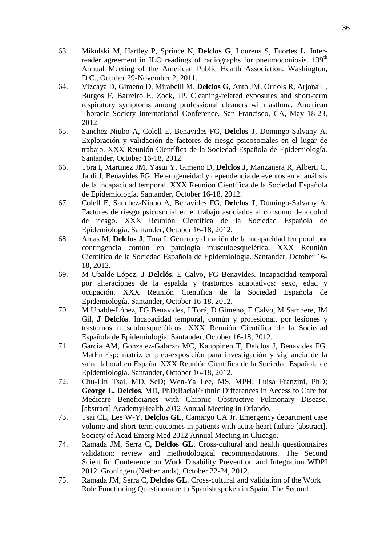- 63. Mikulski M, Hartley P, Sprince N, **Delclos G**, Lourens S, Fuortes L. Interreader agreement in ILO readings of radiographs for pneumoconiosis. 139<sup>th</sup> Annual Meeting of the American Public Health Association. Washington, D.C., October 29-November 2, 2011.
- 64. Vizcaya D, Gimeno D, Mirabelli M, **Delclos G**, Antó JM, Orriols R, Arjona L, Burgos F, Barreiro E, Zock, JP. Cleaning-related exposures and short-term respiratory symptoms among professional cleaners with asthma. American Thoracic Society International Conference, San Francisco, CA, May 18-23, 2012.
- 65. Sanchez-Niubo A, Colell E, Benavides FG, **Delclos J**, Domingo-Salvany A. Exploración y validación de factores de riesgo psicosociales en el lugar de trabajo. XXX Reunión Científica de la Sociedad Española de Epidemiología. Santander, October 16-18, 2012.
- 66. Tora I, Martinez JM, Yasui Y, Gimeno D, **Delclos J**, Manzanera R, Alberti C, Jardi J, Benavides FG. Heterogeneidad y dependencia de eventos en el análisis de la incapacidad temporal. XXX Reunión Científica de la Sociedad Española de Epidemiología. Santander, October 16-18, 2012.
- 67. Colell E, Sanchez-Niubo A, Benavides FG, **Delclos J**, Domingo-Salvany A. Factores de riesgo psicosocial en el trabajo asociados al consumo de alcohol de riesgo. XXX Reunión Científica de la Sociedad Española de Epidemiología. Santander, October 16-18, 2012.
- 68. Arcas M, **Delclos J**, Tora I. Género y duración de la incapacidad temporal por contingencia común en patología musculoesquelética. XXX Reunión Científica de la Sociedad Española de Epidemiología. Santander, October 16- 18, 2012.
- 69. M Ubalde-López, **J Delclós**, E Calvo, FG Benavides. Incapacidad temporal por alteraciones de la espalda y trastornos adaptativos: sexo, edad y ocupación. XXX Reunión Científica de la Sociedad Española de Epidemiología. Santander, October 16-18, 2012.
- 70. M Ubalde-López, FG Benavides, I Torá, D Gimeno, E Calvo, M Sampere, JM Gil, **J Delclós**. Incapacidad temporal, común y profesional, por lesiones y trastornos musculoesqueléticos. XXX Reunión Científica de la Sociedad Española de Epidemiología. Santander, October 16-18, 2012.
- 71. Garcia AM, Gonzalez-Galarzo MC, Kauppinen T, Delclos J, Benavides FG. MatEmEsp: matriz empleo-exposición para investigación y vigilancia de la salud laboral en España. XXX Reunión Científica de la Sociedad Española de Epidemiología. Santander, October 16-18, 2012.
- 72. Chu-Lin Tsai, MD, ScD; Wen-Ya Lee, MS, MPH; Luisa Franzini, PhD; **George L. Delclos**, MD, PhD;Racial/Ethnic Differences in Access to Care for Medicare Beneficiaries with Chronic Obstructive Pulmonary Disease. [abstract] AcademyHealth 2012 Annual Meeting in Orlando.
- 73. Tsai CL, Lee W-Y, **Delclos GL**, Camargo CA Jr. Emergency department case volume and short-term outcomes in patients with acute heart failure [abstract]. Society of Acad Emerg Med 2012 Annual Meeting in Chicago.
- 74. Ramada JM, Serra C, **Delclos GL**. Cross-cultural and health questionnaires validation: review and methodological recommendations. The Second Scientific Conference on Work Disability Prevention and Integration WDPI 2012. Groningen (Netherlands), October 22-24, 2012.
- 75. Ramada JM, Serra C, **Delclos GL**. Cross-cultural and validation of the Work Role Functioning Questionnaire to Spanish spoken in Spain. The Second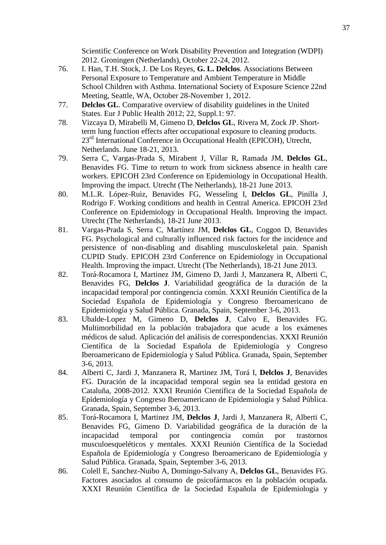- 76. I. Han, T.H. Stock, J. De Los Reyes, **G. L. Delclos**. Associations Between Personal Exposure to Temperature and Ambient Temperature in Middle School Children with Asthma. International Society of Exposure Science 22nd Meeting, Seattle, WA, October 28-November 1, 2012.
- 77. **Delclos GL**. Comparative overview of disability guidelines in the United States. Eur J Public Health 2012; 22, Suppl.1: 97.
- 78. Vizcaya D, Mirabelli M, Gimeno D, **Delclos GL**, Rivera M, Zock JP. Shortterm lung function effects after occupational exposure to cleaning products. 23<sup>rd</sup> International Conference in Occupational Health (EPICOH), Utrecht, Netherlands. June 18-21, 2013.
- 79. Serra C, Vargas-Prada S, Mirabent J, Villar R, Ramada JM, **Delclos GL**, Benavides FG. Time to return to work from sickness absence in health care workers. EPICOH 23rd Conference on Epidemiology in Occupational Health. Improving the impact. Utrecht (The Netherlands), 18-21 June 2013.
- 80. M.L.R. López-Ruiz, Benavides FG, Wesseling I, **Delclos GL**, Pinilla J, Rodrigo F. Working conditions and health in Central America. EPICOH 23rd Conference on Epidemiology in Occupational Health. Improving the impact. Utrecht (The Netherlands), 18-21 June 2013.
- 81. Vargas-Prada S, Serra C, Martínez JM, **Delclos GL**, Coggon D, Benavides FG. Psychological and culturally influenced risk factors for the incidence and persistence of non-disabling and disabling musculoskeletal pain. Spanish CUPID Study. EPICOH 23rd Conference on Epidemiology in Occupational Health. Improving the impact. Utrecht (The Netherlands), 18-21 June 2013.
- 82. Torá-Rocamora I, Martinez JM, Gimeno D, Jardi J, Manzanera R, Alberti C, Benavides FG, **Delclos J**. Variabilidad geográfica de la duración de la incapacidad temporal por contingencia común. XXXI Reunión Científica de la Sociedad Española de Epidemiología y Congreso Iberoamericano de Epidemiología y Salud Pública. Granada, Spain, September 3-6, 2013.
- 83. Ubalde-Lopez M, Gimeno D, **Delclos J**, Calvo E, Benavides FG. Multimorbilidad en la población trabajadora que acude a los exámenes médicos de salud. Aplicación del análisis de correspondencias. XXXI Reunión Científica de la Sociedad Española de Epidemiología y Congreso Iberoamericano de Epidemiología y Salud Pública. Granada, Spain, September 3-6, 2013.
- 84. Alberti C, Jardi J, Manzanera R, Martinez JM, Torá I, **Delclos J**, Benavides FG. Duración de la incapacidad temporal según sea la entidad gestora en Cataluña, 2008-2012. XXXI Reunión Científica de la Sociedad Española de Epidemiología y Congreso Iberoamericano de Epidemiología y Salud Pública. Granada, Spain, September 3-6, 2013.
- 85. Torá-Rocamora I, Martinez JM, **Delclos J**, Jardi J, Manzanera R, Alberti C, Benavides FG, Gimeno D. Variabilidad geográfica de la duración de la incapacidad temporal por contingencia común por trastornos musculoesqueléticos y mentales. XXXI Reunión Científica de la Sociedad Española de Epidemiología y Congreso Iberoamericano de Epidemiología y Salud Pública. Granada, Spain, September 3-6, 2013.
- 86. Colell E, Sanchez-Nuibo A, Domingo-Salvany A, **Delclos GL**, Benavides FG. Factores asociados al consumo de psicofármacos en la población ocupada. XXXI Reunión Científica de la Sociedad Española de Epidemiología y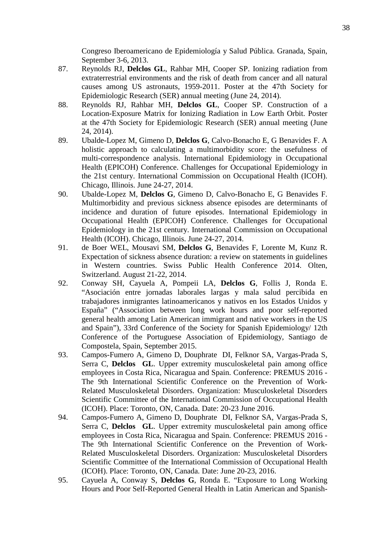Congreso Iberoamericano de Epidemiología y Salud Pública. Granada, Spain, September 3-6, 2013.

- 87. Reynolds RJ, **Delclos GL**, Rahbar MH, Cooper SP. Ionizing radiation from extraterrestrial environments and the risk of death from cancer and all natural causes among US astronauts, 1959-2011. Poster at the 47th Society for Epidemiologic Research (SER) annual meeting (June 24, 2014).
- 88. Reynolds RJ, Rahbar MH, **Delclos GL**, Cooper SP. Construction of a Location-Exposure Matrix for Ionizing Radiation in Low Earth Orbit. Poster at the 47th Society for Epidemiologic Research (SER) annual meeting (June 24, 2014).
- 89. Ubalde-Lopez M, Gimeno D, **Delclos G**, Calvo-Bonacho E, G Benavides F. A holistic approach to calculating a multimorbidity score: the usefulness of multi-correspondence analysis. International Epidemiology in Occupational Health (EPICOH) Conference. Challenges for Occupational Epidemiology in the 21st century. International Commission on Occupational Health (ICOH). Chicago, Illinois. June 24-27, 2014.
- 90. Ubalde-Lopez M, **Delclos G**, Gimeno D, Calvo-Bonacho E, G Benavides F. Multimorbidity and previous sickness absence episodes are determinants of incidence and duration of future episodes. International Epidemiology in Occupational Health (EPICOH) Conference. Challenges for Occupational Epidemiology in the 21st century. International Commission on Occupational Health (ICOH). Chicago, Illinois. June 24-27, 2014.
- 91. de Boer WEL, Mousavi SM, **Delclos G**, Benavides F, Lorente M, Kunz R. Expectation of sickness absence duration: a review on statements in guidelines in Western countries. Swiss Public Health Conference 2014. Olten, Switzerland. August 21-22, 2014.
- 92. Conway SH, Cayuela A, Pompeii LA, **Delclos G**, Follis J, Ronda E. "Asociación entre jornadas laborales largas y mala salud percibida en trabajadores inmigrantes latinoamericanos y nativos en los Estados Unidos y España" ("Association between long work hours and poor self-reported general health among Latin American immigrant and native workers in the US and Spain"), 33rd Conference of the Society for Spanish Epidemiology/ 12th Conference of the Portuguese Association of Epidemiology, Santiago de Compostela, Spain, September 2015.
- 93. Campos-Fumero A, Gimeno D, Douphrate DI, Felknor SA, Vargas-Prada S, Serra C, **Delclos GL**. Upper extremity musculoskeletal pain among office employees in Costa Rica, Nicaragua and Spain. Conference: PREMUS 2016 - The 9th International Scientific Conference on the Prevention of Work-Related Musculoskeletal Disorders. Organization: Musculoskeletal Disorders Scientific Committee of the International Commission of Occupational Health (ICOH). Place: Toronto, ON, Canada. Date: 20-23 June 2016.
- 94. Campos-Fumero A, Gimeno D, Douphrate DI, Felknor SA, Vargas-Prada S, Serra C, **Delclos GL**. Upper extremity musculoskeletal pain among office employees in Costa Rica, Nicaragua and Spain. Conference: PREMUS 2016 - The 9th International Scientific Conference on the Prevention of Work-Related Musculoskeletal Disorders. Organization: Musculoskeletal Disorders Scientific Committee of the International Commission of Occupational Health (ICOH). Place: Toronto, ON, Canada. Date: June 20-23, 2016.
- 95. Cayuela A, Conway S, **Delclos G**, Ronda E. "Exposure to Long Working Hours and Poor Self-Reported General Health in Latin American and Spanish-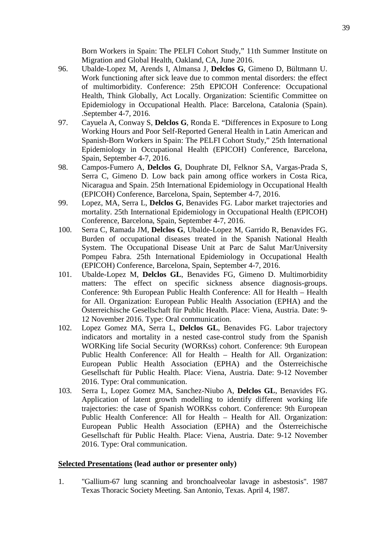Born Workers in Spain: The PELFI Cohort Study," 11th Summer Institute on Migration and Global Health, Oakland, CA, June 2016.

- 96. Ubalde-Lopez M, Arends I, Almansa J, **Delclos G**, Gimeno D, Bültmann U. Work functioning after sick leave due to common mental disorders: the effect of multimorbidity. Conference: 25th EPICOH Conference: Occupational Health, Think Globally, Act Locally. Organization: Scientific Committee on Epidemiology in Occupational Health. Place: Barcelona, Catalonia (Spain). .September 4-7, 2016.
- 97. Cayuela A, Conway S, **Delclos G**, Ronda E. "Differences in Exposure to Long Working Hours and Poor Self-Reported General Health in Latin American and Spanish-Born Workers in Spain: The PELFI Cohort Study," 25th International Epidemiology in Occupational Health (EPICOH) Conference, Barcelona, Spain, September 4-7, 2016.
- 98. Campos-Fumero A, **Delclos G**, Douphrate DI, Felknor SA, Vargas-Prada S, Serra C, Gimeno D. Low back pain among office workers in Costa Rica, Nicaragua and Spain. 25th International Epidemiology in Occupational Health (EPICOH) Conference, Barcelona, Spain, September 4-7, 2016.
- 99. Lopez, MA, Serra L, **Delclos G**, Benavides FG. Labor market trajectories and mortality. 25th International Epidemiology in Occupational Health (EPICOH) Conference, Barcelona, Spain, September 4-7, 2016.
- 100. Serra C, Ramada JM, **Delclos G**, Ubalde-Lopez M, Garrido R, Benavides FG. Burden of occupational diseases treated in the Spanish National Health System. The Occupational Disease Unit at Parc de Salut Mar/University Pompeu Fabra. 25th International Epidemiology in Occupational Health (EPICOH) Conference, Barcelona, Spain, September 4-7, 2016.
- 101. Ubalde-Lopez M, **Delclos GL**, Benavides FG, Gimeno D. Multimorbidity matters: The effect on specific sickness absence diagnosis-groups. Conference: 9th European Public Health Conference: All for Health – Health for All. Organization: European Public Health Association (EPHA) and the Österreichische Gesellschaft für Public Health. Place: Viena, Austria. Date: 9- 12 November 2016. Type: Oral communication.
- 102. Lopez Gomez MA, Serra L, **Delclos GL**, Benavides FG. Labor trajectory indicators and mortality in a nested case-control study from the Spanish WORKing life Social Security (WORKss) cohort. Conference: 9th European Public Health Conference: All for Health – Health for All. Organization: European Public Health Association (EPHA) and the Österreichische Gesellschaft für Public Health. Place: Viena, Austria. Date: 9-12 November 2016. Type: Oral communication.
- 103. Serra L, Lopez Gomez MA, Sanchez-Niubo A, **Delclos GL**, Benavides FG. Application of latent growth modelling to identify different working life trajectories: the case of Spanish WORKss cohort. Conference: 9th European Public Health Conference: All for Health – Health for All. Organization: European Public Health Association (EPHA) and the Österreichische Gesellschaft für Public Health. Place: Viena, Austria. Date: 9-12 November 2016. Type: Oral communication.

#### **Selected Presentations (lead author or presenter only)**

1. "Gallium-67 lung scanning and bronchoalveolar lavage in asbestosis". 1987 Texas Thoracic Society Meeting. San Antonio, Texas. April 4, 1987.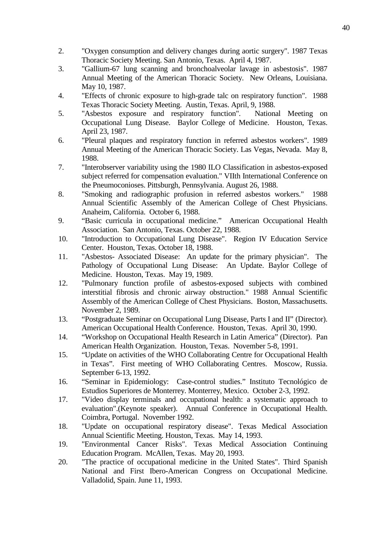- 2. "Oxygen consumption and delivery changes during aortic surgery". 1987 Texas Thoracic Society Meeting. San Antonio, Texas. April 4, 1987.
- 3. "Gallium-67 lung scanning and bronchoalveolar lavage in asbestosis". 1987 Annual Meeting of the American Thoracic Society. New Orleans, Louisiana. May 10, 1987.
- 4. "Effects of chronic exposure to high-grade talc on respiratory function". 1988 Texas Thoracic Society Meeting. Austin, Texas. April, 9, 1988.
- 5. "Asbestos exposure and respiratory function". Occupational Lung Disease. Baylor College of Medicine. Houston, Texas. April 23, 1987.
- 6. "Pleural plaques and respiratory function in referred asbestos workers". 1989 Annual Meeting of the American Thoracic Society. Las Vegas, Nevada. May 8, 1988.
- 7. "Interobserver variability using the 1980 ILO Classification in asbestos-exposed subject referred for compensation evaluation." VIIth International Conference on the Pneumoconioses. Pittsburgh, Pennsylvania. August 26, 1988.
- 8. "Smoking and radiographic profusion in referred asbestos workers." 1988 Annual Scientific Assembly of the American College of Chest Physicians. Anaheim, California. October 6, 1988.
- 9. "Basic curricula in occupational medicine." American Occupational Health Association. San Antonio, Texas. October 22, 1988.
- 10. "Introduction to Occupational Lung Disease". Region IV Education Service Center. Houston, Texas. October 18, 1988.
- 11. "Asbestos- Associated Disease: An update for the primary physician". The Pathology of Occupational Lung Disease: An Update. Baylor College of Medicine. Houston, Texas. May 19, 1989.
- 12. "Pulmonary function profile of asbestos-exposed subjects with combined interstitial fibrosis and chronic airway obstruction." 1988 Annual Scientific Assembly of the American College of Chest Physicians. Boston, Massachusetts. November 2, 1989.
- 13. "Postgraduate Seminar on Occupational Lung Disease, Parts I and II" (Director). American Occupational Health Conference. Houston, Texas. April 30, 1990.
- 14. "Workshop on Occupational Health Research in Latin America" (Director). Pan American Health Organization. Houston, Texas. November 5-8, 1991.
- 15. "Update on activities of the WHO Collaborating Centre for Occupational Health in Texas". First meeting of WHO Collaborating Centres. Moscow, Russia. September 6-13, 1992.
- 16. "Seminar in Epidemiology: Case-control studies." Instituto Tecnológico de Estudios Superiores de Monterrey. Monterrey, Mexico. October 2-3, 1992.
- 17. "Video display terminals and occupational health: a systematic approach to evaluation".(Keynote speaker). Annual Conference in Occupational Health. Coimbra, Portugal. November 1992.
- 18. "Update on occupational respiratory disease". Texas Medical Association Annual Scientific Meeting. Houston, Texas. May 14, 1993.
- 19. "Environmental Cancer Risks". Texas Medical Association Continuing Education Program. McAllen, Texas. May 20, 1993.
- 20. "The practice of occupational medicine in the United States". Third Spanish National and First Ibero-American Congress on Occupational Medicine. Valladolid, Spain. June 11, 1993.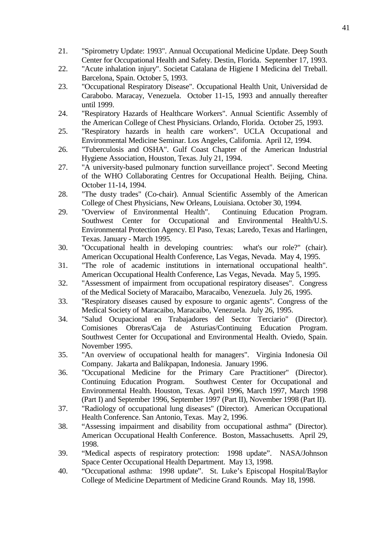- 21. "Spirometry Update: 1993". Annual Occupational Medicine Update. Deep South Center for Occupational Health and Safety. Destin, Florida. September 17, 1993.
- 22. "Acute inhalation injury". Societat Catalana de Higiene I Medicina del Treball. Barcelona, Spain. October 5, 1993.
- 23. "Occupational Respiratory Disease". Occupational Health Unit, Universidad de Carabobo. Maracay, Venezuela. October 11-15, 1993 and annually thereafter until 1999.
- 24. "Respiratory Hazards of Healthcare Workers". Annual Scientific Assembly of the American College of Chest Physicians. Orlando, Florida. October 25, 1993.
- 25. "Respiratory hazards in health care workers". UCLA Occupational and Environmental Medicine Seminar. Los Angeles, California. April 12, 1994.
- 26. "Tuberculosis and OSHA". Gulf Coast Chapter of the American Industrial Hygiene Association, Houston, Texas. July 21, 1994.
- 27. "A university-based pulmonary function surveillance project". Second Meeting of the WHO Collaborating Centres for Occupational Health. Beijing, China. October 11-14, 1994.
- 28. "The dusty trades" (Co-chair). Annual Scientific Assembly of the American College of Chest Physicians, New Orleans, Louisiana. October 30, 1994.
- 29. "Overview of Environmental Health". Continuing Education Program. Southwest Center for Occupational and Environmental Health/U.S. Environmental Protection Agency. El Paso, Texas; Laredo, Texas and Harlingen, Texas. January - March 1995.
- 30. "Occupational health in developing countries: what's our role?" (chair). American Occupational Health Conference, Las Vegas, Nevada. May 4, 1995.
- 31. "The role of academic institutions in international occupational health". American Occupational Health Conference, Las Vegas, Nevada. May 5, 1995.
- 32. "Assessment of impairment from occupational respiratory diseases". Congress of the Medical Society of Maracaibo, Maracaibo, Venezuela. July 26, 1995.
- 33. "Respiratory diseases caused by exposure to organic agents". Congress of the Medical Society of Maracaibo, Maracaibo, Venezuela. July 26, 1995.
- 34. "Salud Ocupacional en Trabajadores del Sector Terciario" (Director). Comisiones Obreras/Caja de Asturias/Continuing Education Program. Southwest Center for Occupational and Environmental Health. Oviedo, Spain. November 1995.
- 35. "An overview of occupational health for managers". Virginia Indonesia Oil Company. Jakarta and Balikpapan, Indonesia. January 1996.
- 36. "Occupational Medicine for the Primary Care Practitioner" (Director). Continuing Education Program. Southwest Center for Occupational and Environmental Health. Houston, Texas. April 1996, March 1997, March 1998 (Part I) and September 1996, September 1997 (Part II), November 1998 (Part II).
- 37. "Radiology of occupational lung diseases" (Director). American Occupational Health Conference. San Antonio, Texas. May 2, 1996.
- 38. "Assessing impairment and disability from occupational asthma" (Director). American Occupational Health Conference. Boston, Massachusetts. April 29, 1998.
- 39. "Medical aspects of respiratory protection: 1998 update". NASA/Johnson Space Center Occupational Health Department. May 13, 1998.
- 40. "Occupational asthma: 1998 update". St. Luke's Episcopal Hospital/Baylor College of Medicine Department of Medicine Grand Rounds. May 18, 1998.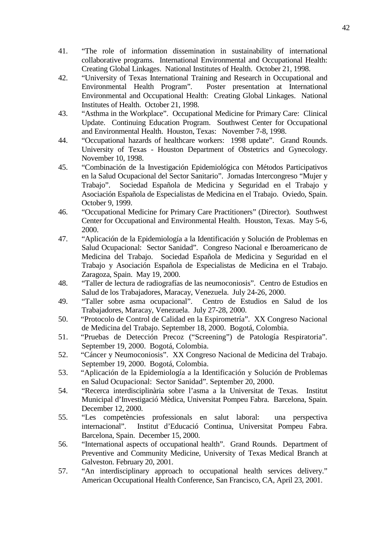- 41. "The role of information dissemination in sustainability of international collaborative programs. International Environmental and Occupational Health: Creating Global Linkages. National Institutes of Health. October 21, 1998.
- 42. "University of Texas International Training and Research in Occupational and Environmental Health Program". Poster presentation at International Environmental and Occupational Health: Creating Global Linkages. National Institutes of Health. October 21, 1998.
- 43. "Asthma in the Workplace". Occupational Medicine for Primary Care: Clinical Update. Continuing Education Program. Southwest Center for Occupational and Environmental Health. Houston, Texas: November 7-8, 1998.
- 44. "Occupational hazards of healthcare workers: 1998 update". Grand Rounds. University of Texas - Houston Department of Obstetrics and Gynecology. November 10, 1998.
- 45. "Combinación de la Investigación Epidemiológica con Métodos Participativos en la Salud Ocupacional del Sector Sanitario". Jornadas Intercongreso "Mujer y Trabajo". Sociedad Española de Medicina y Seguridad en el Trabajo y Asociación Española de Especialistas de Medicina en el Trabajo. Oviedo, Spain. October 9, 1999.
- 46. "Occupational Medicine for Primary Care Practitioners" (Director). Southwest Center for Occupational and Environmental Health. Houston, Texas. May 5-6, 2000.
- 47. "Aplicación de la Epidemiología a la Identificación y Solución de Problemas en Salud Ocupacional: Sector Sanidad". Congreso Nacional e Iberoamericano de Medicina del Trabajo. Sociedad Española de Medicina y Seguridad en el Trabajo y Asociación Española de Especialistas de Medicina en el Trabajo. Zaragoza, Spain. May 19, 2000.
- 48. "Taller de lectura de radiografías de las neumoconiosis". Centro de Estudios en Salud de los Trabajadores, Maracay, Venezuela. July 24-26, 2000.
- 49. "Taller sobre asma ocupacional". Centro de Estudios en Salud de los Trabajadores, Maracay, Venezuela. July 27-28, 2000.
- 50. "Protocolo de Control de Calidad en la Espirometría". XX Congreso Nacional de Medicina del Trabajo. September 18, 2000. Bogotá, Colombia.
- 51. "Pruebas de Detección Precoz ("Screening") de Patología Respiratoria". September 19, 2000. Bogotá, Colombia.
- 52. "Cáncer y Neumoconiosis". XX Congreso Nacional de Medicina del Trabajo. September 19, 2000. Bogotá, Colombia.
- 53. "Aplicación de la Epidemiología a la Identificación y Solución de Problemas en Salud Ocupacional: Sector Sanidad". September 20, 2000.
- 54. "Recerca interdisciplinària sobre l'asma a la Universitat de Texas. Institut Municipal d'Investigació Mèdica, Universitat Pompeu Fabra. Barcelona, Spain. December 12, 2000.
- 55. "Les competències professionals en salut laboral: una perspectiva internacional". Institut d'Educació Continua, Universitat Pompeu Fabra. Barcelona, Spain. December 15, 2000.
- 56. "International aspects of occupational health". Grand Rounds. Department of Preventive and Community Medicine, University of Texas Medical Branch at Galveston. February 20, 2001.
- 57. "An interdisciplinary approach to occupational health services delivery." American Occupational Health Conference, San Francisco, CA, April 23, 2001.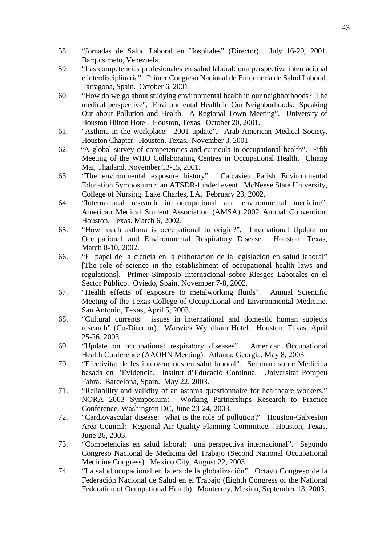- 58. "Jornadas de Salud Laboral en Hospitales" (Director). July 16-20, 2001. Barquisimeto, Venezuela.
- 59. "Las competencias profesionales en salud laboral: una perspectiva internacional e interdisciplinaria". Primer Congreso Nacional de Enfermería de Salud Laboral. Tarragona, Spain. October 6, 2001.
- 60. "How do we go about studying environmental health in our neighborhoods? The medical perspective". Environmental Health in Our Neighborhoods: Speaking Out about Pollution and Health. A Regional Town Meeting". University of Houston Hilton Hotel. Houston, Texas. October 20, 2001.
- 61. "Asthma in the workplace: 2001 update". Arab-American Medical Society, Houston Chapter. Houston, Texas. November 3, 2001.
- 62. "A global survey of competencies and curricula in occupational health". Fifth Meeting of the WHO Collaborating Centres in Occupational Health. Chiang Mai, Thailand, November 13-15, 2001.
- 63. "The environmental exposure history". Calcasieu Parish Environmental Education Symposium : an ATSDR-funded event. McNeese State University, College of Nursing. Lake Charles, LA. February 23, 2002.
- 64. "International research in occupational and environmental medicine". American Medical Student Association (AMSA) 2002 Annual Convention. Houston, Texas. March 6, 2002.
- 65. "How much asthma is occupational in origin?". International Update on Occupational and Environmental Respiratory Disease. Houston, Texas, March 8-10, 2002.
- 66. "El papel de la ciencia en la elaboración de la legislación en salud laboral" [The role of science in the establishment of occupational health laws and regulations]. Primer Simposio Internacional sobre Riesgos Laborales en el Sector Público. Oviedo, Spain, November 7-8, 2002.
- 67. "Health effects of exposure to metalworking fluids". Annual Scientific Meeting of the Texas College of Occupational and Environmental Medicine. San Antonio, Texas, April 5, 2003.
- 68. "Cultural currents: issues in international and domestic human subjects research" (Co-Director). Warwick Wyndham Hotel. Houston, Texas, April 25-26, 2003.
- 69. "Update on occupational respiratory diseases". American Occupational Health Conference (AAOHN Meeting). Atlanta, Georgia. May 8, 2003.
- 70. "Efectivitat de les intervencions en salut laboral". Seminari sobre Medicina basada en l'Evidencia. Institut d'Educació Continua. Universitat Pompeu Fabra. Barcelona, Spain. May 22, 2003.
- 71. "Reliability and validity of an asthma questionnaire for healthcare workers." NORA 2003 Symposium: Working Partnerships Research to Practice Conference, Washington DC, June 23-24, 2003.
- 72. "Cardiovascular disease: what is the role of pollution?" Houston-Galveston Area Council: Regional Air Quality Planning Committee. Houston, Texas, June 26, 2003.
- 73. "Competencias en salud laboral: una perspectiva internacional". Segundo Congreso Nacional de Medicina del Trabajo (Second National Occupational Medicine Congress). Mexico City, August 22, 2003.
- 74. "La salud ocupacional en la era de la globalización". Octavo Congreso de la Federación Nacional de Salud en el Trabajo (Eighth Congress of the National Federation of Occupational Health). Monterrey, Mexico, September 13, 2003.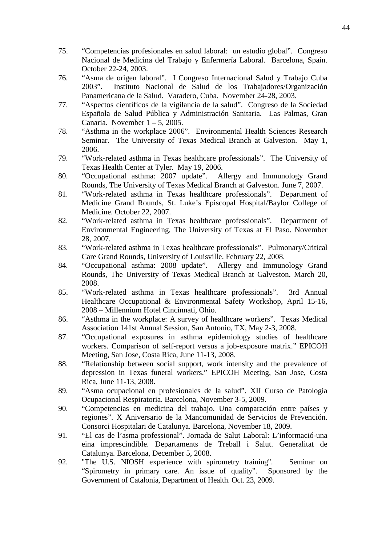- 75. "Competencias profesionales en salud laboral: un estudio global". Congreso Nacional de Medicina del Trabajo y Enfermería Laboral. Barcelona, Spain. October 22-24, 2003.
- 76. "Asma de origen laboral". I Congreso Internacional Salud y Trabajo Cuba 2003". Instituto Nacional de Salud de los Trabajadores/Organización Panamericana de la Salud. Varadero, Cuba. November 24-28, 2003.
- 77. "Aspectos científicos de la vigilancia de la salud". Congreso de la Sociedad Española de Salud Pública y Administración Sanitaria. Las Palmas, Gran Canaria. November  $1 - 5$ , 2005.
- 78. "Asthma in the workplace 2006". Environmental Health Sciences Research Seminar. The University of Texas Medical Branch at Galveston. May 1, 2006.
- 79. "Work-related asthma in Texas healthcare professionals". The University of Texas Health Center at Tyler. May 19, 2006.
- 80. "Occupational asthma: 2007 update". Allergy and Immunology Grand Rounds, The University of Texas Medical Branch at Galveston. June 7, 2007.
- 81. "Work-related asthma in Texas healthcare professionals". Department of Medicine Grand Rounds, St. Luke's Episcopal Hospital/Baylor College of Medicine. October 22, 2007.
- 82. "Work-related asthma in Texas healthcare professionals". Department of Environmental Engineering, The University of Texas at El Paso. November 28, 2007.
- 83. "Work-related asthma in Texas healthcare professionals". Pulmonary/Critical Care Grand Rounds, University of Louisville. February 22, 2008.
- 84. "Occupational asthma: 2008 update". Allergy and Immunology Grand Rounds, The University of Texas Medical Branch at Galveston. March 20, 2008.
- 85. "Work-related asthma in Texas healthcare professionals". 3rd Annual Healthcare Occupational & Environmental Safety Workshop, April 15-16, 2008 – Millennium Hotel Cincinnati, Ohio.
- 86. "Asthma in the workplace: A survey of healthcare workers". Texas Medical Association 141st Annual Session, San Antonio, TX, May 2-3, 2008.
- 87. "Occupational exposures in asthma epidemiology studies of healthcare workers. Comparison of self-report versus a job-exposure matrix." EPICOH Meeting, San Jose, Costa Rica, June 11-13, 2008.
- 88. "Relationship between social support, work intensity and the prevalence of depression in Texas funeral workers." EPICOH Meeting, San Jose, Costa Rica, June 11-13, 2008.
- 89. "Asma ocupacional en profesionales de la salud". XII Curso de Patología Ocupacional Respiratoria. Barcelona, November 3-5, 2009.
- 90. "Competencias en medicina del trabajo. Una comparación entre países y regiones". X Aniversario de la Mancomunidad de Servicios de Prevención. Consorci Hospitalari de Catalunya. Barcelona, November 18, 2009.
- 91. "El cas de l'asma professional". Jornada de Salut Laboral: L'informació-una eina imprescindible. Departaments de Treball i Salut. Generalitat de Catalunya. Barcelona, December 5, 2008.
- 92. "The U.S. NIOSH experience with spirometry training". Seminar on "Spirometry in primary care. An issue of quality". Sponsored by the Government of Catalonia, Department of Health. Oct. 23, 2009.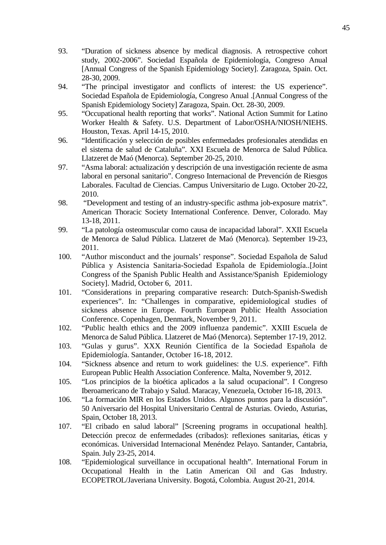- 93. "Duration of sickness absence by medical diagnosis. A retrospective cohort study, 2002-2006". Sociedad Española de Epidemiología, Congreso Anual [Annual Congress of the Spanish Epidemiology Society]. Zaragoza, Spain. Oct. 28-30, 2009.
- 94. "The principal investigator and conflicts of interest: the US experience". Sociedad Española de Epidemiología, Congreso Anual .[Annual Congress of the Spanish Epidemiology Society] Zaragoza, Spain. Oct. 28-30, 2009.
- 95. "Occupational health reporting that works". National Action Summit for Latino Worker Health & Safety. U.S. Department of Labor/OSHA/NIOSH/NIEHS. Houston, Texas. April 14-15, 2010.
- 96. "Identificación y selección de posibles enfermedades profesionales atendidas en el sistema de salud de Cataluña". XXI Escuela de Menorca de Salud Pública. Llatzeret de Maó (Menorca). September 20-25, 2010.
- 97. "Asma laboral: actualización y descripción de una investigación reciente de asma laboral en personal sanitario". Congreso Internacional de Prevención de Riesgos Laborales. Facultad de Ciencias. Campus Universitario de Lugo. October 20-22, 2010.
- 98. "Development and testing of an industry-specific asthma job-exposure matrix". American Thoracic Society International Conference. Denver, Colorado. May 13-18, 2011.
- 99. "La patología osteomuscular como causa de incapacidad laboral". XXII Escuela de Menorca de Salud Pública. Llatzeret de Maó (Menorca). September 19-23, 2011.
- 100. "Author misconduct and the journals' response". Sociedad Española de Salud Pública y Asistencia Sanitaria-Sociedad Española de Epidemiología..[Joint Congress of the Spanish Public Health and Assistance/Spanish Epidemiology Society]. Madrid, October 6, 2011.
- 101. "Considerations in preparing comparative research: Dutch-Spanish-Swedish experiences". In: "Challenges in comparative, epidemiological studies of sickness absence in Europe. Fourth European Public Health Association Conference. Copenhagen, Denmark, November 9, 2011.
- 102. "Public health ethics and the 2009 influenza pandemic". XXIII Escuela de Menorca de Salud Pública. Llatzeret de Maó (Menorca). September 17-19, 2012.
- 103. "Gulas y gurus". XXX Reunión Científica de la Sociedad Española de Epidemiología. Santander, October 16-18, 2012.
- 104. "Sickness absence and return to work guidelines: the U.S. experience". Fifth European Public Health Association Conference. Malta, November 9, 2012.
- 105. "Los principios de la bioética aplicados a la salud ocupacional". I Congreso Iberoamericano de Trabajo y Salud. Maracay, Venezuela, October 16-18, 2013.
- 106. "La formación MIR en los Estados Unidos. Algunos puntos para la discusión". 50 Aniversario del Hospital Universitario Central de Asturias. Oviedo, Asturias, Spain, October 18, 2013.
- 107. "El cribado en salud laboral" [Screening programs in occupational health]. Detección precoz de enfermedades (cribados): reflexiones sanitarias, éticas y económicas. Universidad Internacional Menéndez Pelayo. Santander, Cantabria, Spain. July 23-25, 2014.
- 108. "Epidemiological surveillance in occupational health". International Forum in Occupational Health in the Latin American Oil and Gas Industry. ECOPETROL/Javeriana University. Bogotá, Colombia. August 20-21, 2014.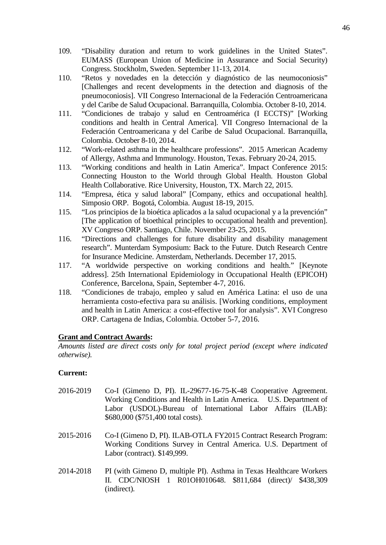- 109. "Disability duration and return to work guidelines in the United States". EUMASS (European Union of Medicine in Assurance and Social Security) Congress. Stockholm, Sweden. September 11-13, 2014.
- 110. "Retos y novedades en la detección y diagnóstico de las neumoconiosis" [Challenges and recent developments in the detection and diagnosis of the pneumoconiosis]. VII Congreso Internacional de la Federación Centroamericana y del Caribe de Salud Ocupacional. Barranquilla, Colombia. October 8-10, 2014.
- 111. "Condiciones de trabajo y salud en Centroamérica (I ECCTS)" [Working conditions and health in Central America]. VII Congreso Internacional de la Federación Centroamericana y del Caribe de Salud Ocupacional. Barranquilla, Colombia. October 8-10, 2014.
- 112. "Work-related asthma in the healthcare professions". 2015 American Academy of Allergy, Asthma and Immunology. Houston, Texas. February 20-24, 2015.
- 113. "Working conditions and health in Latin America". Impact Conference 2015: Connecting Houston to the World through Global Health. Houston Global Health Collaborative. Rice University, Houston, TX. March 22, 2015.
- 114. "Empresa, ética y salud laboral" [Company, ethics and occupational health]. Simposio ORP. Bogotá, Colombia. August 18-19, 2015.
- 115. "Los principios de la bioética aplicados a la salud ocupacional y a la prevención" [The application of bioethical principles to occupational health and prevention]. XV Congreso ORP. Santiago, Chile. November 23-25, 2015.
- 116. "Directions and challenges for future disability and disability management research". Munterdam Symposium: Back to the Future. Dutch Research Centre for Insurance Medicine. Amsterdam, Netherlands. December 17, 2015.
- 117. "A worldwide perspective on working conditions and health." [Keynote address]. 25th International Epidemiology in Occupational Health (EPICOH) Conference, Barcelona, Spain, September 4-7, 2016.
- 118. "Condiciones de trabajo, empleo y salud en América Latina: el uso de una herramienta costo-efectiva para su análisis. [Working conditions, employment and health in Latin America: a cost-effective tool for analysis". XVI Congreso ORP. Cartagena de Indias, Colombia. October 5-7, 2016.

### **Grant and Contract Awards:**

*Amounts listed are direct costs only for total project period (except where indicated otherwise).*

#### **Current:**

- 2016-2019 Co-I (Gimeno D, PI). IL-29677-16-75-K-48 Cooperative Agreement. Working Conditions and Health in Latin America. U.S. Department of Labor (USDOL)-Bureau of International Labor Affairs (ILAB): \$680,000 (\$751,400 total costs).
- 2015-2016 Co-I (Gimeno D, PI). ILAB-OTLA FY2015 Contract Research Program: Working Conditions Survey in Central America. U.S. Department of Labor (contract). \$149,999.
- 2014-2018 PI (with Gimeno D, multiple PI). Asthma in Texas Healthcare Workers II. CDC/NIOSH 1 R01OH010648. \$811,684 (direct)/ \$438,309 (indirect).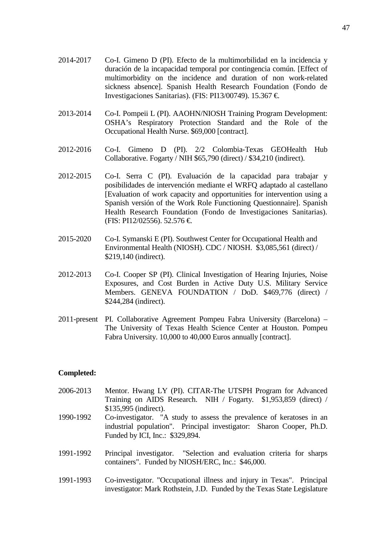- 2014-2017 Co-I. Gimeno D (PI). Efecto de la multimorbilidad en la incidencia y duración de la incapacidad temporal por contingencia común. [Effect of multimorbidity on the incidence and duration of non work-related sickness absence]. Spanish Health Research Foundation (Fondo de Investigaciones Sanitarias). (FIS: PI13/00749). 15.367 €.
- 2013-2014 Co-I. Pompeii L (PI). AAOHN/NIOSH Training Program Development: OSHA's Respiratory Protection Standard and the Role of the Occupational Health Nurse. \$69,000 [contract].
- 2012-2016 Co-I. Gimeno D (PI). 2/2 Colombia-Texas GEOHealth Hub Collaborative. Fogarty / NIH \$65,790 (direct) / \$34,210 (indirect).
- 2012-2015 Co-I. Serra C (PI). Evaluación de la capacidad para trabajar y posibilidades de intervención mediante el WRFQ adaptado al castellano [Evaluation of work capacity and opportunities for intervention using a Spanish versión of the Work Role Functioning Questionnaire]. Spanish Health Research Foundation (Fondo de Investigaciones Sanitarias). (FIS: PI12/02556). 52.576 €.
- 2015-2020 Co-I. Symanski E (PI). Southwest Center for Occupational Health and Environmental Health (NIOSH). CDC / NIOSH. \$3,085,561 (direct) / \$219,140 (indirect).
- 2012-2013 Co-I. Cooper SP (PI). Clinical Investigation of Hearing Injuries, Noise Exposures, and Cost Burden in Active Duty U.S. Military Service Members. GENEVA FOUNDATION / DoD. \$469,776 (direct) / \$244,284 (indirect).
- 2011-present PI. Collaborative Agreement Pompeu Fabra University (Barcelona) The University of Texas Health Science Center at Houston. Pompeu Fabra University. 10,000 to 40,000 Euros annually [contract].

#### **Completed:**

- 2006-2013 Mentor. Hwang LY (PI). CITAR-The UTSPH Program for Advanced Training on AIDS Research. NIH / Fogarty. \$1,953,859 (direct) / \$135,995 (indirect). 1990-1992 Co-investigator. "A study to assess the prevalence of keratoses in an industrial population". Principal investigator: Sharon Cooper, Ph.D. Funded by ICI, Inc.: \$329,894.
- 1991-1992 Principal investigator. "Selection and evaluation criteria for sharps containers". Funded by NIOSH/ERC, Inc.: \$46,000.
- 1991-1993 Co-investigator. "Occupational illness and injury in Texas". Principal investigator: Mark Rothstein, J.D. Funded by the Texas State Legislature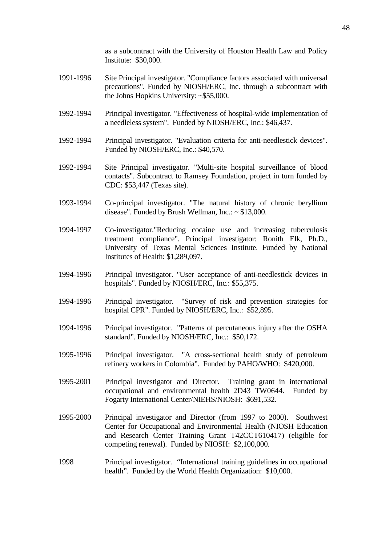as a subcontract with the University of Houston Health Law and Policy Institute: \$30,000.

- 1991-1996 Site Principal investigator. "Compliance factors associated with universal precautions". Funded by NIOSH/ERC, Inc. through a subcontract with the Johns Hopkins University: ~\$55,000.
- 1992-1994 Principal investigator. "Effectiveness of hospital-wide implementation of a needleless system". Funded by NIOSH/ERC, Inc.: \$46,437.
- 1992-1994 Principal investigator. "Evaluation criteria for anti-needlestick devices". Funded by NIOSH/ERC, Inc.: \$40,570.
- 1992-1994 Site Principal investigator. "Multi-site hospital surveillance of blood contacts". Subcontract to Ramsey Foundation, project in turn funded by CDC: \$53,447 (Texas site).
- 1993-1994 Co-principal investigator. "The natural history of chronic beryllium disease". Funded by Brush Wellman, Inc.:  $\sim$  \$13,000.
- 1994-1997 Co-investigator."Reducing cocaine use and increasing tuberculosis treatment compliance". Principal investigator: Ronith Elk, Ph.D., University of Texas Mental Sciences Institute. Funded by National Institutes of Health: \$1,289,097.
- 1994-1996 Principal investigator. "User acceptance of anti-needlestick devices in hospitals". Funded by NIOSH/ERC, Inc.: \$55,375.
- 1994-1996 Principal investigator. "Survey of risk and prevention strategies for hospital CPR". Funded by NIOSH/ERC, Inc.: \$52,895.
- 1994-1996 Principal investigator. "Patterns of percutaneous injury after the OSHA standard". Funded by NIOSH/ERC, Inc.: \$50,172.
- 1995-1996 Principal investigator. "A cross-sectional health study of petroleum refinery workers in Colombia". Funded by PAHO/WHO: \$420,000.
- 1995-2001 Principal investigator and Director. Training grant in international occupational and environmental health 2D43 TW0644. Funded by Fogarty International Center/NIEHS/NIOSH: \$691,532.
- 1995-2000 Principal investigator and Director (from 1997 to 2000). Southwest Center for Occupational and Environmental Health (NIOSH Education and Research Center Training Grant T42CCT610417) (eligible for competing renewal). Funded by NIOSH: \$2,100,000.
- 1998 Principal investigator. "International training guidelines in occupational health". Funded by the World Health Organization: \$10,000.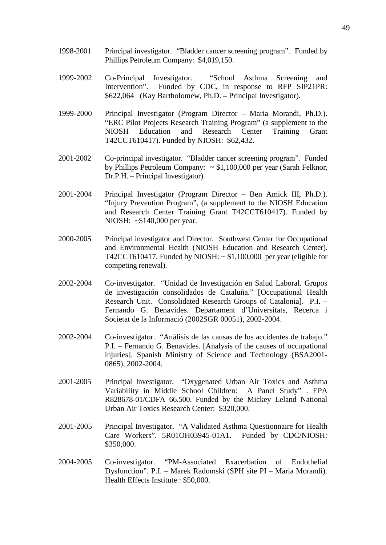- 1998-2001 Principal investigator. "Bladder cancer screening program". Funded by Phillips Petroleum Company: \$4,019,150.
- 1999-2002 Co-Principal Investigator. "School Asthma Screening and Intervention". Funded by CDC, in response to RFP SIP21PR: \$622,064 (Kay Bartholomew, Ph.D. – Principal Investigator).
- 1999-2000 Principal Investigator (Program Director Maria Morandi, Ph.D.). "ERC Pilot Projects Research Training Program" (a supplement to the NIOSH Education and Research Center Training Grant T42CCT610417). Funded by NIOSH: \$62,432.
- 2001-2002 Co-principal investigator. "Bladder cancer screening program". Funded by Phillips Petroleum Company:  $\sim$  \$1,100,000 per year (Sarah Felknor, Dr.P.H. – Principal Investigator).
- 2001-2004 Principal Investigator (Program Director Ben Amick III, Ph.D.). "Injury Prevention Program", (a supplement to the NIOSH Education and Research Center Training Grant T42CCT610417). Funded by NIOSH: ~\$140,000 per year.
- 2000-2005 Principal investigator and Director. Southwest Center for Occupational and Environmental Health (NIOSH Education and Research Center). T42CCT610417. Funded by NIOSH:  $\sim$  \$1,100,000 per year (eligible for competing renewal).
- 2002-2004 Co-investigator. "Unidad de Investigación en Salud Laboral. Grupos de investigación consolidados de Cataluña." [Occupational Health Research Unit. Consolidated Research Groups of Catalonia]. P.I. – Fernando G. Benavides. Departament d'Universitats, Recerca i Societat de la Informació (2002SGR 00051), 2002-2004.
- 2002-2004 Co-investigator. "Análisis de las causas de los accidentes de trabajo." P.I. – Fernando G. Benavides. [Analysis of the causes of occupational injuries]. Spanish Ministry of Science and Technology (BSA2001- 0865), 2002-2004.
- 2001-2005 Principal Investigator. "Oxygenated Urban Air Toxics and Asthma Variability in Middle School Children: A Panel Study" . EPA R828678-01/CDFA 66.500. Funded by the Mickey Leland National Urban Air Toxics Research Center: \$320,000.
- 2001-2005 Principal Investigator. "A Validated Asthma Questionnaire for Health Care Workers". 5R01OH03945-01A1. Funded by CDC/NIOSH: \$350,000.
- 2004-2005 Co-investigator. "PM-Associated Exacerbation of Endothelial Dysfunction". P.I. – Marek Radomski (SPH site PI – Maria Morandi). Health Effects Institute : \$50,000.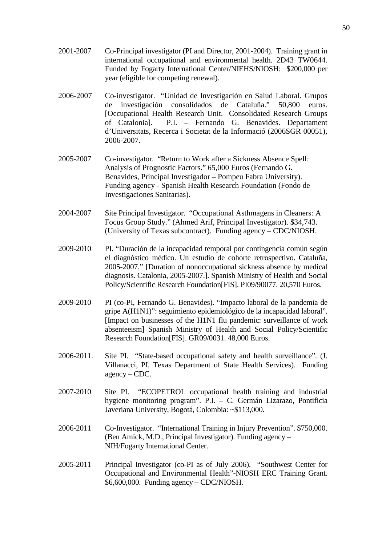- 2001-2007 Co-Principal investigator (PI and Director, 2001-2004). Training grant in international occupational and environmental health. 2D43 TW0644. Funded by Fogarty International Center/NIEHS/NIOSH: \$200,000 per year (eligible for competing renewal).
- 2006-2007 Co-investigator. "Unidad de Investigación en Salud Laboral. Grupos de investigación consolidados de Cataluña." 50,800 euros. [Occupational Health Research Unit. Consolidated Research Groups of Catalonia]. P.I. – Fernando G. Benavides. Departament d'Universitats, Recerca i Societat de la Informació (2006SGR 00051), 2006-2007.
- 2005-2007 Co-investigator. "Return to Work after a Sickness Absence Spell: Analysis of Prognostic Factors." 65,000 Euros (Fernando G. Benavides, Principal Investigador – Pompeu Fabra University). Funding agency - Spanish Health Research Foundation (Fondo de Investigaciones Sanitarias).
- 2004-2007 Site Principal Investigator. "Occupational Asthmagens in Cleaners: A Focus Group Study." (Ahmed Arif, Principal Investigator). \$34,743. (University of Texas subcontract). Funding agency – CDC/NIOSH.
- 2009-2010 PI. "Duración de la incapacidad temporal por contingencia común según el diagnóstico médico. Un estudio de cohorte retrospectivo. Cataluña, 2005-2007." [Duration of nonoccupational sickness absence by medical diagnosis. Catalonia, 2005-2007.]. Spanish Ministry of Health and Social Policy/Scientific Research Foundation[FIS]. PI09/90077. 20,570 Euros.
- 2009-2010 PI (co-PI, Fernando G. Benavides). "Impacto laboral de la pandemia de gripe A(H1N1)": seguimiento epidemiológico de la incapacidad laboral". [Impact on businesses of the H1N1 flu pandemic: surveillance of work absenteeism] Spanish Ministry of Health and Social Policy/Scientific Research Foundation[FIS]. GR09/0031. 48,000 Euros.
- 2006-2011. Site PI. "State-based occupational safety and health surveillance". (J. Villanacci, PI. Texas Department of State Health Services). Funding agency – CDC.
- 2007-2010 Site PI. "ECOPETROL occupational health training and industrial hygiene monitoring program". P.I. – C. Germán Lizarazo, Pontificia Javeriana University, Bogotá, Colombia: ~\$113,000.
- 2006-2011 Co-Investigator. "International Training in Injury Prevention". \$750,000. (Ben Amick, M.D., Principal Investigator). Funding agency – NIH/Fogarty International Center.
- 2005-2011 Principal Investigator (co-PI as of July 2006). "Southwest Center for Occupational and Environmental Health"-NIOSH ERC Training Grant. \$6,600,000. Funding agency – CDC/NIOSH.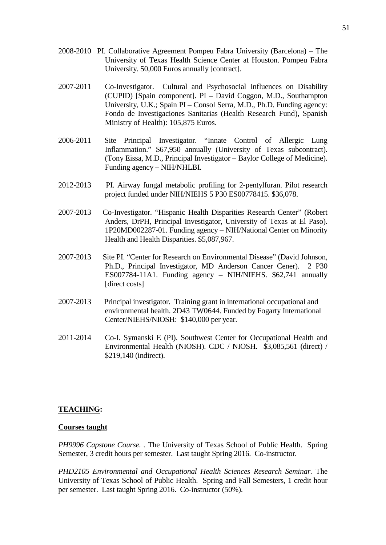- 2008-2010 PI. Collaborative Agreement Pompeu Fabra University (Barcelona) The University of Texas Health Science Center at Houston. Pompeu Fabra University. 50,000 Euros annually [contract].
- 2007-2011 Co-Investigator. Cultural and Psychosocial Influences on Disability (CUPID) [Spain component]. PI – David Coggon, M.D., Southampton University, U.K.; Spain PI – Consol Serra, M.D., Ph.D. Funding agency: Fondo de Investigaciones Sanitarias (Health Research Fund), Spanish Ministry of Health): 105,875 Euros.
- 2006-2011 Site Principal Investigator. "Innate Control of Allergic Lung Inflammation." \$67,950 annually (University of Texas subcontract). (Tony Eissa, M.D., Principal Investigator – Baylor College of Medicine). Funding agency – NIH/NHLBI.
- 2012-2013 PI. Airway fungal metabolic profiling for 2-pentylfuran. Pilot research project funded under NIH/NIEHS 5 P30 ES00778415. \$36,078.
- 2007-2013 Co-Investigator. "Hispanic Health Disparities Research Center" (Robert Anders, DrPH, Principal Investigator, University of Texas at El Paso). 1P20MD002287-01. Funding agency – NIH/National Center on Minority Health and Health Disparities. \$5,087,967.
- 2007-2013 Site PI. "Center for Research on Environmental Disease" (David Johnson, Ph.D., Principal Investigator, MD Anderson Cancer Cener). 2 P30 ES007784-11A1. Funding agency – NIH/NIEHS. \$62,741 annually [direct costs]
- 2007-2013 Principal investigator. Training grant in international occupational and environmental health. 2D43 TW0644. Funded by Fogarty International Center/NIEHS/NIOSH: \$140,000 per year.
- 2011-2014 Co-I. Symanski E (PI). Southwest Center for Occupational Health and Environmental Health (NIOSH). CDC / NIOSH. \$3,085,561 (direct) / \$219,140 (indirect).

#### **TEACHING:**

#### **Courses taught**

*PH9996 Capstone Course. .* The University of Texas School of Public Health. Spring Semester, 3 credit hours per semester. Last taught Spring 2016. Co-instructor.

*PHD2105 Environmental and Occupational Health Sciences Research Seminar.* The University of Texas School of Public Health. Spring and Fall Semesters, 1 credit hour per semester. Last taught Spring 2016. Co-instructor (50%).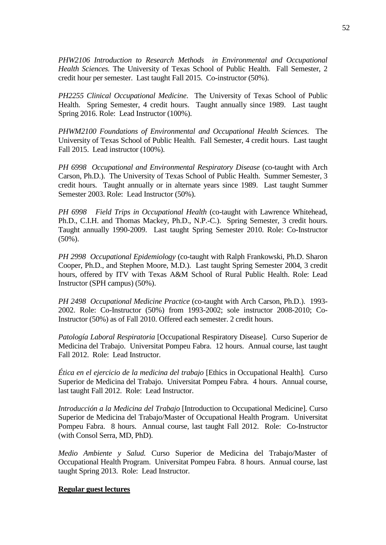*PHW2106 Introduction to Research Methods in Environmental and Occupational Health Sciences.* The University of Texas School of Public Health. Fall Semester, 2 credit hour per semester. Last taught Fall 2015. Co-instructor (50%).

*PH2255 Clinical Occupational Medicine*. The University of Texas School of Public Health. Spring Semester, 4 credit hours. Taught annually since 1989. Last taught Spring 2016. Role: Lead Instructor (100%).

*PHWM2100 Foundations of Environmental and Occupational Health Sciences.* The University of Texas School of Public Health. Fall Semester, 4 credit hours. Last taught Fall 2015. Lead instructor (100%).

*PH 6998 Occupational and Environmental Respiratory Disease* (co-taught with Arch Carson, Ph.D.). The University of Texas School of Public Health. Summer Semester, 3 credit hours. Taught annually or in alternate years since 1989. Last taught Summer Semester 2003. Role: Lead Instructor (50%).

*PH 6998 Field Trips in Occupational Health* (co-taught with Lawrence Whitehead, Ph.D., C.I.H. and Thomas Mackey, Ph.D., N.P.-C.). Spring Semester, 3 credit hours. Taught annually 1990-2009. Last taught Spring Semester 2010. Role: Co-Instructor (50%).

*PH 2998 Occupational Epidemiology* (co-taught with Ralph Frankowski, Ph.D. Sharon Cooper, Ph.D., and Stephen Moore, M.D.). Last taught Spring Semester 2004, 3 credit hours, offered by ITV with Texas A&M School of Rural Public Health. Role: Lead Instructor (SPH campus) (50%).

*PH 2498 Occupational Medicine Practice* (co-taught with Arch Carson, Ph.D.). 1993- 2002. Role: Co-Instructor (50%) from 1993-2002; sole instructor 2008-2010; Co-Instructor (50%) as of Fall 2010. Offered each semester. 2 credit hours.

*Patología Laboral Respiratoria* [Occupational Respiratory Disease]*.* Curso Superior de Medicina del Trabajo. Universitat Pompeu Fabra. 12 hours. Annual course, last taught Fall 2012. Role: Lead Instructor.

*Ética en el ejercicio de la medicina del trabajo* [Ethics in Occupational Health]*.* Curso Superior de Medicina del Trabajo. Universitat Pompeu Fabra. 4 hours. Annual course, last taught Fall 2012. Role: Lead Instructor.

*Introducción a la Medicina del Trabajo* [Introduction to Occupational Medicine]*.* Curso Superior de Medicina del Trabajo/Master of Occupational Health Program. Universitat Pompeu Fabra. 8 hours. Annual course, last taught Fall 2012. Role: Co-Instructor (with Consol Serra, MD, PhD).

*Medio Ambiente y Salud.* Curso Superior de Medicina del Trabajo/Master of Occupational Health Program. Universitat Pompeu Fabra. 8 hours. Annual course, last taught Spring 2013. Role: Lead Instructor.

#### **Regular guest lectures**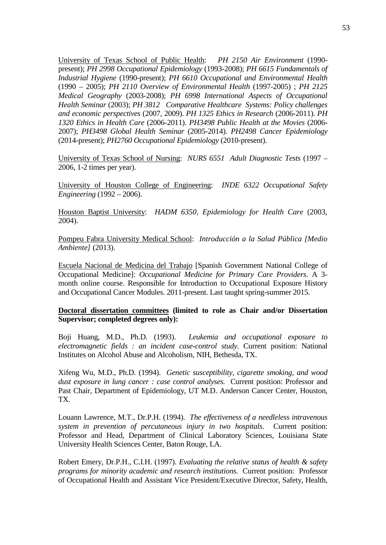University of Texas School of Public Health: *PH 2150 Air Environment* (1990 present); *PH 2998 Occupational Epidemiology* (1993-2008); *PH 6615 Fundamentals of Industrial Hygiene* (1990-present); *PH 6610 Occupational and Environmental Health* (1990 – 2005); *PH 2110 Overview of Environmental Health* (1997-2005) ; *PH 2125 Medical Geography* (2003-2008); *PH 6998 International Aspects of Occupational Health Seminar* (2003); *PH 3812 Comparative Healthcare Systems: Policy challenges and economic perspectives* (2007, 2009). *PH 1325 Ethics in Research* (2006-2011). *PH 1320 Ethics in Health Care* (2006-2011). *PH3498 Public Health at the Movies* (2006- 2007); *PH3498 Global Health Seminar* (2005-2014). *PH2498 Cancer Epidemiology*  (2014-present); *PH2760 Occupational Epidemiology* (2010-present).

University of Texas School of Nursing: *NURS 6551 Adult Diagnostic Tests* (1997 – 2006, 1-2 times per year).

University of Houston College of Engineering: *INDE 6322 Occupational Safety Engineering* (1992 – 2006).

Houston Baptist University: *HADM 6350, Epidemiology for Health Care* (2003, 2004).

Pompeu Fabra University Medical School: *Introducción a la Salud Pública [Medio Ambiente]* (2013).

Escuela Nacional de Medicina del Trabajo [Spanish Government National College of Occupational Medicine]: *Occupational Medicine for Primary Care Providers.* A 3 month online course. Responsible for Introduction to Occupational Exposure History and Occupational Cancer Modules. 2011-present. Last taught spring-summer 2015.

#### **Doctoral dissertation committees (limited to role as Chair and/or Dissertation Supervisor; completed degrees only):**

Boji Huang, M.D., Ph.D. (1993). *Leukemia and occupational exposure to electromagnetic fields : an incident case-control study.* Current position: National Institutes on Alcohol Abuse and Alcoholism, NIH, Bethesda, TX.

Xifeng Wu, M.D., Ph.D. (1994). *Genetic susceptibility, cigarette smoking, and wood dust exposure in lung cancer : case control analyses.* Current position: Professor and Past Chair, Department of Epidemiology, UT M.D. Anderson Cancer Center, Houston, TX.

Louann Lawrence, M.T., Dr.P.H. (1994). *The effectiveness of a needleless intravenous system in prevention of percutaneous injury in two hospitals.* Current position: Professor and Head, Department of Clinical Laboratory Sciences, Louisiana State University Health Sciences Center, Baton Rouge, LA.

Robert Emery, Dr.P.H., C.I.H. (1997). *Evaluating the relative status of health & safety programs for minority academic and research institutions.* Current position: Professor of Occupational Health and Assistant Vice President/Executive Director, Safety, Health,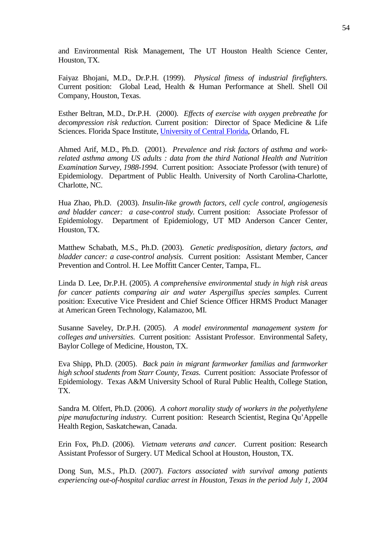and Environmental Risk Management, The UT Houston Health Science Center, Houston, TX.

Faiyaz Bhojani, M.D., Dr.P.H. (1999). *Physical fitness of industrial firefighters.*  Current position: Global Lead, Health & Human Performance at Shell. Shell Oil Company, Houston, Texas.

Esther Beltran, M.D., Dr.P.H. (2000). *Effects of exercise with oxygen prebreathe for decompression risk reduction.* Current position: Director of Space Medicine & Life Sciences. Florida Space Institute, [University of Central Florida,](http://www.linkedin.com/company/166632?trk=ppro_cprof) Orlando, FL

Ahmed Arif, M.D., Ph.D. (2001). *Prevalence and risk factors of asthma and workrelated asthma among US adults : data from the third National Health and Nutrition Examination Survey, 1988-1994.* Current position: Associate Professor (with tenure) of Epidemiology. Department of Public Health. University of North Carolina-Charlotte, Charlotte, NC.

Hua Zhao, Ph.D. (2003). *Insulin-like growth factors, cell cycle control, angiogenesis and bladder cancer: a case-control study.* Current position: Associate Professor of Epidemiology. Department of Epidemiology, UT MD Anderson Cancer Center, Houston, TX.

Matthew Schabath, M.S., Ph.D. (2003). *Genetic predisposition, dietary factors, and bladder cancer: a case-control analysis.* Current position: Assistant Member, Cancer Prevention and Control. H. Lee Moffitt Cancer Center, Tampa, FL.

Linda D. Lee, Dr.P.H. (2005). *A comprehensive environmental study in high risk areas for cancer patients comparing air and water Aspergillus species samples.* Current position: Executive Vice President and Chief Science Officer HRMS Product Manager at American Green Technology, Kalamazoo, MI.

Susanne Saveley, Dr.P.H. (2005). *A model environmental management system for colleges and universities.* Current position: Assistant Professor. Environmental Safety, Baylor College of Medicine, Houston, TX.

Eva Shipp, Ph.D. (2005). *Back pain in migrant farmworker familias and farmworker high school students from Starr County, Texas.* Current position: Associate Professor of Epidemiology. Texas A&M University School of Rural Public Health, College Station, TX.

Sandra M. Olfert, Ph.D. (2006). *A cohort morality study of workers in the polyethylene pipe manufacturing industry.* Current position: Research Scientist, Regina Qu'Appelle Health Region*,* Saskatchewan, Canada.

Erin Fox, Ph.D. (2006). *Vietnam veterans and cancer.* Current position: Research Assistant Professor of Surgery. UT Medical School at Houston, Houston, TX.

Dong Sun, M.S., Ph.D. (2007). *Factors associated with survival among patients experiencing out-of-hospital cardiac arrest in Houston, Texas in the period July 1, 2004*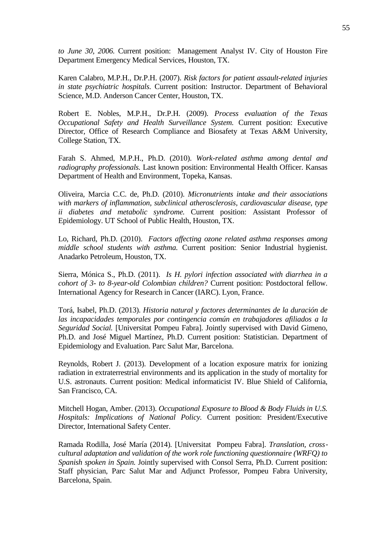*to June 30, 2006.* Current position: Management Analyst IV. City of Houston Fire Department Emergency Medical Services, Houston, TX.

Karen Calabro, M.P.H., Dr.P.H. (2007). *Risk factors for patient assault-related injuries in state psychiatric hospitals.* Current position: Instructor. Department of Behavioral Science, M.D. Anderson Cancer Center, Houston, TX.

Robert E. Nobles, M.P.H., Dr.P.H. (2009). *Process evaluation of the Texas Occupational Safety and Health Surveillance System.* Current position: Executive Director, Office of Research Compliance and Biosafety at Texas A&M University, College Station, TX.

Farah S. Ahmed, M.P.H., Ph.D. (2010). *Work-related asthma among dental and radiography professionals.* Last known position: Environmental Health Officer. Kansas Department of Health and Environment, Topeka, Kansas.

Oliveira, Marcia C.C. de, Ph.D. (2010). *Micronutrients intake and their associations with markers of inflammation, subclinical atherosclerosis, cardiovascular disease, type ii diabetes and metabolic syndrome.* Current position: Assistant Professor of Epidemiology. UT School of Public Health, Houston, TX.

Lo, Richard, Ph.D. (2010). *Factors affecting ozone related asthma responses among middle school students with asthma.* Current position: Senior Industrial hygienist. Anadarko Petroleum, Houston, TX.

Sierra, Mónica S., Ph.D. (2011). *Is H. pylori infection associated with diarrhea in a cohort of 3- to 8-year-old Colombian children?* Current position: Postdoctoral fellow. International Agency for Research in Cancer (IARC). Lyon, France.

Torá, Isabel, Ph.D. (2013). *Historia natural y factores determinantes de la duración de las incapacidades temporales por contingencia común en trabajadores afiliados a la Seguridad Social.* [Universitat Pompeu Fabra]. Jointly supervised with David Gimeno, Ph.D. and José Miguel Martínez, Ph.D. Current position: Statistician. Department of Epidemiology and Evaluation. Parc Salut Mar, Barcelona.

Reynolds, Robert J. (2013). Development of a location exposure matrix for ionizing radiation in extraterrestrial environments and its application in the study of mortality for U.S. astronauts. Current position: Medical informaticist IV. Blue Shield of California, San Francisco, CA.

Mitchell Hogan, Amber. (2013). *Occupational Exposure to Blood & Body Fluids in U.S. Hospitals: Implications of National Policy.* Current position: President/Executive Director, International Safety Center.

Ramada Rodilla, José María (2014). [Universitat Pompeu Fabra]. *Translation, cross*‐ *cultural adaptation and validation of the work role functioning questionnaire (WRFQ) to Spanish spoken in Spain.* Jointly supervised with Consol Serra, Ph.D. Current position: Staff physician, Parc Salut Mar and Adjunct Professor, Pompeu Fabra University, Barcelona, Spain.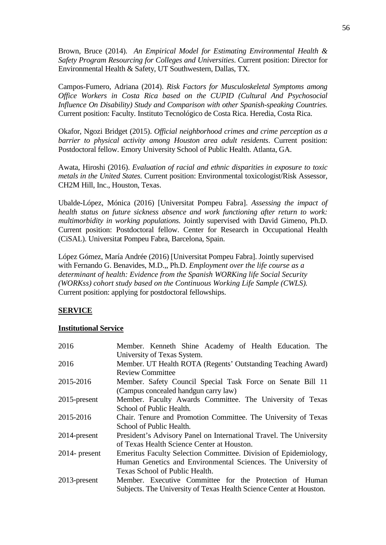Brown, Bruce (2014). *An Empirical Model for Estimating Environmental Health & Safety Program Resourcing for Colleges and Universities*. Current position: Director for Environmental Health & Safety, UT Southwestern, Dallas, TX.

Campos-Fumero, Adriana (2014). *Risk Factors for Musculoskeletal Symptoms among Office Workers in Costa Rica based on the CUPID (Cultural And Psychosocial Influence On Disability) Study and Comparison with other Spanish-speaking Countries.* Current position: Faculty. Instituto Tecnológico de Costa Rica. Heredia, Costa Rica.

Okafor, Ngozi Bridget (2015). *Official neighborhood crimes and crime perception as a barrier to physical activity among Houston area adult residents*. Current position: Postdoctoral fellow. Emory University School of Public Health. Atlanta, GA.

Awata, Hiroshi (2016). *Evaluation of racial and ethnic disparities in exposure to toxic metals in the United States.* Current position: Environmental toxicologist/Risk Assessor, CH2M Hill, Inc., Houston, Texas.

Ubalde-López, Mónica (2016) [Universitat Pompeu Fabra]. *Assessing the impact of health status on future sickness absence and work functioning after return to work: multimorbidity in working populations.* Jointly supervised with David Gimeno, Ph.D. Current position: Postdoctoral fellow. Center for Research in Occupational Health (CiSAL). Universitat Pompeu Fabra, Barcelona, Spain.

López Gómez, María Andrée (2016) [Universitat Pompeu Fabra]. Jointly supervised with Fernando G. Benavides, M.D.,, Ph.D. *Employment over the life course as a determinant of health: Evidence from the Spanish WORKing life Social Security (WORKss) cohort study based on the Continuous Working Life Sample (CWLS).* Current position: applying for postdoctoral fellowships.

#### **SERVICE**

#### **Institutional Service**

| 2016             | Member. Kenneth Shine Academy of Health Education. The                                                                 |
|------------------|------------------------------------------------------------------------------------------------------------------------|
| 2016             | University of Texas System.<br>Member. UT Health ROTA (Regents' Outstanding Teaching Award)<br><b>Review Committee</b> |
| 2015-2016        | Member. Safety Council Special Task Force on Senate Bill 11<br>(Campus concealed handgun carry law)                    |
| $2015$ -present  | Member. Faculty Awards Committee. The University of Texas                                                              |
| 2015-2016        | School of Public Health.                                                                                               |
|                  | Chair. Tenure and Promotion Committee. The University of Texas<br>School of Public Health.                             |
| 2014-present     | President's Advisory Panel on International Travel. The University<br>of Texas Health Science Center at Houston.       |
| $2014$ - present | Emeritus Faculty Selection Committee. Division of Epidemiology,                                                        |
|                  | Human Genetics and Environmental Sciences. The University of                                                           |
|                  | Texas School of Public Health.                                                                                         |
| $2013$ -present  | Member. Executive Committee for the Protection of Human                                                                |
|                  | Subjects. The University of Texas Health Science Center at Houston.                                                    |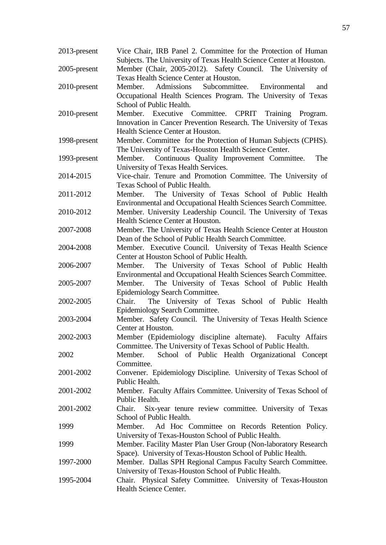| 2013-present | Vice Chair, IRB Panel 2. Committee for the Protection of Human<br>Subjects. The University of Texas Health Science Center at Houston.                          |
|--------------|----------------------------------------------------------------------------------------------------------------------------------------------------------------|
| 2005-present | Member (Chair, 2005-2012). Safety Council. The University of<br>Texas Health Science Center at Houston.                                                        |
| 2010-present | Member. Admissions Subcommittee. Environmental<br>and<br>Occupational Health Sciences Program. The University of Texas<br>School of Public Health.             |
| 2010-present | Member. Executive Committee. CPRIT Training Program.<br>Innovation in Cancer Prevention Research. The University of Texas<br>Health Science Center at Houston. |
| 1998-present | Member. Committee for the Protection of Human Subjects (CPHS).<br>The University of Texas-Houston Health Science Center.                                       |
| 1993-present | Continuous Quality Improvement Committee.<br>Member.<br>The<br>University of Texas Health Services.                                                            |
| 2014-2015    | Vice-chair. Tenure and Promotion Committee. The University of<br>Texas School of Public Health.                                                                |
| 2011-2012    | Member. The University of Texas School of Public Health<br>Environmental and Occupational Health Sciences Search Committee.                                    |
| 2010-2012    | Member. University Leadership Council. The University of Texas<br>Health Science Center at Houston.                                                            |
| 2007-2008    | Member. The University of Texas Health Science Center at Houston<br>Dean of the School of Public Health Search Committee.                                      |
| 2004-2008    | Member. Executive Council. University of Texas Health Science<br>Center at Houston School of Public Health.                                                    |
| 2006-2007    | Member. The University of Texas School of Public Health<br>Environmental and Occupational Health Sciences Search Committee.                                    |
| 2005-2007    | Member. The University of Texas School of Public Health<br>Epidemiology Search Committee.                                                                      |
| 2002-2005    | The University of Texas School of Public Health<br>Chair.<br>Epidemiology Search Committee.                                                                    |
| 2003-2004    | Member. Safety Council. The University of Texas Health Science<br>Center at Houston.                                                                           |
| 2002-2003    | Member (Epidemiology discipline alternate). Faculty Affairs<br>Committee. The University of Texas School of Public Health.                                     |
| 2002         | School of Public Health Organizational Concept<br>Member.<br>Committee.                                                                                        |
| 2001-2002    | Convener. Epidemiology Discipline. University of Texas School of<br>Public Health.                                                                             |
| 2001-2002    | Member. Faculty Affairs Committee. University of Texas School of<br>Public Health.                                                                             |
| 2001-2002    | Six-year tenure review committee. University of Texas<br>Chair.<br>School of Public Health.                                                                    |
| 1999         | Member.<br>Ad Hoc Committee on Records Retention Policy.<br>University of Texas-Houston School of Public Health.                                               |
| 1999         | Member. Facility Master Plan User Group (Non-laboratory Research<br>Space). University of Texas-Houston School of Public Health.                               |
| 1997-2000    | Member. Dallas SPH Regional Campus Faculty Search Committee.<br>University of Texas-Houston School of Public Health.                                           |
| 1995-2004    | Chair. Physical Safety Committee. University of Texas-Houston<br>Health Science Center.                                                                        |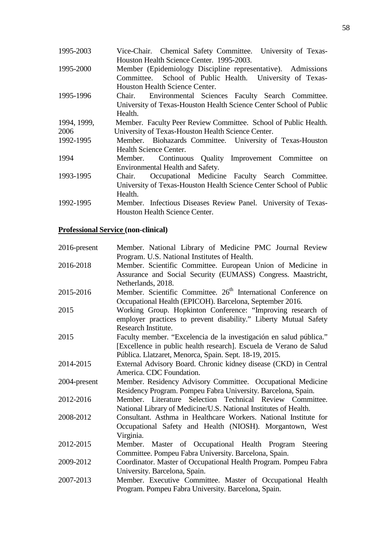| 1995-2003   | Vice-Chair. Chemical Safety Committee. University of Texas-        |
|-------------|--------------------------------------------------------------------|
|             | Houston Health Science Center. 1995-2003.                          |
| 1995-2000   | Member (Epidemiology Discipline representative). Admissions        |
|             | Committee. School of Public Health. University of Texas-           |
|             | Houston Health Science Center.                                     |
| 1995-1996   | Environmental Sciences Faculty Search Committee.<br>Chair.         |
|             | University of Texas-Houston Health Science Center School of Public |
|             | Health.                                                            |
| 1994, 1999, | Member. Faculty Peer Review Committee. School of Public Health.    |
| 2006        | University of Texas-Houston Health Science Center.                 |
| 1992-1995   | Member. Biohazards Committee. University of Texas-Houston          |
|             | Health Science Center.                                             |
| 1994        | Member. Continuous Quality Improvement Committee on                |
|             | Environmental Health and Safety.                                   |
| 1993-1995   | Occupational Medicine Faculty Search Committee.<br>Chair.          |
|             | University of Texas-Houston Health Science Center School of Public |
|             | Health.                                                            |
| 1992-1995   | Member. Infectious Diseases Review Panel. University of Texas-     |
|             | Houston Health Science Center.                                     |

# **Professional Service (non-clinical)**

| $2016$ -present | Member. National Library of Medicine PMC Journal Review                    |
|-----------------|----------------------------------------------------------------------------|
|                 | Program. U.S. National Institutes of Health.                               |
| 2016-2018       | Member. Scientific Committee. European Union of Medicine in                |
|                 | Assurance and Social Security (EUMASS) Congress. Maastricht,               |
|                 | Netherlands, 2018.                                                         |
| 2015-2016       | Member. Scientific Committee. 26 <sup>th</sup> International Conference on |
|                 | Occupational Health (EPICOH). Barcelona, September 2016.                   |
| 2015            | Working Group. Hopkinton Conference: "Improving research of                |
|                 | employer practices to prevent disability." Liberty Mutual Safety           |
|                 | Research Institute.                                                        |
| 2015            | Faculty member. "Excelencia de la investigación en salud pública."         |
|                 | [Excellence in public health research]. Escuela de Verano de Salud         |
|                 | Pública. Llatzaret, Menorca, Spain. Sept. 18-19, 2015.                     |
| 2014-2015       | External Advisory Board. Chronic kidney disease (CKD) in Central           |
|                 | America. CDC Foundation.                                                   |
| 2004-present    | Member. Residency Advisory Committee. Occupational Medicine                |
|                 | Residency Program. Pompeu Fabra University. Barcelona, Spain.              |
| 2012-2016       | Member. Literature Selection Technical Review Committee.                   |
|                 | National Library of Medicine/U.S. National Institutes of Health.           |
| 2008-2012       | Consultant. Asthma in Healthcare Workers. National Institute for           |
|                 | Occupational Safety and Health (NIOSH). Morgantown, West                   |
|                 | Virginia.                                                                  |
| 2012-2015       | Member. Master of Occupational Health Program Steering                     |
|                 | Committee. Pompeu Fabra University. Barcelona, Spain.                      |
| 2009-2012       | Coordinator. Master of Occupational Health Program. Pompeu Fabra           |
|                 | University. Barcelona, Spain.                                              |
| 2007-2013       | Member. Executive Committee. Master of Occupational Health                 |
|                 | Program. Pompeu Fabra University. Barcelona, Spain.                        |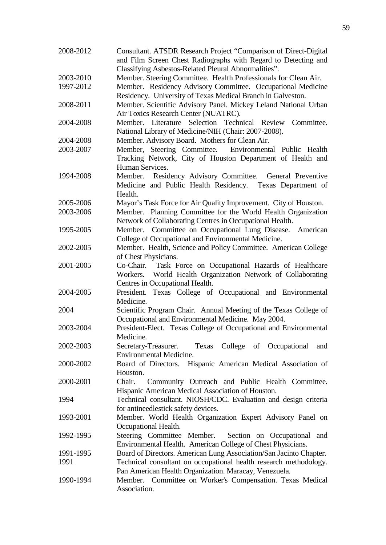| 2008-2012 | Consultant. ATSDR Research Project "Comparison of Direct-Digital<br>and Film Screen Chest Radiographs with Regard to Detecting and<br>Classifying Asbestos-Related Pleural Abnormalities". |
|-----------|--------------------------------------------------------------------------------------------------------------------------------------------------------------------------------------------|
| 2003-2010 |                                                                                                                                                                                            |
|           | Member. Steering Committee. Health Professionals for Clean Air.                                                                                                                            |
| 1997-2012 | Member. Residency Advisory Committee. Occupational Medicine<br>Residency. University of Texas Medical Branch in Galveston.                                                                 |
| 2008-2011 | Member. Scientific Advisory Panel. Mickey Leland National Urban<br>Air Toxics Research Center (NUATRC).                                                                                    |
| 2004-2008 | Member. Literature Selection Technical Review<br>Committee.<br>National Library of Medicine/NIH (Chair: 2007-2008).                                                                        |
| 2004-2008 | Member. Advisory Board. Mothers for Clean Air.                                                                                                                                             |
| 2003-2007 | Member, Steering Committee. Environmental Public Health<br>Tracking Network, City of Houston Department of Health and<br>Human Services.                                                   |
| 1994-2008 | Member. Residency Advisory Committee. General Preventive<br>Medicine and Public Health Residency. Texas Department of<br>Health.                                                           |
| 2005-2006 | Mayor's Task Force for Air Quality Improvement. City of Houston.                                                                                                                           |
| 2003-2006 | Member. Planning Committee for the World Health Organization<br>Network of Collaborating Centres in Occupational Health.                                                                   |
| 1995-2005 | Member. Committee on Occupational Lung Disease.<br>American<br>College of Occupational and Environmental Medicine.                                                                         |
| 2002-2005 | Member. Health, Science and Policy Committee. American College<br>of Chest Physicians.                                                                                                     |
| 2001-2005 | Task Force on Occupational Hazards of Healthcare<br>Co-Chair.<br>World Health Organization Network of Collaborating<br>Workers.                                                            |
| 2004-2005 | Centres in Occupational Health.<br>President. Texas College of Occupational and Environmental<br>Medicine.                                                                                 |
| 2004      | Scientific Program Chair. Annual Meeting of the Texas College of<br>Occupational and Environmental Medicine. May 2004.                                                                     |
| 2003-2004 | President-Elect. Texas College of Occupational and Environmental<br>Medicine.                                                                                                              |
| 2002-2003 | College of Occupational<br>Secretary-Treasurer.<br>Texas<br>and<br><b>Environmental Medicine.</b>                                                                                          |
| 2000-2002 | Board of Directors. Hispanic American Medical Association of<br>Houston.                                                                                                                   |
| 2000-2001 | Community Outreach and Public Health Committee.<br>Chair.<br>Hispanic American Medical Association of Houston.                                                                             |
| 1994      | Technical consultant. NIOSH/CDC. Evaluation and design criteria<br>for antineedlestick safety devices.                                                                                     |
| 1993-2001 | Member. World Health Organization Expert Advisory Panel on<br>Occupational Health.                                                                                                         |
| 1992-1995 | Steering Committee Member. Section on Occupational and<br>Environmental Health. American College of Chest Physicians.                                                                      |
| 1991-1995 | Board of Directors. American Lung Association/San Jacinto Chapter.                                                                                                                         |
| 1991      | Technical consultant on occupational health research methodology.<br>Pan American Health Organization. Maracay, Venezuela.                                                                 |
| 1990-1994 | Member. Committee on Worker's Compensation. Texas Medical<br>Association.                                                                                                                  |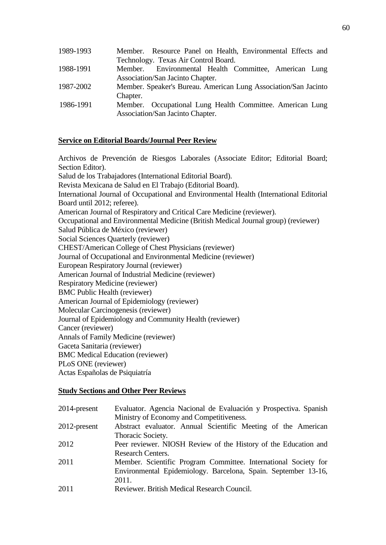| 1989-1993 | Member. Resource Panel on Health, Environmental Effects and     |
|-----------|-----------------------------------------------------------------|
|           | Technology. Texas Air Control Board.                            |
| 1988-1991 | Member. Environmental Health Committee, American Lung           |
|           | Association/San Jacinto Chapter.                                |
| 1987-2002 | Member. Speaker's Bureau. American Lung Association/San Jacinto |
|           | Chapter.                                                        |
| 1986-1991 | Member. Occupational Lung Health Committee. American Lung       |
|           | Association/San Jacinto Chapter.                                |

#### **Service on Editorial Boards/Journal Peer Review**

Archivos de Prevención de Riesgos Laborales (Associate Editor; Editorial Board; Section Editor). Salud de los Trabajadores (International Editorial Board). Revista Mexicana de Salud en El Trabajo (Editorial Board). International Journal of Occupational and Environmental Health (International Editorial Board until 2012; referee). American Journal of Respiratory and Critical Care Medicine (reviewer). Occupational and Environmental Medicine (British Medical Journal group) (reviewer) Salud Pública de México (reviewer) Social Sciences Quarterly (reviewer) CHEST/American College of Chest Physicians (reviewer) Journal of Occupational and Environmental Medicine (reviewer) European Respiratory Journal (reviewer) American Journal of Industrial Medicine (reviewer) Respiratory Medicine (reviewer) BMC Public Health (reviewer) American Journal of Epidemiology (reviewer) Molecular Carcinogenesis (reviewer) Journal of Epidemiology and Community Health (reviewer) Cancer (reviewer) Annals of Family Medicine (reviewer) Gaceta Sanitaria (reviewer) BMC Medical Education (reviewer) PLoS ONE (reviewer) Actas Españolas de Psiquiatría

#### **Study Sections and Other Peer Reviews**

| 2014-present | Evaluator. Agencia Nacional de Evaluación y Prospectiva. Spanish |
|--------------|------------------------------------------------------------------|
|              | Ministry of Economy and Competitiveness.                         |
| 2012-present | Abstract evaluator. Annual Scientific Meeting of the American    |
|              | Thoracic Society.                                                |
| 2012         | Peer reviewer. NIOSH Review of the History of the Education and  |
|              | <b>Research Centers.</b>                                         |
| 2011         | Member. Scientific Program Committee. International Society for  |
|              | Environmental Epidemiology. Barcelona, Spain. September 13-16,   |
|              | 2011.                                                            |
| 2011         | Reviewer. British Medical Research Council.                      |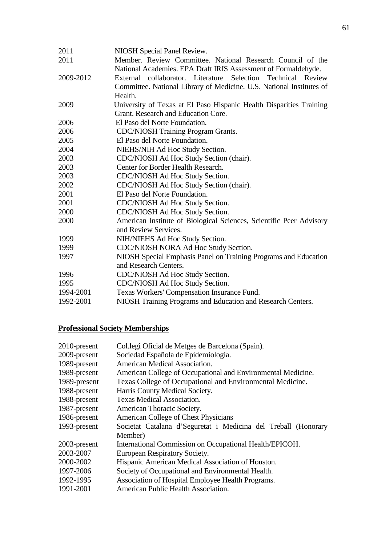| 2011      | NIOSH Special Panel Review.                                          |
|-----------|----------------------------------------------------------------------|
| 2011      | Member. Review Committee. National Research Council of the           |
|           | National Academies. EPA Draft IRIS Assessment of Formaldehyde.       |
| 2009-2012 | External collaborator. Literature Selection Technical Review         |
|           | Committee. National Library of Medicine. U.S. National Institutes of |
|           | Health.                                                              |
| 2009      | University of Texas at El Paso Hispanic Health Disparities Training  |
|           | Grant. Research and Education Core.                                  |
| 2006      | El Paso del Norte Foundation.                                        |
| 2006      | <b>CDC/NIOSH Training Program Grants.</b>                            |
| 2005      | El Paso del Norte Foundation.                                        |
| 2004      | NIEHS/NIH Ad Hoc Study Section.                                      |
| 2003      | CDC/NIOSH Ad Hoc Study Section (chair).                              |
| 2003      | Center for Border Health Research.                                   |
| 2003      | CDC/NIOSH Ad Hoc Study Section.                                      |
| 2002      | CDC/NIOSH Ad Hoc Study Section (chair).                              |
| 2001      | El Paso del Norte Foundation.                                        |
| 2001      | CDC/NIOSH Ad Hoc Study Section.                                      |
| 2000      | CDC/NIOSH Ad Hoc Study Section.                                      |
| 2000      | American Institute of Biological Sciences, Scientific Peer Advisory  |
|           | and Review Services.                                                 |
| 1999      | NIH/NIEHS Ad Hoc Study Section.                                      |
| 1999      | CDC/NIOSH NORA Ad Hoc Study Section.                                 |
| 1997      | NIOSH Special Emphasis Panel on Training Programs and Education      |
|           | and Research Centers.                                                |
| 1996      | CDC/NIOSH Ad Hoc Study Section.                                      |
| 1995      | CDC/NIOSH Ad Hoc Study Section.                                      |
| 1994-2001 | Texas Workers' Compensation Insurance Fund.                          |
| 1992-2001 | NIOSH Training Programs and Education and Research Centers.          |

## **Professional Society Memberships**

| Col.legi Oficial de Metges de Barcelona (Spain).               |
|----------------------------------------------------------------|
| Sociedad Española de Epidemiología.                            |
| American Medical Association.                                  |
| American College of Occupational and Environmental Medicine.   |
| Texas College of Occupational and Environmental Medicine.      |
| Harris County Medical Society.                                 |
| <b>Texas Medical Association.</b>                              |
| American Thoracic Society.                                     |
| American College of Chest Physicians                           |
| Societat Catalana d'Seguretat i Medicina del Treball (Honorary |
| Member)                                                        |
| International Commission on Occupational Health/EPICOH.        |
| European Respiratory Society.                                  |
| Hispanic American Medical Association of Houston.              |
| Society of Occupational and Environmental Health.              |
| Association of Hospital Employee Health Programs.              |
| American Public Health Association.                            |
|                                                                |